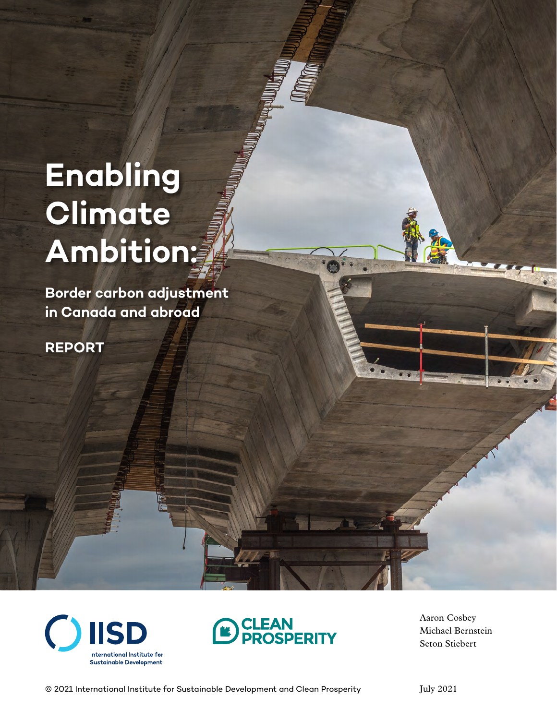# **Enabling Climate Ambition:**

**Border carbon adjustment in Canada and abroad**

**REPORT**





Aaron Cosbey Michael Bernstein Seton Stiebert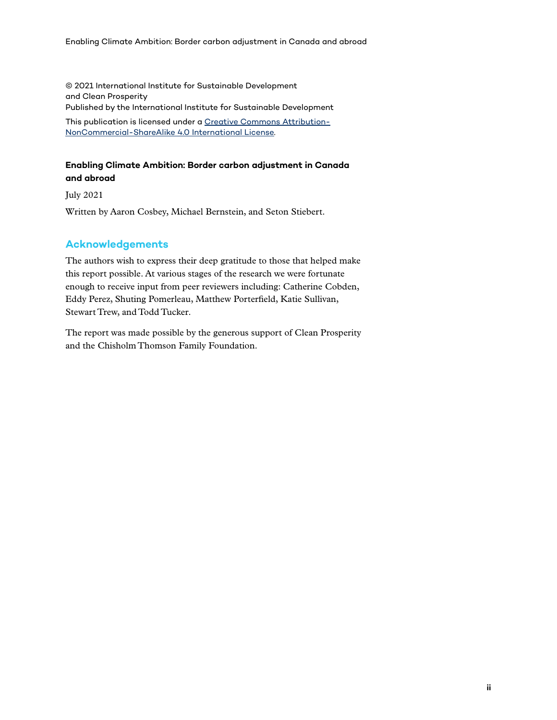© 2021 International Institute for Sustainable Development and Clean Prosperity Published by the International Institute for Sustainable Development This publication is licensed under a [Creative Commons Attribution-](https://creativecommons.org/licenses/by-nc-sa/4.0/)[NonCommercial-ShareAlike 4.0 International License](https://creativecommons.org/licenses/by-nc-sa/4.0/).

#### **Enabling Climate Ambition: Border carbon adjustment in Canada and abroad**

July 2021

Written by Aaron Cosbey, Michael Bernstein, and Seton Stiebert.

#### **Acknowledgements**

The authors wish to express their deep gratitude to those that helped make this report possible. At various stages of the research we were fortunate enough to receive input from peer reviewers including: Catherine Cobden, Eddy Perez, Shuting Pomerleau, Matthew Porterfield, Katie Sullivan, Stewart Trew, and Todd Tucker.

The report was made possible by the generous support of Clean Prosperity and the Chisholm Thomson Family Foundation.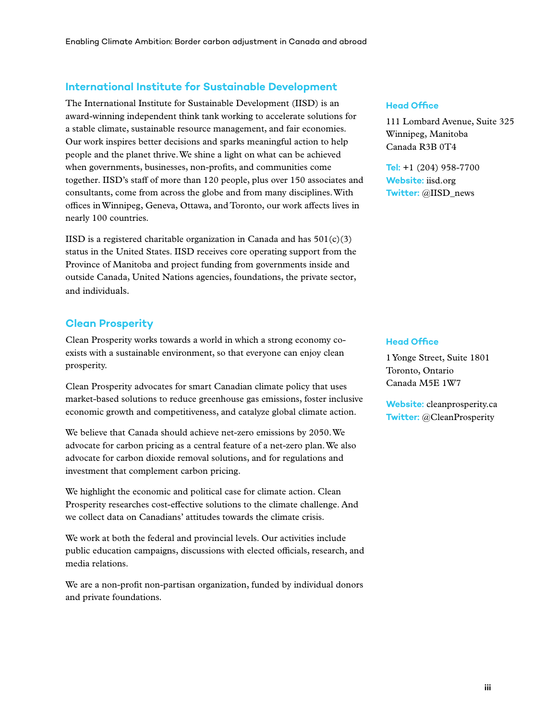#### **International Institute for Sustainable Development**

The International Institute for Sustainable Development (IISD) is an award-winning independent think tank working to accelerate solutions for a stable climate, sustainable resource management, and fair economies. Our work inspires better decisions and sparks meaningful action to help people and the planet thrive. We shine a light on what can be achieved when governments, businesses, non-profits, and communities come together. IISD's staff of more than 120 people, plus over 150 associates and consultants, come from across the globe and from many disciplines. With offices in Winnipeg, Geneva, Ottawa, and Toronto, our work affects lives in nearly 100 countries.

IISD is a registered charitable organization in Canada and has  $501(c)(3)$ status in the United States. IISD receives core operating support from the Province of Manitoba and project funding from governments inside and outside Canada, United Nations agencies, foundations, the private sector, and individuals.

#### **Clean Prosperity**

Clean Prosperity works towards a world in which a strong economy coexists with a sustainable environment, so that everyone can enjoy clean prosperity.

Clean Prosperity advocates for smart Canadian climate policy that uses market-based solutions to reduce greenhouse gas emissions, foster inclusive economic growth and competitiveness, and catalyze global climate action.

We believe that Canada should achieve net-zero emissions by 2050. We advocate for carbon pricing as a central feature of a net-zero plan. We also advocate for carbon dioxide removal solutions, and for regulations and investment that complement carbon pricing.

We highlight the economic and political case for climate action. Clean Prosperity researches cost-effective solutions to the climate challenge. And we collect data on Canadians' attitudes towards the climate crisis.

We work at both the federal and provincial levels. Our activities include public education campaigns, discussions with elected officials, research, and media relations.

We are a non-profit non-partisan organization, funded by individual donors and private foundations.

#### **Head Office**

111 Lombard Avenue, Suite 325 Winnipeg, Manitoba Canada R3B 0T4

**Tel:** +1 (204) 958-7700 **Website:** iisd.org **Twitter:** @IISD\_news

#### **Head Office**

1 Yonge Street, Suite 1801 Toronto, Ontario Canada M5E 1W7

**Website:** cleanprosperity.ca **Twitter:** @CleanProsperity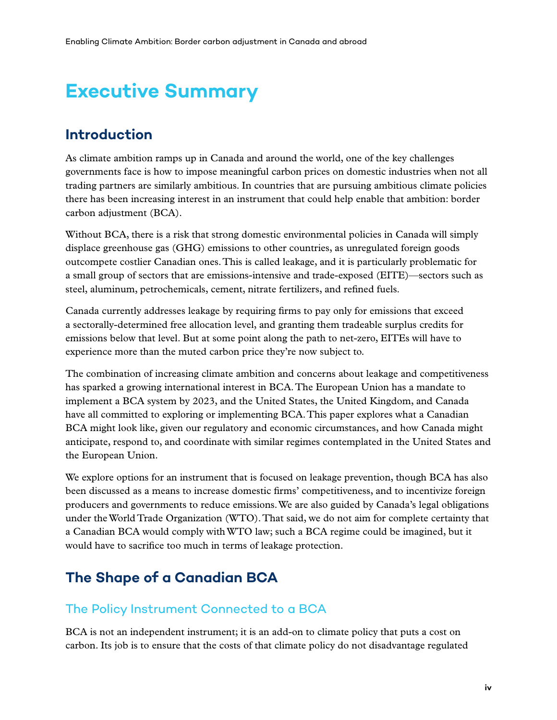# **Executive Summary**

#### **Introduction**

As climate ambition ramps up in Canada and around the world, one of the key challenges governments face is how to impose meaningful carbon prices on domestic industries when not all trading partners are similarly ambitious. In countries that are pursuing ambitious climate policies there has been increasing interest in an instrument that could help enable that ambition: border carbon adjustment (BCA).

Without BCA, there is a risk that strong domestic environmental policies in Canada will simply displace greenhouse gas (GHG) emissions to other countries, as unregulated foreign goods outcompete costlier Canadian ones. This is called leakage, and it is particularly problematic for a small group of sectors that are emissions-intensive and trade-exposed (EITE)—sectors such as steel, aluminum, petrochemicals, cement, nitrate fertilizers, and refined fuels.

Canada currently addresses leakage by requiring firms to pay only for emissions that exceed a sectorally-determined free allocation level, and granting them tradeable surplus credits for emissions below that level. But at some point along the path to net-zero, EITEs will have to experience more than the muted carbon price they're now subject to.

The combination of increasing climate ambition and concerns about leakage and competitiveness has sparked a growing international interest in BCA. The European Union has a mandate to implement a BCA system by 2023, and the United States, the United Kingdom, and Canada have all committed to exploring or implementing BCA. This paper explores what a Canadian BCA might look like, given our regulatory and economic circumstances, and how Canada might anticipate, respond to, and coordinate with similar regimes contemplated in the United States and the European Union.

We explore options for an instrument that is focused on leakage prevention, though BCA has also been discussed as a means to increase domestic firms' competitiveness, and to incentivize foreign producers and governments to reduce emissions. We are also guided by Canada's legal obligations under the World Trade Organization (WTO). That said, we do not aim for complete certainty that a Canadian BCA would comply with WTO law; such a BCA regime could be imagined, but it would have to sacrifice too much in terms of leakage protection.

## **The Shape of a Canadian BCA**

#### The Policy Instrument Connected to a BCA

BCA is not an independent instrument; it is an add-on to climate policy that puts a cost on carbon. Its job is to ensure that the costs of that climate policy do not disadvantage regulated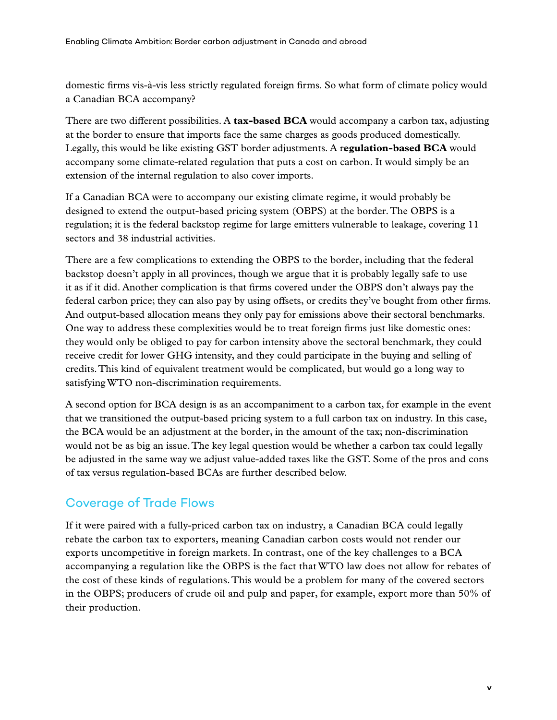domestic firms vis-à-vis less strictly regulated foreign firms. So what form of climate policy would a Canadian BCA accompany?

There are two different possibilities. A **tax-based BCA** would accompany a carbon tax, adjusting at the border to ensure that imports face the same charges as goods produced domestically. Legally, this would be like existing GST border adjustments. A r**egulation-based BCA** would accompany some climate-related regulation that puts a cost on carbon. It would simply be an extension of the internal regulation to also cover imports.

If a Canadian BCA were to accompany our existing climate regime, it would probably be designed to extend the output-based pricing system (OBPS) at the border. The OBPS is a regulation; it is the federal backstop regime for large emitters vulnerable to leakage, covering 11 sectors and 38 industrial activities.

There are a few complications to extending the OBPS to the border, including that the federal backstop doesn't apply in all provinces, though we argue that it is probably legally safe to use it as if it did. Another complication is that firms covered under the OBPS don't always pay the federal carbon price; they can also pay by using offsets, or credits they've bought from other firms. And output-based allocation means they only pay for emissions above their sectoral benchmarks. One way to address these complexities would be to treat foreign firms just like domestic ones: they would only be obliged to pay for carbon intensity above the sectoral benchmark, they could receive credit for lower GHG intensity, and they could participate in the buying and selling of credits. This kind of equivalent treatment would be complicated, but would go a long way to satisfying WTO non-discrimination requirements.

A second option for BCA design is as an accompaniment to a carbon tax, for example in the event that we transitioned the output-based pricing system to a full carbon tax on industry. In this case, the BCA would be an adjustment at the border, in the amount of the tax; non-discrimination would not be as big an issue. The key legal question would be whether a carbon tax could legally be adjusted in the same way we adjust value-added taxes like the GST. Some of the pros and cons of tax versus regulation-based BCAs are further described below.

#### Coverage of Trade Flows

If it were paired with a fully-priced carbon tax on industry, a Canadian BCA could legally rebate the carbon tax to exporters, meaning Canadian carbon costs would not render our exports uncompetitive in foreign markets. In contrast, one of the key challenges to a BCA accompanying a regulation like the OBPS is the fact that WTO law does not allow for rebates of the cost of these kinds of regulations. This would be a problem for many of the covered sectors in the OBPS; producers of crude oil and pulp and paper, for example, export more than 50% of their production.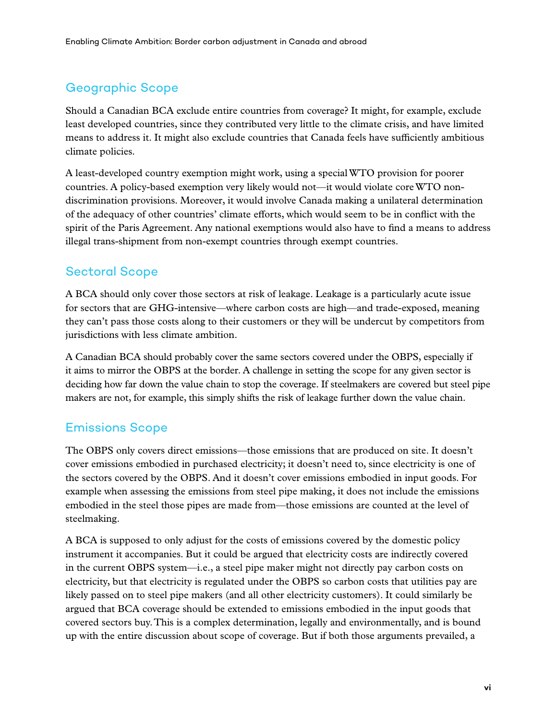#### Geographic Scope

Should a Canadian BCA exclude entire countries from coverage? It might, for example, exclude least developed countries, since they contributed very little to the climate crisis, and have limited means to address it. It might also exclude countries that Canada feels have sufficiently ambitious climate policies.

A least-developed country exemption might work, using a special WTO provision for poorer countries. A policy-based exemption very likely would not—it would violate core WTO nondiscrimination provisions. Moreover, it would involve Canada making a unilateral determination of the adequacy of other countries' climate efforts, which would seem to be in conflict with the spirit of the Paris Agreement. Any national exemptions would also have to find a means to address illegal trans-shipment from non-exempt countries through exempt countries.

#### Sectoral Scope

A BCA should only cover those sectors at risk of leakage. Leakage is a particularly acute issue for sectors that are GHG-intensive—where carbon costs are high—and trade-exposed, meaning they can't pass those costs along to their customers or they will be undercut by competitors from jurisdictions with less climate ambition.

A Canadian BCA should probably cover the same sectors covered under the OBPS, especially if it aims to mirror the OBPS at the border. A challenge in setting the scope for any given sector is deciding how far down the value chain to stop the coverage. If steelmakers are covered but steel pipe makers are not, for example, this simply shifts the risk of leakage further down the value chain.

#### Emissions Scope

The OBPS only covers direct emissions—those emissions that are produced on site. It doesn't cover emissions embodied in purchased electricity; it doesn't need to, since electricity is one of the sectors covered by the OBPS. And it doesn't cover emissions embodied in input goods. For example when assessing the emissions from steel pipe making, it does not include the emissions embodied in the steel those pipes are made from—those emissions are counted at the level of steelmaking.

A BCA is supposed to only adjust for the costs of emissions covered by the domestic policy instrument it accompanies. But it could be argued that electricity costs are indirectly covered in the current OBPS system—i.e., a steel pipe maker might not directly pay carbon costs on electricity, but that electricity is regulated under the OBPS so carbon costs that utilities pay are likely passed on to steel pipe makers (and all other electricity customers). It could similarly be argued that BCA coverage should be extended to emissions embodied in the input goods that covered sectors buy. This is a complex determination, legally and environmentally, and is bound up with the entire discussion about scope of coverage. But if both those arguments prevailed, a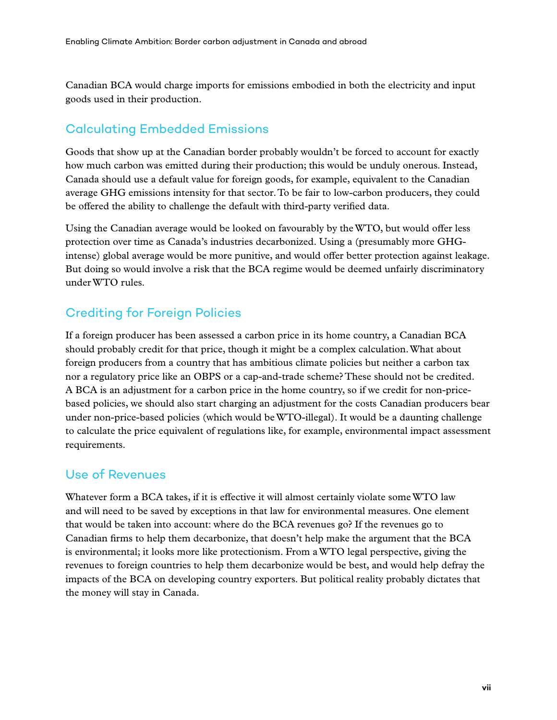Canadian BCA would charge imports for emissions embodied in both the electricity and input goods used in their production.

#### Calculating Embedded Emissions

Goods that show up at the Canadian border probably wouldn't be forced to account for exactly how much carbon was emitted during their production; this would be unduly onerous. Instead, Canada should use a default value for foreign goods, for example, equivalent to the Canadian average GHG emissions intensity for that sector. To be fair to low-carbon producers, they could be offered the ability to challenge the default with third-party verified data.

Using the Canadian average would be looked on favourably by the WTO, but would offer less protection over time as Canada's industries decarbonized. Using a (presumably more GHGintense) global average would be more punitive, and would offer better protection against leakage. But doing so would involve a risk that the BCA regime would be deemed unfairly discriminatory under WTO rules.

#### Crediting for Foreign Policies

If a foreign producer has been assessed a carbon price in its home country, a Canadian BCA should probably credit for that price, though it might be a complex calculation. What about foreign producers from a country that has ambitious climate policies but neither a carbon tax nor a regulatory price like an OBPS or a cap-and-trade scheme? These should not be credited. A BCA is an adjustment for a carbon price in the home country, so if we credit for non-pricebased policies, we should also start charging an adjustment for the costs Canadian producers bear under non-price-based policies (which would be WTO-illegal). It would be a daunting challenge to calculate the price equivalent of regulations like, for example, environmental impact assessment requirements.

#### Use of Revenues

Whatever form a BCA takes, if it is effective it will almost certainly violate some WTO law and will need to be saved by exceptions in that law for environmental measures. One element that would be taken into account: where do the BCA revenues go? If the revenues go to Canadian firms to help them decarbonize, that doesn't help make the argument that the BCA is environmental; it looks more like protectionism. From a WTO legal perspective, giving the revenues to foreign countries to help them decarbonize would be best, and would help defray the impacts of the BCA on developing country exporters. But political reality probably dictates that the money will stay in Canada.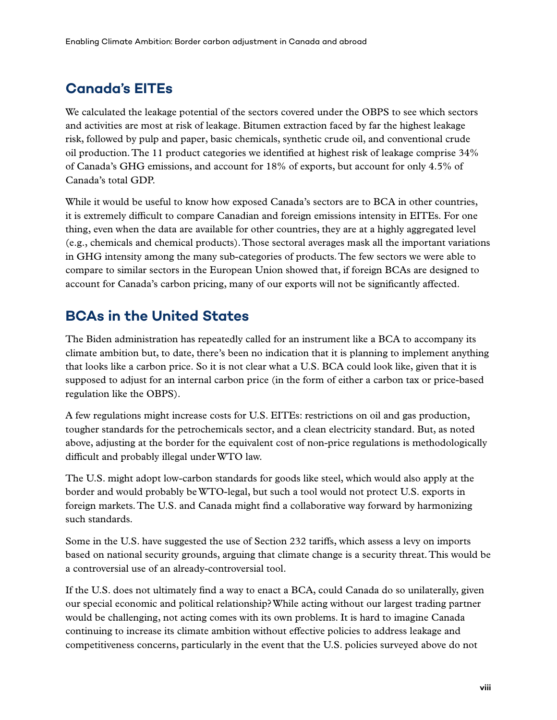## **Canada's EITEs**

We calculated the leakage potential of the sectors covered under the OBPS to see which sectors and activities are most at risk of leakage. Bitumen extraction faced by far the highest leakage risk, followed by pulp and paper, basic chemicals, synthetic crude oil, and conventional crude oil production. The 11 product categories we identified at highest risk of leakage comprise 34% of Canada's GHG emissions, and account for 18% of exports, but account for only 4.5% of Canada's total GDP.

While it would be useful to know how exposed Canada's sectors are to BCA in other countries, it is extremely difficult to compare Canadian and foreign emissions intensity in EITEs. For one thing, even when the data are available for other countries, they are at a highly aggregated level (e.g., chemicals and chemical products). Those sectoral averages mask all the important variations in GHG intensity among the many sub-categories of products. The few sectors we were able to compare to similar sectors in the European Union showed that, if foreign BCAs are designed to account for Canada's carbon pricing, many of our exports will not be significantly affected.

### **BCAs in the United States**

The Biden administration has repeatedly called for an instrument like a BCA to accompany its climate ambition but, to date, there's been no indication that it is planning to implement anything that looks like a carbon price. So it is not clear what a U.S. BCA could look like, given that it is supposed to adjust for an internal carbon price (in the form of either a carbon tax or price-based regulation like the OBPS).

A few regulations might increase costs for U.S. EITEs: restrictions on oil and gas production, tougher standards for the petrochemicals sector, and a clean electricity standard. But, as noted above, adjusting at the border for the equivalent cost of non-price regulations is methodologically difficult and probably illegal under WTO law.

The U.S. might adopt low-carbon standards for goods like steel, which would also apply at the border and would probably be WTO-legal, but such a tool would not protect U.S. exports in foreign markets. The U.S. and Canada might find a collaborative way forward by harmonizing such standards.

Some in the U.S. have suggested the use of Section 232 tariffs, which assess a levy on imports based on national security grounds, arguing that climate change is a security threat. This would be a controversial use of an already-controversial tool.

If the U.S. does not ultimately find a way to enact a BCA, could Canada do so unilaterally, given our special economic and political relationship? While acting without our largest trading partner would be challenging, not acting comes with its own problems. It is hard to imagine Canada continuing to increase its climate ambition without effective policies to address leakage and competitiveness concerns, particularly in the event that the U.S. policies surveyed above do not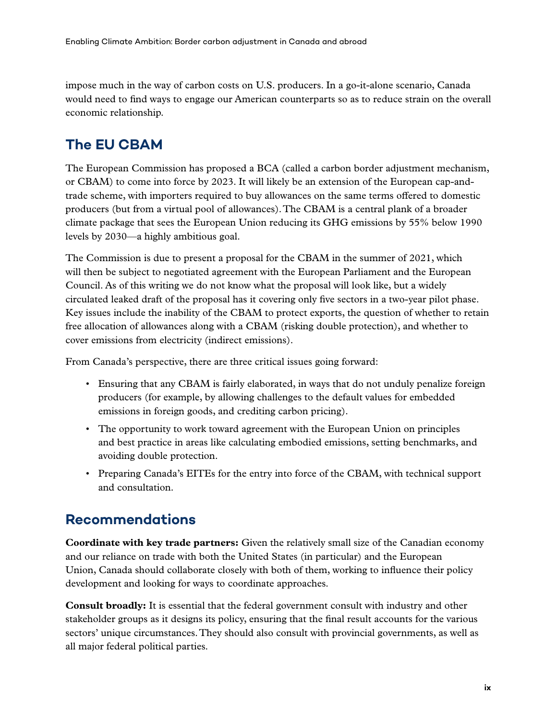impose much in the way of carbon costs on U.S. producers. In a go-it-alone scenario, Canada would need to find ways to engage our American counterparts so as to reduce strain on the overall economic relationship.

### **The EU CBAM**

The European Commission has proposed a BCA (called a carbon border adjustment mechanism, or CBAM) to come into force by 2023. It will likely be an extension of the European cap-andtrade scheme, with importers required to buy allowances on the same terms offered to domestic producers (but from a virtual pool of allowances). The CBAM is a central plank of a broader climate package that sees the European Union reducing its GHG emissions by 55% below 1990 levels by 2030—a highly ambitious goal.

The Commission is due to present a proposal for the CBAM in the summer of 2021, which will then be subject to negotiated agreement with the European Parliament and the European Council. As of this writing we do not know what the proposal will look like, but a widely circulated leaked draft of the proposal has it covering only five sectors in a two-year pilot phase. Key issues include the inability of the CBAM to protect exports, the question of whether to retain free allocation of allowances along with a CBAM (risking double protection), and whether to cover emissions from electricity (indirect emissions).

From Canada's perspective, there are three critical issues going forward:

- Ensuring that any CBAM is fairly elaborated, in ways that do not unduly penalize foreign producers (for example, by allowing challenges to the default values for embedded emissions in foreign goods, and crediting carbon pricing).
- The opportunity to work toward agreement with the European Union on principles and best practice in areas like calculating embodied emissions, setting benchmarks, and avoiding double protection.
- Preparing Canada's EITEs for the entry into force of the CBAM, with technical support and consultation.

#### **Recommendations**

**Coordinate with key trade partners:** Given the relatively small size of the Canadian economy and our reliance on trade with both the United States (in particular) and the European Union, Canada should collaborate closely with both of them, working to influence their policy development and looking for ways to coordinate approaches.

**Consult broadly:** It is essential that the federal government consult with industry and other stakeholder groups as it designs its policy, ensuring that the final result accounts for the various sectors' unique circumstances. They should also consult with provincial governments, as well as all major federal political parties.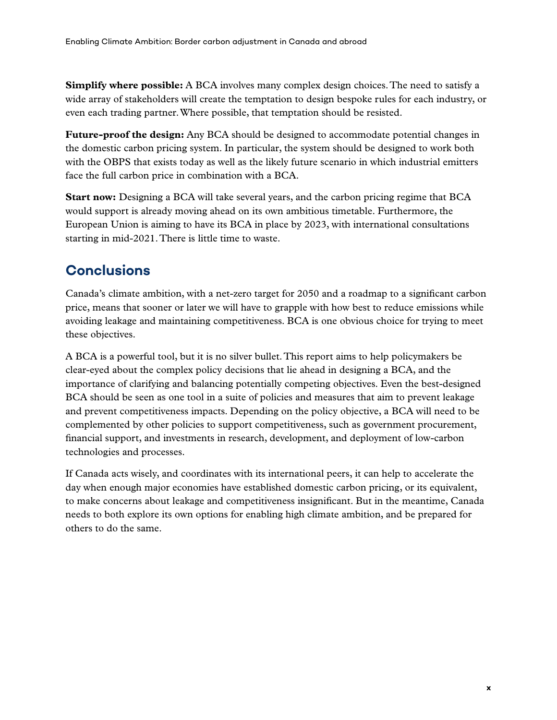**Simplify where possible:** A BCA involves many complex design choices. The need to satisfy a wide array of stakeholders will create the temptation to design bespoke rules for each industry, or even each trading partner. Where possible, that temptation should be resisted.

**Future-proof the design:** Any BCA should be designed to accommodate potential changes in the domestic carbon pricing system. In particular, the system should be designed to work both with the OBPS that exists today as well as the likely future scenario in which industrial emitters face the full carbon price in combination with a BCA.

**Start now:** Designing a BCA will take several years, and the carbon pricing regime that BCA would support is already moving ahead on its own ambitious timetable. Furthermore, the European Union is aiming to have its BCA in place by 2023, with international consultations starting in mid-2021. There is little time to waste.

## **Conclusions**

Canada's climate ambition, with a net-zero target for 2050 and a roadmap to a significant carbon price, means that sooner or later we will have to grapple with how best to reduce emissions while avoiding leakage and maintaining competitiveness. BCA is one obvious choice for trying to meet these objectives.

A BCA is a powerful tool, but it is no silver bullet. This report aims to help policymakers be clear-eyed about the complex policy decisions that lie ahead in designing a BCA, and the importance of clarifying and balancing potentially competing objectives. Even the best-designed BCA should be seen as one tool in a suite of policies and measures that aim to prevent leakage and prevent competitiveness impacts. Depending on the policy objective, a BCA will need to be complemented by other policies to support competitiveness, such as government procurement, financial support, and investments in research, development, and deployment of low-carbon technologies and processes.

If Canada acts wisely, and coordinates with its international peers, it can help to accelerate the day when enough major economies have established domestic carbon pricing, or its equivalent, to make concerns about leakage and competitiveness insignificant. But in the meantime, Canada needs to both explore its own options for enabling high climate ambition, and be prepared for others to do the same.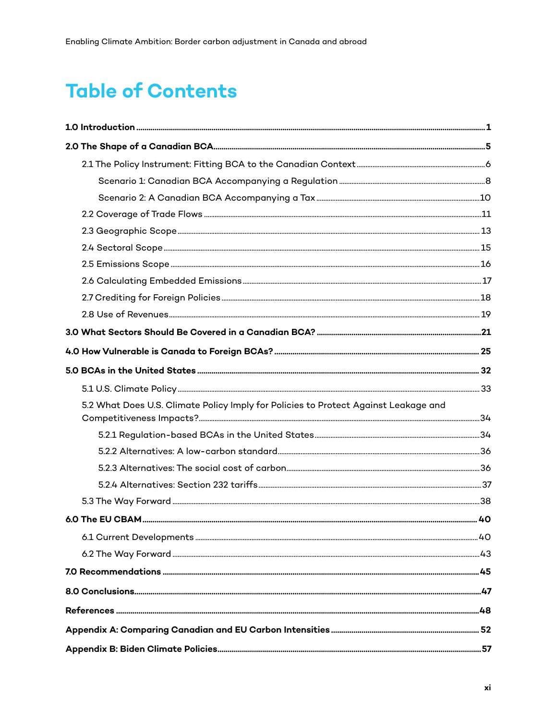# **Table of Contents**

| 5.2 What Does U.S. Climate Policy Imply for Policies to Protect Against Leakage and |  |
|-------------------------------------------------------------------------------------|--|
|                                                                                     |  |
|                                                                                     |  |
|                                                                                     |  |
|                                                                                     |  |
|                                                                                     |  |
|                                                                                     |  |
|                                                                                     |  |
|                                                                                     |  |
|                                                                                     |  |
|                                                                                     |  |
|                                                                                     |  |
|                                                                                     |  |
|                                                                                     |  |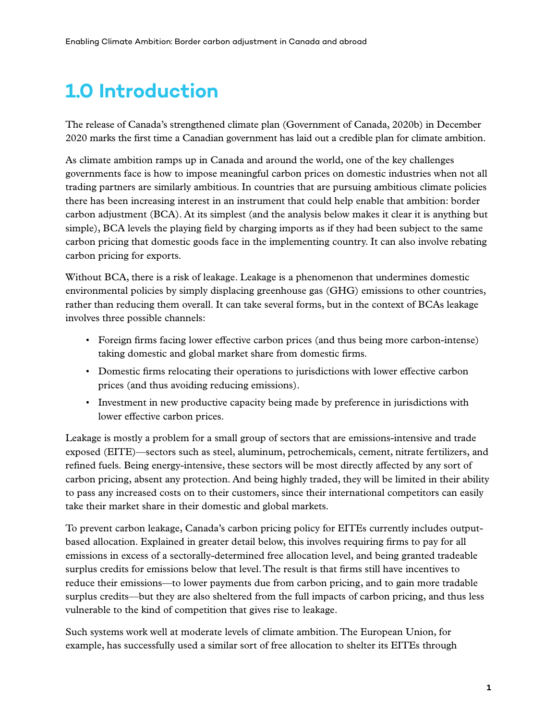# <span id="page-11-0"></span>**1.0 Introduction**

The release of Canada's strengthened climate plan (Government of Canada, 2020b) in December 2020 marks the first time a Canadian government has laid out a credible plan for climate ambition.

As climate ambition ramps up in Canada and around the world, one of the key challenges governments face is how to impose meaningful carbon prices on domestic industries when not all trading partners are similarly ambitious. In countries that are pursuing ambitious climate policies there has been increasing interest in an instrument that could help enable that ambition: border carbon adjustment (BCA). At its simplest (and the analysis below makes it clear it is anything but simple), BCA levels the playing field by charging imports as if they had been subject to the same carbon pricing that domestic goods face in the implementing country. It can also involve rebating carbon pricing for exports.

Without BCA, there is a risk of leakage. Leakage is a phenomenon that undermines domestic environmental policies by simply displacing greenhouse gas (GHG) emissions to other countries, rather than reducing them overall. It can take several forms, but in the context of BCAs leakage involves three possible channels:

- Foreign firms facing lower effective carbon prices (and thus being more carbon-intense) taking domestic and global market share from domestic firms.
- Domestic firms relocating their operations to jurisdictions with lower effective carbon prices (and thus avoiding reducing emissions).
- Investment in new productive capacity being made by preference in jurisdictions with lower effective carbon prices.

Leakage is mostly a problem for a small group of sectors that are emissions-intensive and trade exposed (EITE)—sectors such as steel, aluminum, petrochemicals, cement, nitrate fertilizers, and refined fuels. Being energy-intensive, these sectors will be most directly affected by any sort of carbon pricing, absent any protection. And being highly traded, they will be limited in their ability to pass any increased costs on to their customers, since their international competitors can easily take their market share in their domestic and global markets.

To prevent carbon leakage, Canada's carbon pricing policy for EITEs currently includes outputbased allocation. Explained in greater detail below, this involves requiring firms to pay for all emissions in excess of a sectorally-determined free allocation level, and being granted tradeable surplus credits for emissions below that level. The result is that firms still have incentives to reduce their emissions—to lower payments due from carbon pricing, and to gain more tradable surplus credits—but they are also sheltered from the full impacts of carbon pricing, and thus less vulnerable to the kind of competition that gives rise to leakage.

Such systems work well at moderate levels of climate ambition. The European Union, for example, has successfully used a similar sort of free allocation to shelter its EITEs through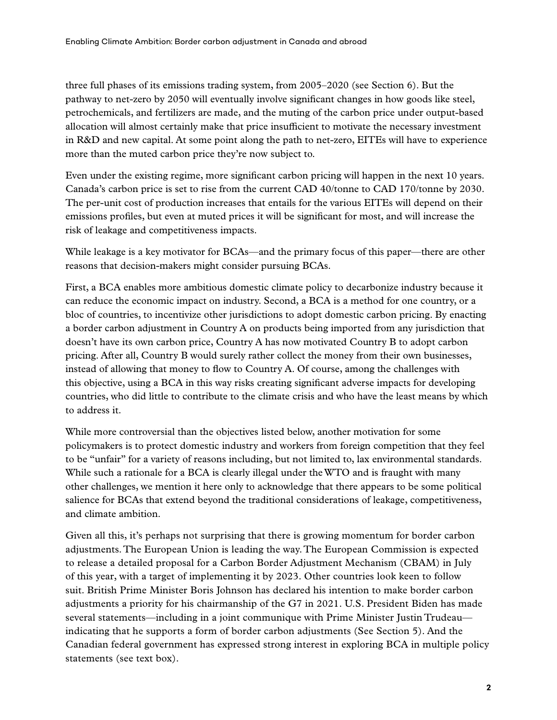three full phases of its emissions trading system, from 2005–2020 (see Section 6). But the pathway to net-zero by 2050 will eventually involve significant changes in how goods like steel, petrochemicals, and fertilizers are made, and the muting of the carbon price under output-based allocation will almost certainly make that price insufficient to motivate the necessary investment in R&D and new capital. At some point along the path to net-zero, EITEs will have to experience more than the muted carbon price they're now subject to.

Even under the existing regime, more significant carbon pricing will happen in the next 10 years. Canada's carbon price is set to rise from the current CAD 40/tonne to CAD 170/tonne by 2030. The per-unit cost of production increases that entails for the various EITEs will depend on their emissions profiles, but even at muted prices it will be significant for most, and will increase the risk of leakage and competitiveness impacts.

While leakage is a key motivator for BCAs—and the primary focus of this paper—there are other reasons that decision-makers might consider pursuing BCAs.

First, a BCA enables more ambitious domestic climate policy to decarbonize industry because it can reduce the economic impact on industry. Second, a BCA is a method for one country, or a bloc of countries, to incentivize other jurisdictions to adopt domestic carbon pricing. By enacting a border carbon adjustment in Country A on products being imported from any jurisdiction that doesn't have its own carbon price, Country A has now motivated Country B to adopt carbon pricing. After all, Country B would surely rather collect the money from their own businesses, instead of allowing that money to flow to Country A. Of course, among the challenges with this objective, using a BCA in this way risks creating significant adverse impacts for developing countries, who did little to contribute to the climate crisis and who have the least means by which to address it.

While more controversial than the objectives listed below, another motivation for some policymakers is to protect domestic industry and workers from foreign competition that they feel to be "unfair" for a variety of reasons including, but not limited to, lax environmental standards. While such a rationale for a BCA is clearly illegal under the WTO and is fraught with many other challenges, we mention it here only to acknowledge that there appears to be some political salience for BCAs that extend beyond the traditional considerations of leakage, competitiveness, and climate ambition.

Given all this, it's perhaps not surprising that there is growing momentum for border carbon adjustments. The European Union is leading the way. The European Commission is expected to release a detailed proposal for a Carbon Border Adjustment Mechanism (CBAM) in July of this year, with a target of implementing it by 2023. Other countries look keen to follow suit. British Prime Minister Boris Johnson has declared his intention to make border carbon adjustments a priority for his chairmanship of the G7 in 2021. U.S. President Biden has made several statements—including in a joint communique with Prime Minister Justin Trudeau indicating that he supports a form of border carbon adjustments (See Section 5). And the Canadian federal government has expressed strong interest in exploring BCA in multiple policy statements (see text box).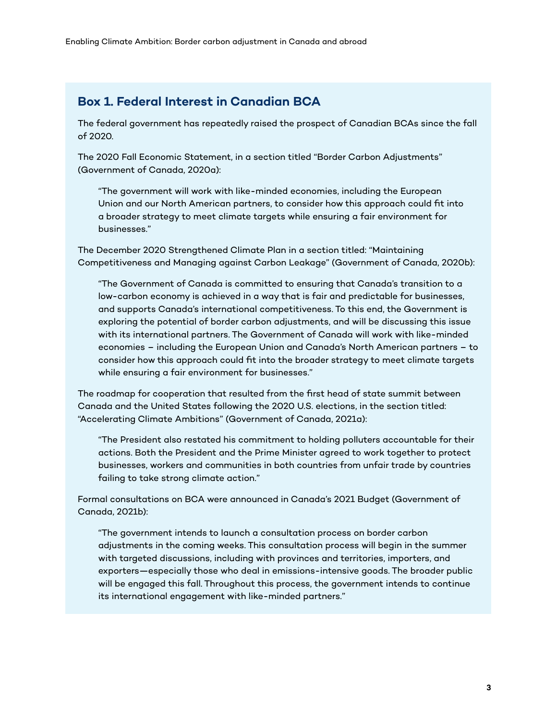#### **Box 1. Federal Interest in Canadian BCA**

The federal government has repeatedly raised the prospect of Canadian BCAs since the fall of 2020.

The 2020 Fall Economic Statement, in a section titled "Border Carbon Adjustments" (Government of Canada, 2020a):

"The government will work with like-minded economies, including the European Union and our North American partners, to consider how this approach could fit into a broader strategy to meet climate targets while ensuring a fair environment for businesses."

The December 2020 Strengthened Climate Plan in a section titled: "Maintaining Competitiveness and Managing against Carbon Leakage" (Government of Canada, 2020b):

"The Government of Canada is committed to ensuring that Canada's transition to a low-carbon economy is achieved in a way that is fair and predictable for businesses, and supports Canada's international competitiveness. To this end, the Government is exploring the potential of border carbon adjustments, and will be discussing this issue with its international partners. The Government of Canada will work with like-minded economies – including the European Union and Canada's North American partners – to consider how this approach could fit into the broader strategy to meet climate targets while ensuring a fair environment for businesses."

The roadmap for cooperation that resulted from the first head of state summit between Canada and the United States following the 2020 U.S. elections, in the section titled: "Accelerating Climate Ambitions" (Government of Canada, 2021a):

"The President also restated his commitment to holding polluters accountable for their actions. Both the President and the Prime Minister agreed to work together to protect businesses, workers and communities in both countries from unfair trade by countries failing to take strong climate action."

Formal consultations on BCA were announced in Canada's 2021 Budget (Government of Canada, 2021b):

"The government intends to launch a consultation process on border carbon adjustments in the coming weeks. This consultation process will begin in the summer with targeted discussions, including with provinces and territories, importers, and exporters—especially those who deal in emissions-intensive goods. The broader public will be engaged this fall. Throughout this process, the government intends to continue its international engagement with like-minded partners."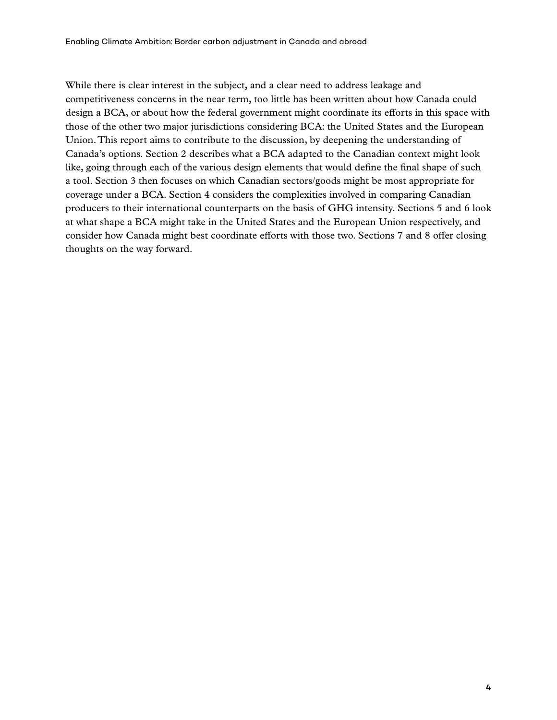While there is clear interest in the subject, and a clear need to address leakage and competitiveness concerns in the near term, too little has been written about how Canada could design a BCA, or about how the federal government might coordinate its efforts in this space with those of the other two major jurisdictions considering BCA: the United States and the European Union. This report aims to contribute to the discussion, by deepening the understanding of Canada's options. Section 2 describes what a BCA adapted to the Canadian context might look like, going through each of the various design elements that would define the final shape of such a tool. Section 3 then focuses on which Canadian sectors/goods might be most appropriate for coverage under a BCA. Section 4 considers the complexities involved in comparing Canadian producers to their international counterparts on the basis of GHG intensity. Sections 5 and 6 look at what shape a BCA might take in the United States and the European Union respectively, and consider how Canada might best coordinate efforts with those two. Sections 7 and 8 offer closing thoughts on the way forward.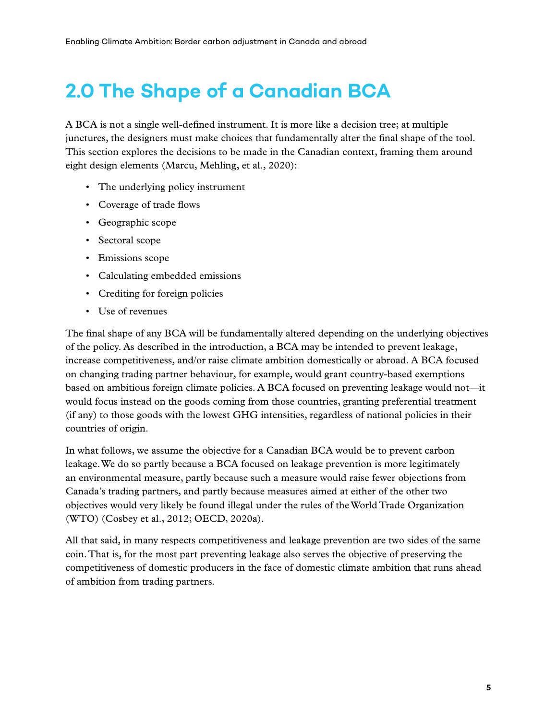# <span id="page-15-0"></span>**2.0 The Shape of a Canadian BCA**

A BCA is not a single well-defined instrument. It is more like a decision tree; at multiple junctures, the designers must make choices that fundamentally alter the final shape of the tool. This section explores the decisions to be made in the Canadian context, framing them around eight design elements (Marcu, Mehling, et al., 2020):

- The underlying policy instrument
- Coverage of trade flows
- Geographic scope
- Sectoral scope
- Emissions scope
- Calculating embedded emissions
- Crediting for foreign policies
- Use of revenues

The final shape of any BCA will be fundamentally altered depending on the underlying objectives of the policy. As described in the introduction, a BCA may be intended to prevent leakage, increase competitiveness, and/or raise climate ambition domestically or abroad. A BCA focused on changing trading partner behaviour, for example, would grant country-based exemptions based on ambitious foreign climate policies. A BCA focused on preventing leakage would not—it would focus instead on the goods coming from those countries, granting preferential treatment (if any) to those goods with the lowest GHG intensities, regardless of national policies in their countries of origin.

In what follows, we assume the objective for a Canadian BCA would be to prevent carbon leakage. We do so partly because a BCA focused on leakage prevention is more legitimately an environmental measure, partly because such a measure would raise fewer objections from Canada's trading partners, and partly because measures aimed at either of the other two objectives would very likely be found illegal under the rules of the World Trade Organization (WTO) (Cosbey et al., 2012; OECD, 2020a).

All that said, in many respects competitiveness and leakage prevention are two sides of the same coin. That is, for the most part preventing leakage also serves the objective of preserving the competitiveness of domestic producers in the face of domestic climate ambition that runs ahead of ambition from trading partners.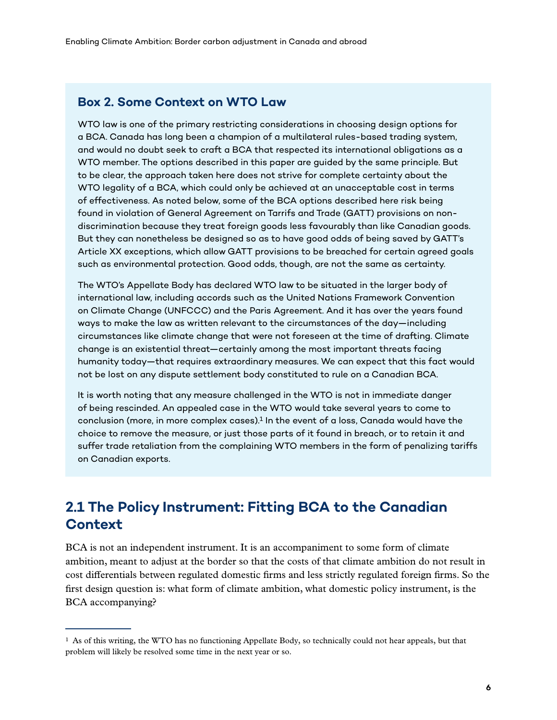#### <span id="page-16-0"></span>**Box 2. Some Context on WTO Law**

WTO law is one of the primary restricting considerations in choosing design options for a BCA. Canada has long been a champion of a multilateral rules-based trading system, and would no doubt seek to craft a BCA that respected its international obligations as a WTO member. The options described in this paper are guided by the same principle. But to be clear, the approach taken here does not strive for complete certainty about the WTO legality of a BCA, which could only be achieved at an unacceptable cost in terms of effectiveness. As noted below, some of the BCA options described here risk being found in violation of General Agreement on Tarrifs and Trade (GATT) provisions on nondiscrimination because they treat foreign goods less favourably than like Canadian goods. But they can nonetheless be designed so as to have good odds of being saved by GATT's Article XX exceptions, which allow GATT provisions to be breached for certain agreed goals such as environmental protection. Good odds, though, are not the same as certainty.

The WTO's Appellate Body has declared WTO law to be situated in the larger body of international law, including accords such as the United Nations Framework Convention on Climate Change (UNFCCC) and the Paris Agreement. And it has over the years found ways to make the law as written relevant to the circumstances of the day—including circumstances like climate change that were not foreseen at the time of drafting. Climate change is an existential threat—certainly among the most important threats facing humanity today—that requires extraordinary measures. We can expect that this fact would not be lost on any dispute settlement body constituted to rule on a Canadian BCA.

It is worth noting that any measure challenged in the WTO is not in immediate danger of being rescinded. An appealed case in the WTO would take several years to come to conclusion (more, in more complex cases).<sup>1</sup> In the event of a loss, Canada would have the choice to remove the measure, or just those parts of it found in breach, or to retain it and suffer trade retaliation from the complaining WTO members in the form of penalizing tariffs on Canadian exports.

#### **2.1 The Policy Instrument: Fitting BCA to the Canadian Context**

BCA is not an independent instrument. It is an accompaniment to some form of climate ambition, meant to adjust at the border so that the costs of that climate ambition do not result in cost differentials between regulated domestic firms and less strictly regulated foreign firms. So the first design question is: what form of climate ambition, what domestic policy instrument, is the BCA accompanying?

 $<sup>1</sup>$  As of this writing, the WTO has no functioning Appellate Body, so technically could not hear appeals, but that</sup> problem will likely be resolved some time in the next year or so.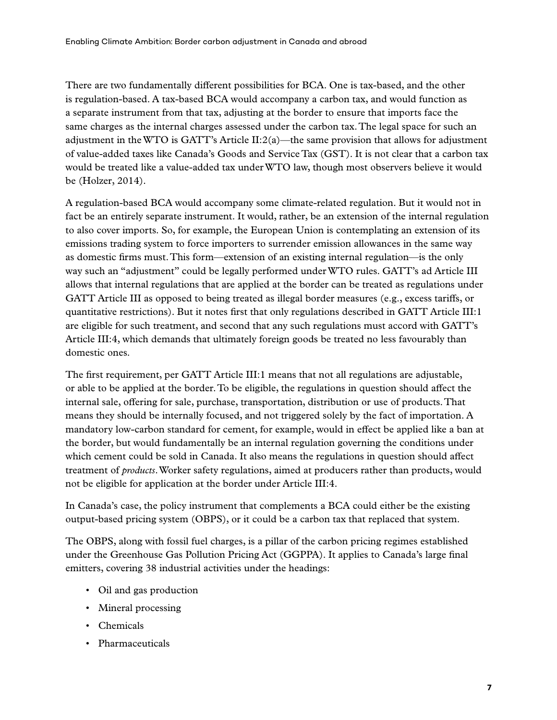There are two fundamentally different possibilities for BCA. One is tax-based, and the other is regulation-based. A tax-based BCA would accompany a carbon tax, and would function as a separate instrument from that tax, adjusting at the border to ensure that imports face the same charges as the internal charges assessed under the carbon tax. The legal space for such an adjustment in the WTO is GATT's Article  $II:2(a)$ —the same provision that allows for adjustment of value-added taxes like Canada's Goods and Service Tax (GST). It is not clear that a carbon tax would be treated like a value-added tax under WTO law, though most observers believe it would be (Holzer, 2014).

A regulation-based BCA would accompany some climate-related regulation. But it would not in fact be an entirely separate instrument. It would, rather, be an extension of the internal regulation to also cover imports. So, for example, the European Union is contemplating an extension of its emissions trading system to force importers to surrender emission allowances in the same way as domestic firms must. This form—extension of an existing internal regulation—is the only way such an "adjustment" could be legally performed under WTO rules. GATT's ad Article III allows that internal regulations that are applied at the border can be treated as regulations under GATT Article III as opposed to being treated as illegal border measures (e.g., excess tariffs, or quantitative restrictions). But it notes first that only regulations described in GATT Article III:1 are eligible for such treatment, and second that any such regulations must accord with GATT's Article III:4, which demands that ultimately foreign goods be treated no less favourably than domestic ones.

The first requirement, per GATT Article III:1 means that not all regulations are adjustable, or able to be applied at the border. To be eligible, the regulations in question should affect the internal sale, offering for sale, purchase, transportation, distribution or use of products. That means they should be internally focused, and not triggered solely by the fact of importation. A mandatory low-carbon standard for cement, for example, would in effect be applied like a ban at the border, but would fundamentally be an internal regulation governing the conditions under which cement could be sold in Canada. It also means the regulations in question should affect treatment of *products*. Worker safety regulations, aimed at producers rather than products, would not be eligible for application at the border under Article III:4.

In Canada's case, the policy instrument that complements a BCA could either be the existing output-based pricing system (OBPS), or it could be a carbon tax that replaced that system.

The OBPS, along with fossil fuel charges, is a pillar of the carbon pricing regimes established under the Greenhouse Gas Pollution Pricing Act (GGPPA). It applies to Canada's large final emitters, covering 38 industrial activities under the headings:

- Oil and gas production
- Mineral processing
- Chemicals
- Pharmaceuticals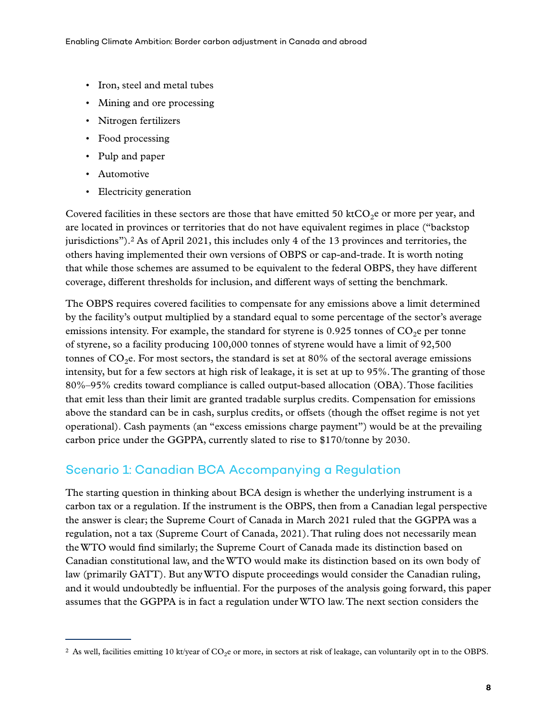- <span id="page-18-0"></span>• Iron, steel and metal tubes
- Mining and ore processing
- Nitrogen fertilizers
- Food processing
- Pulp and paper
- Automotive
- Electricity generation

Covered facilities in these sectors are those that have emitted 50 ktCO<sub>2</sub>e or more per year, and are located in provinces or territories that do not have equivalent regimes in place ("backstop jurisdictions").2 As of April 2021, this includes only 4 of the 13 provinces and territories, the others having implemented their own versions of OBPS or cap-and-trade. It is worth noting that while those schemes are assumed to be equivalent to the federal OBPS, they have different coverage, different thresholds for inclusion, and different ways of setting the benchmark.

The OBPS requires covered facilities to compensate for any emissions above a limit determined by the facility's output multiplied by a standard equal to some percentage of the sector's average emissions intensity. For example, the standard for styrene is 0.925 tonnes of  $CO<sub>2</sub>$ e per tonne of styrene, so a facility producing 100,000 tonnes of styrene would have a limit of 92,500 tonnes of  $CO<sub>2</sub>e$ . For most sectors, the standard is set at 80% of the sectoral average emissions intensity, but for a few sectors at high risk of leakage, it is set at up to 95%. The granting of those 80%–95% credits toward compliance is called output-based allocation (OBA). Those facilities that emit less than their limit are granted tradable surplus credits. Compensation for emissions above the standard can be in cash, surplus credits, or offsets (though the offset regime is not yet operational). Cash payments (an "excess emissions charge payment") would be at the prevailing carbon price under the GGPPA, currently slated to rise to \$170/tonne by 2030.

#### Scenario 1: Canadian BCA Accompanying a Regulation

The starting question in thinking about BCA design is whether the underlying instrument is a carbon tax or a regulation. If the instrument is the OBPS, then from a Canadian legal perspective the answer is clear; the Supreme Court of Canada in March 2021 ruled that the GGPPA was a regulation, not a tax (Supreme Court of Canada, 2021). That ruling does not necessarily mean the WTO would find similarly; the Supreme Court of Canada made its distinction based on Canadian constitutional law, and the WTO would make its distinction based on its own body of law (primarily GATT). But any WTO dispute proceedings would consider the Canadian ruling, and it would undoubtedly be influential. For the purposes of the analysis going forward, this paper assumes that the GGPPA is in fact a regulation under WTO law. The next section considers the

<sup>&</sup>lt;sup>2</sup> As well, facilities emitting 10 kt/year of  $CO<sub>2</sub>e$  or more, in sectors at risk of leakage, can voluntarily opt in to the OBPS.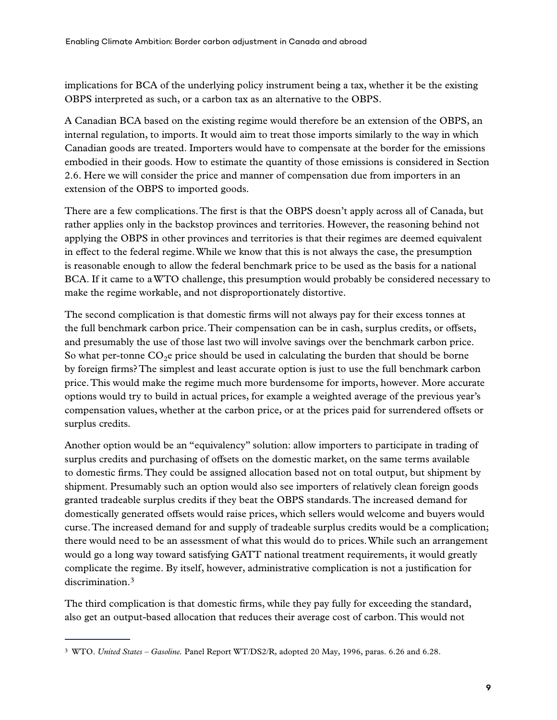implications for BCA of the underlying policy instrument being a tax, whether it be the existing OBPS interpreted as such, or a carbon tax as an alternative to the OBPS.

A Canadian BCA based on the existing regime would therefore be an extension of the OBPS, an internal regulation, to imports. It would aim to treat those imports similarly to the way in which Canadian goods are treated. Importers would have to compensate at the border for the emissions embodied in their goods. How to estimate the quantity of those emissions is considered in Section 2.6. Here we will consider the price and manner of compensation due from importers in an extension of the OBPS to imported goods.

There are a few complications. The first is that the OBPS doesn't apply across all of Canada, but rather applies only in the backstop provinces and territories. However, the reasoning behind not applying the OBPS in other provinces and territories is that their regimes are deemed equivalent in effect to the federal regime. While we know that this is not always the case, the presumption is reasonable enough to allow the federal benchmark price to be used as the basis for a national BCA. If it came to a WTO challenge, this presumption would probably be considered necessary to make the regime workable, and not disproportionately distortive.

The second complication is that domestic firms will not always pay for their excess tonnes at the full benchmark carbon price. Their compensation can be in cash, surplus credits, or offsets, and presumably the use of those last two will involve savings over the benchmark carbon price. So what per-tonne  $CO<sub>2</sub>e$  price should be used in calculating the burden that should be borne by foreign firms? The simplest and least accurate option is just to use the full benchmark carbon price. This would make the regime much more burdensome for imports, however. More accurate options would try to build in actual prices, for example a weighted average of the previous year's compensation values, whether at the carbon price, or at the prices paid for surrendered offsets or surplus credits.

Another option would be an "equivalency" solution: allow importers to participate in trading of surplus credits and purchasing of offsets on the domestic market, on the same terms available to domestic firms. They could be assigned allocation based not on total output, but shipment by shipment. Presumably such an option would also see importers of relatively clean foreign goods granted tradeable surplus credits if they beat the OBPS standards. The increased demand for domestically generated offsets would raise prices, which sellers would welcome and buyers would curse. The increased demand for and supply of tradeable surplus credits would be a complication; there would need to be an assessment of what this would do to prices. While such an arrangement would go a long way toward satisfying GATT national treatment requirements, it would greatly complicate the regime. By itself, however, administrative complication is not a justification for discrimination.3

The third complication is that domestic firms, while they pay fully for exceeding the standard, also get an output-based allocation that reduces their average cost of carbon. This would not

<sup>3</sup> WTO. *United States – Gasoline.* Panel Report WT/DS2/R, adopted 20 May, 1996, paras. 6.26 and 6.28.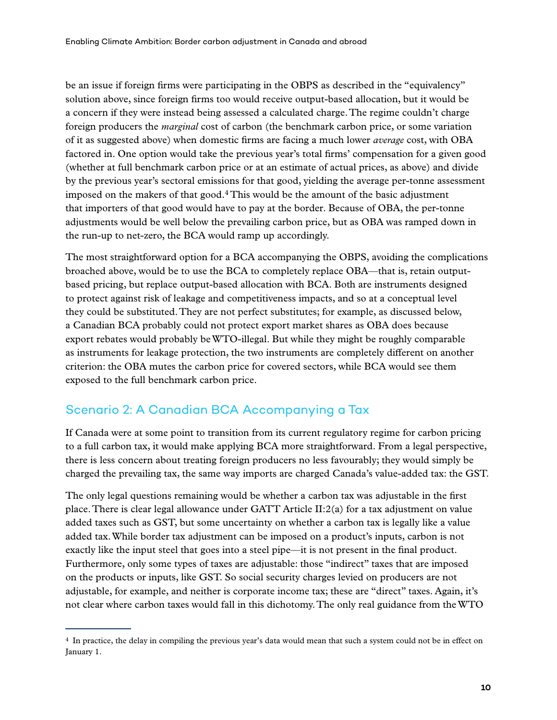<span id="page-20-0"></span>be an issue if foreign firms were participating in the OBPS as described in the "equivalency" solution above, since foreign firms too would receive output-based allocation, but it would be a concern if they were instead being assessed a calculated charge. The regime couldn't charge foreign producers the *marginal* cost of carbon (the benchmark carbon price, or some variation of it as suggested above) when domestic firms are facing a much lower *average* cost, with OBA factored in. One option would take the previous year's total firms' compensation for a given good (whether at full benchmark carbon price or at an estimate of actual prices, as above) and divide by the previous year's sectoral emissions for that good, yielding the average per-tonne assessment imposed on the makers of that good.4 This would be the amount of the basic adjustment that importers of that good would have to pay at the border. Because of OBA, the per-tonne adjustments would be well below the prevailing carbon price, but as OBA was ramped down in the run-up to net-zero, the BCA would ramp up accordingly.

The most straightforward option for a BCA accompanying the OBPS, avoiding the complications broached above, would be to use the BCA to completely replace OBA—that is, retain outputbased pricing, but replace output-based allocation with BCA. Both are instruments designed to protect against risk of leakage and competitiveness impacts, and so at a conceptual level they could be substituted. They are not perfect substitutes; for example, as discussed below, a Canadian BCA probably could not protect export market shares as OBA does because export rebates would probably be WTO-illegal. But while they might be roughly comparable as instruments for leakage protection, the two instruments are completely different on another criterion: the OBA mutes the carbon price for covered sectors, while BCA would see them exposed to the full benchmark carbon price.

#### Scenario 2: A Canadian BCA Accompanying a Tax

If Canada were at some point to transition from its current regulatory regime for carbon pricing to a full carbon tax, it would make applying BCA more straightforward. From a legal perspective, there is less concern about treating foreign producers no less favourably; they would simply be charged the prevailing tax, the same way imports are charged Canada's value-added tax: the GST.

The only legal questions remaining would be whether a carbon tax was adjustable in the first place. There is clear legal allowance under GATT Article II:2(a) for a tax adjustment on value added taxes such as GST, but some uncertainty on whether a carbon tax is legally like a value added tax. While border tax adjustment can be imposed on a product's inputs, carbon is not exactly like the input steel that goes into a steel pipe—it is not present in the final product. Furthermore, only some types of taxes are adjustable: those "indirect" taxes that are imposed on the products or inputs, like GST. So social security charges levied on producers are not adjustable, for example, and neither is corporate income tax; these are "direct" taxes. Again, it's not clear where carbon taxes would fall in this dichotomy. The only real guidance from the WTO

<sup>4</sup> In practice, the delay in compiling the previous year's data would mean that such a system could not be in effect on January 1.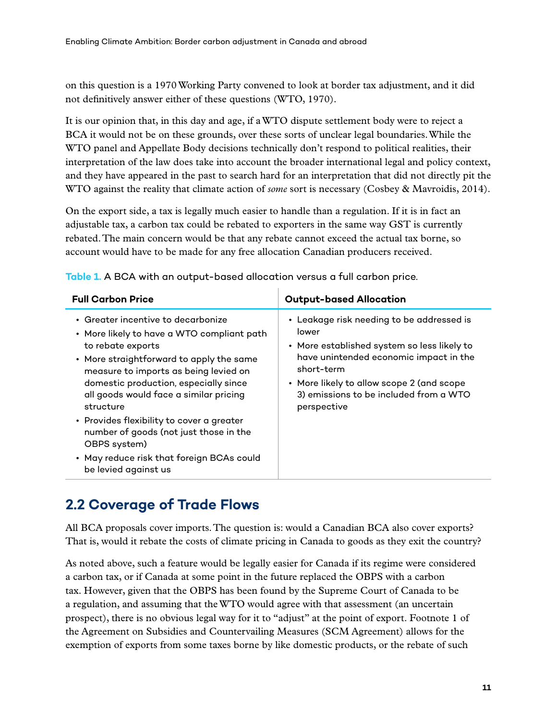<span id="page-21-0"></span>on this question is a 1970 Working Party convened to look at border tax adjustment, and it did not definitively answer either of these questions (WTO, 1970).

It is our opinion that, in this day and age, if a WTO dispute settlement body were to reject a BCA it would not be on these grounds, over these sorts of unclear legal boundaries. While the WTO panel and Appellate Body decisions technically don't respond to political realities, their interpretation of the law does take into account the broader international legal and policy context, and they have appeared in the past to search hard for an interpretation that did not directly pit the WTO against the reality that climate action of *some* sort is necessary (Cosbey & Mavroidis, 2014).

On the export side, a tax is legally much easier to handle than a regulation. If it is in fact an adjustable tax, a carbon tax could be rebated to exporters in the same way GST is currently rebated. The main concern would be that any rebate cannot exceed the actual tax borne, so account would have to be made for any free allocation Canadian producers received.

| <b>Full Carbon Price</b>                                                                                                                                                                                                                                                                                                                                                                                                                                                     | <b>Output-based Allocation</b>                                                                                                                                                                                                                                  |
|------------------------------------------------------------------------------------------------------------------------------------------------------------------------------------------------------------------------------------------------------------------------------------------------------------------------------------------------------------------------------------------------------------------------------------------------------------------------------|-----------------------------------------------------------------------------------------------------------------------------------------------------------------------------------------------------------------------------------------------------------------|
| $\cdot$ Greater incentive to decarbonize<br>• More likely to have a WTO compliant path<br>to rebate exports<br>• More straightforward to apply the same<br>measure to imports as being levied on<br>domestic production, especially since<br>all goods would face a similar pricing<br>structure<br>• Provides flexibility to cover a greater<br>number of goods (not just those in the<br>OBPS system)<br>• May reduce risk that foreign BCAs could<br>be levied against us | • Leakage risk needing to be addressed is<br>lower<br>• More established system so less likely to<br>have unintended economic impact in the<br>short-term<br>• More likely to allow scope 2 (and scope<br>3) emissions to be included from a WTO<br>perspective |

**Table 1.** A BCA with an output-based allocation versus a full carbon price.

#### **2.2 Coverage of Trade Flows**

All BCA proposals cover imports. The question is: would a Canadian BCA also cover exports? That is, would it rebate the costs of climate pricing in Canada to goods as they exit the country?

As noted above, such a feature would be legally easier for Canada if its regime were considered a carbon tax, or if Canada at some point in the future replaced the OBPS with a carbon tax. However, given that the OBPS has been found by the Supreme Court of Canada to be a regulation, and assuming that the WTO would agree with that assessment (an uncertain prospect), there is no obvious legal way for it to "adjust" at the point of export. Footnote 1 of the Agreement on Subsidies and Countervailing Measures (SCM Agreement) allows for the exemption of exports from some taxes borne by like domestic products, or the rebate of such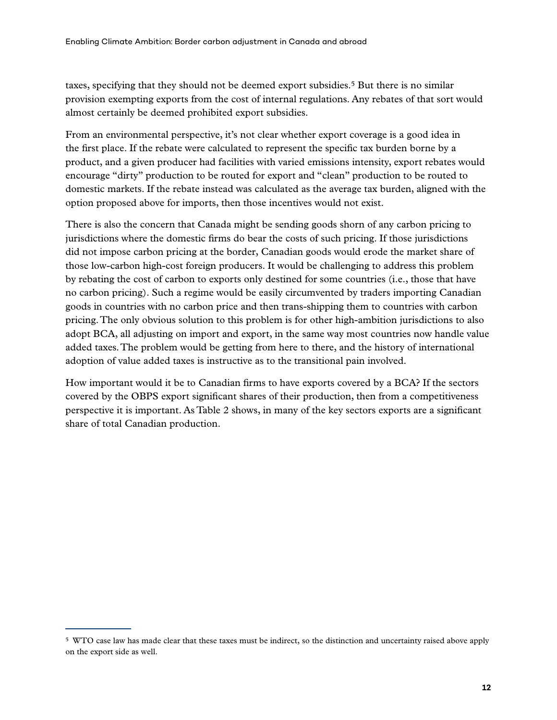taxes, specifying that they should not be deemed export subsidies.5 But there is no similar provision exempting exports from the cost of internal regulations. Any rebates of that sort would almost certainly be deemed prohibited export subsidies.

From an environmental perspective, it's not clear whether export coverage is a good idea in the first place. If the rebate were calculated to represent the specific tax burden borne by a product, and a given producer had facilities with varied emissions intensity, export rebates would encourage "dirty" production to be routed for export and "clean" production to be routed to domestic markets. If the rebate instead was calculated as the average tax burden, aligned with the option proposed above for imports, then those incentives would not exist.

There is also the concern that Canada might be sending goods shorn of any carbon pricing to jurisdictions where the domestic firms do bear the costs of such pricing. If those jurisdictions did not impose carbon pricing at the border, Canadian goods would erode the market share of those low-carbon high-cost foreign producers. It would be challenging to address this problem by rebating the cost of carbon to exports only destined for some countries (i.e., those that have no carbon pricing). Such a regime would be easily circumvented by traders importing Canadian goods in countries with no carbon price and then trans-shipping them to countries with carbon pricing. The only obvious solution to this problem is for other high-ambition jurisdictions to also adopt BCA, all adjusting on import and export, in the same way most countries now handle value added taxes. The problem would be getting from here to there, and the history of international adoption of value added taxes is instructive as to the transitional pain involved.

How important would it be to Canadian firms to have exports covered by a BCA? If the sectors covered by the OBPS export significant shares of their production, then from a competitiveness perspective it is important. As Table 2 shows, in many of the key sectors exports are a significant share of total Canadian production.

<sup>5</sup> WTO case law has made clear that these taxes must be indirect, so the distinction and uncertainty raised above apply on the export side as well.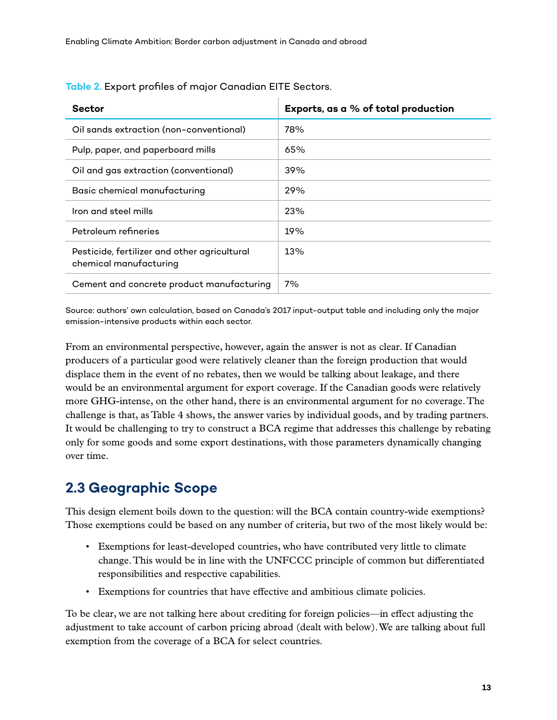| <b>Sector</b>                                                          | Exports, as a % of total production |
|------------------------------------------------------------------------|-------------------------------------|
| Oil sands extraction (non-conventional)                                | 78%                                 |
| Pulp, paper, and paperboard mills                                      | 65%                                 |
| Oil and gas extraction (conventional)                                  | 39%                                 |
| Basic chemical manufacturing                                           | 29%                                 |
| Iron and steel mills                                                   | 23%                                 |
| Petroleum refineries                                                   | 19%                                 |
| Pesticide, fertilizer and other agricultural<br>chemical manufacturing | 13%                                 |
| Cement and concrete product manufacturing                              | 7%                                  |

<span id="page-23-0"></span>**Table 2.** Export profiles of major Canadian EITE Sectors.

Source: authors' own calculation, based on Canada's 2017 input-output table and including only the major emission-intensive products within each sector.

From an environmental perspective, however, again the answer is not as clear. If Canadian producers of a particular good were relatively cleaner than the foreign production that would displace them in the event of no rebates, then we would be talking about leakage, and there would be an environmental argument for export coverage. If the Canadian goods were relatively more GHG-intense, on the other hand, there is an environmental argument for no coverage. The challenge is that, as Table 4 shows, the answer varies by individual goods, and by trading partners. It would be challenging to try to construct a BCA regime that addresses this challenge by rebating only for some goods and some export destinations, with those parameters dynamically changing over time.

### **2.3 Geographic Scope**

This design element boils down to the question: will the BCA contain country-wide exemptions? Those exemptions could be based on any number of criteria, but two of the most likely would be:

- Exemptions for least-developed countries, who have contributed very little to climate change. This would be in line with the UNFCCC principle of common but differentiated responsibilities and respective capabilities.
- Exemptions for countries that have effective and ambitious climate policies.

To be clear, we are not talking here about crediting for foreign policies—in effect adjusting the adjustment to take account of carbon pricing abroad (dealt with below). We are talking about full exemption from the coverage of a BCA for select countries.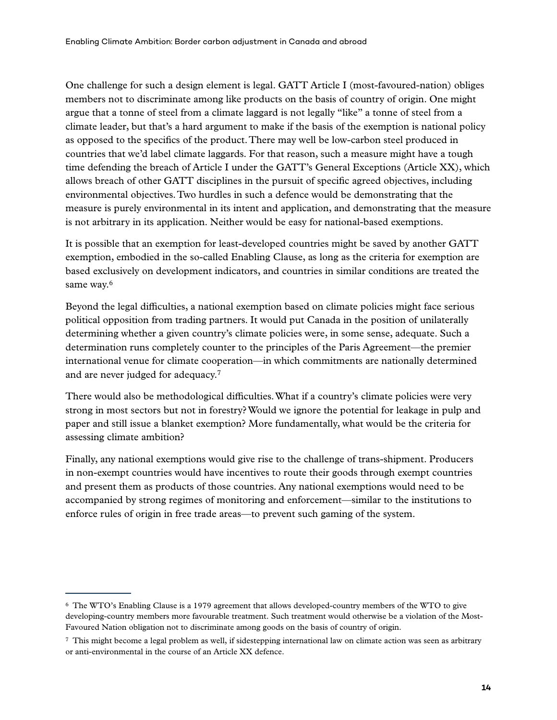One challenge for such a design element is legal. GATT Article I (most-favoured-nation) obliges members not to discriminate among like products on the basis of country of origin. One might argue that a tonne of steel from a climate laggard is not legally "like" a tonne of steel from a climate leader, but that's a hard argument to make if the basis of the exemption is national policy as opposed to the specifics of the product. There may well be low-carbon steel produced in countries that we'd label climate laggards. For that reason, such a measure might have a tough time defending the breach of Article I under the GATT's General Exceptions (Article XX), which allows breach of other GATT disciplines in the pursuit of specific agreed objectives, including environmental objectives. Two hurdles in such a defence would be demonstrating that the measure is purely environmental in its intent and application, and demonstrating that the measure is not arbitrary in its application. Neither would be easy for national-based exemptions.

It is possible that an exemption for least-developed countries might be saved by another GATT exemption, embodied in the so-called Enabling Clause, as long as the criteria for exemption are based exclusively on development indicators, and countries in similar conditions are treated the same way.<sup>6</sup>

Beyond the legal difficulties, a national exemption based on climate policies might face serious political opposition from trading partners. It would put Canada in the position of unilaterally determining whether a given country's climate policies were, in some sense, adequate. Such a determination runs completely counter to the principles of the Paris Agreement—the premier international venue for climate cooperation—in which commitments are nationally determined and are never judged for adequacy.7

There would also be methodological difficulties. What if a country's climate policies were very strong in most sectors but not in forestry? Would we ignore the potential for leakage in pulp and paper and still issue a blanket exemption? More fundamentally, what would be the criteria for assessing climate ambition?

Finally, any national exemptions would give rise to the challenge of trans-shipment. Producers in non-exempt countries would have incentives to route their goods through exempt countries and present them as products of those countries. Any national exemptions would need to be accompanied by strong regimes of monitoring and enforcement—similar to the institutions to enforce rules of origin in free trade areas—to prevent such gaming of the system.

<sup>6</sup> The WTO's Enabling Clause is a 1979 agreement that allows developed-country members of the WTO to give developing-country members more favourable treatment. Such treatment would otherwise be a violation of the Most-Favoured Nation obligation not to discriminate among goods on the basis of country of origin.

<sup>7</sup> This might become a legal problem as well, if sidestepping international law on climate action was seen as arbitrary or anti-environmental in the course of an Article XX defence.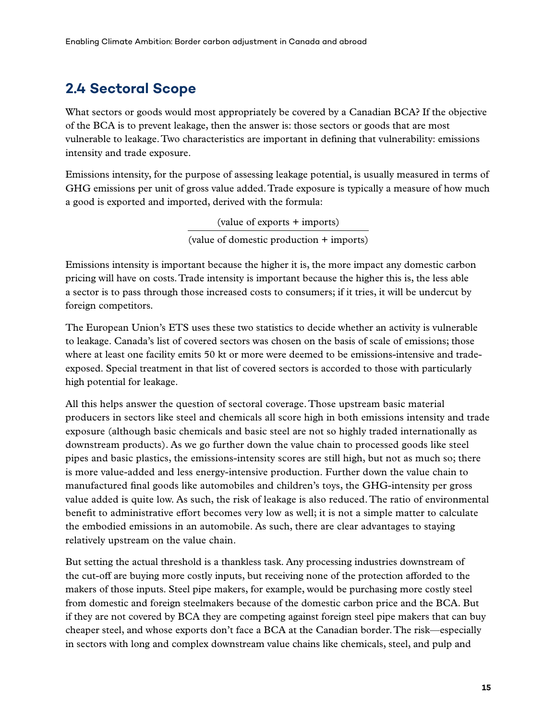### <span id="page-25-0"></span>**2.4 Sectoral Scope**

What sectors or goods would most appropriately be covered by a Canadian BCA? If the objective of the BCA is to prevent leakage, then the answer is: those sectors or goods that are most vulnerable to leakage. Two characteristics are important in defining that vulnerability: emissions intensity and trade exposure.

Emissions intensity, for the purpose of assessing leakage potential, is usually measured in terms of GHG emissions per unit of gross value added. Trade exposure is typically a measure of how much a good is exported and imported, derived with the formula:

> (value of exports + imports) (value of domestic production + imports)

Emissions intensity is important because the higher it is, the more impact any domestic carbon pricing will have on costs. Trade intensity is important because the higher this is, the less able a sector is to pass through those increased costs to consumers; if it tries, it will be undercut by foreign competitors.

The European Union's ETS uses these two statistics to decide whether an activity is vulnerable to leakage. Canada's list of covered sectors was chosen on the basis of scale of emissions; those where at least one facility emits 50 kt or more were deemed to be emissions-intensive and tradeexposed. Special treatment in that list of covered sectors is accorded to those with particularly high potential for leakage.

All this helps answer the question of sectoral coverage. Those upstream basic material producers in sectors like steel and chemicals all score high in both emissions intensity and trade exposure (although basic chemicals and basic steel are not so highly traded internationally as downstream products). As we go further down the value chain to processed goods like steel pipes and basic plastics, the emissions-intensity scores are still high, but not as much so; there is more value-added and less energy-intensive production. Further down the value chain to manufactured final goods like automobiles and children's toys, the GHG-intensity per gross value added is quite low. As such, the risk of leakage is also reduced. The ratio of environmental benefit to administrative effort becomes very low as well; it is not a simple matter to calculate the embodied emissions in an automobile. As such, there are clear advantages to staying relatively upstream on the value chain.

But setting the actual threshold is a thankless task. Any processing industries downstream of the cut-off are buying more costly inputs, but receiving none of the protection afforded to the makers of those inputs. Steel pipe makers, for example, would be purchasing more costly steel from domestic and foreign steelmakers because of the domestic carbon price and the BCA. But if they are not covered by BCA they are competing against foreign steel pipe makers that can buy cheaper steel, and whose exports don't face a BCA at the Canadian border. The risk—especially in sectors with long and complex downstream value chains like chemicals, steel, and pulp and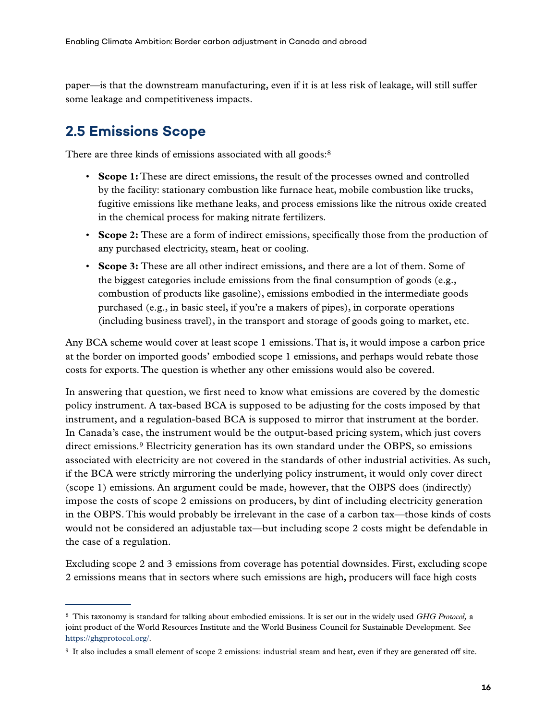<span id="page-26-0"></span>paper—is that the downstream manufacturing, even if it is at less risk of leakage, will still suffer some leakage and competitiveness impacts.

### **2.5 Emissions Scope**

There are three kinds of emissions associated with all goods:<sup>8</sup>

- **Scope 1:** These are direct emissions, the result of the processes owned and controlled by the facility: stationary combustion like furnace heat, mobile combustion like trucks, fugitive emissions like methane leaks, and process emissions like the nitrous oxide created in the chemical process for making nitrate fertilizers.
- **Scope 2:** These are a form of indirect emissions, specifically those from the production of any purchased electricity, steam, heat or cooling.
- **Scope 3:** These are all other indirect emissions, and there are a lot of them. Some of the biggest categories include emissions from the final consumption of goods (e.g., combustion of products like gasoline), emissions embodied in the intermediate goods purchased (e.g., in basic steel, if you're a makers of pipes), in corporate operations (including business travel), in the transport and storage of goods going to market, etc.

Any BCA scheme would cover at least scope 1 emissions. That is, it would impose a carbon price at the border on imported goods' embodied scope 1 emissions, and perhaps would rebate those costs for exports. The question is whether any other emissions would also be covered.

In answering that question, we first need to know what emissions are covered by the domestic policy instrument. A tax-based BCA is supposed to be adjusting for the costs imposed by that instrument, and a regulation-based BCA is supposed to mirror that instrument at the border. In Canada's case, the instrument would be the output-based pricing system, which just covers direct emissions.9 Electricity generation has its own standard under the OBPS, so emissions associated with electricity are not covered in the standards of other industrial activities. As such, if the BCA were strictly mirroring the underlying policy instrument, it would only cover direct (scope 1) emissions. An argument could be made, however, that the OBPS does (indirectly) impose the costs of scope 2 emissions on producers, by dint of including electricity generation in the OBPS. This would probably be irrelevant in the case of a carbon tax—those kinds of costs would not be considered an adjustable tax—but including scope 2 costs might be defendable in the case of a regulation.

Excluding scope 2 and 3 emissions from coverage has potential downsides. First, excluding scope 2 emissions means that in sectors where such emissions are high, producers will face high costs

<sup>8</sup> This taxonomy is standard for talking about embodied emissions. It is set out in the widely used *GHG Protocol,* a joint product of the World Resources Institute and the World Business Council for Sustainable Development. See [https://ghgprotocol.org/.](https://ghgprotocol.org/)

<sup>9</sup> It also includes a small element of scope 2 emissions: industrial steam and heat, even if they are generated off site.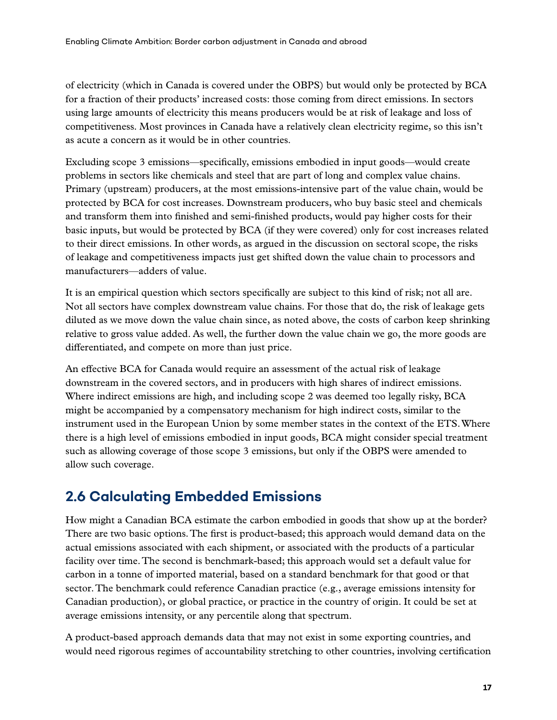<span id="page-27-0"></span>of electricity (which in Canada is covered under the OBPS) but would only be protected by BCA for a fraction of their products' increased costs: those coming from direct emissions. In sectors using large amounts of electricity this means producers would be at risk of leakage and loss of competitiveness. Most provinces in Canada have a relatively clean electricity regime, so this isn't as acute a concern as it would be in other countries.

Excluding scope 3 emissions—specifically, emissions embodied in input goods—would create problems in sectors like chemicals and steel that are part of long and complex value chains. Primary (upstream) producers, at the most emissions-intensive part of the value chain, would be protected by BCA for cost increases. Downstream producers, who buy basic steel and chemicals and transform them into finished and semi-finished products, would pay higher costs for their basic inputs, but would be protected by BCA (if they were covered) only for cost increases related to their direct emissions. In other words, as argued in the discussion on sectoral scope, the risks of leakage and competitiveness impacts just get shifted down the value chain to processors and manufacturers—adders of value.

It is an empirical question which sectors specifically are subject to this kind of risk; not all are. Not all sectors have complex downstream value chains. For those that do, the risk of leakage gets diluted as we move down the value chain since, as noted above, the costs of carbon keep shrinking relative to gross value added. As well, the further down the value chain we go, the more goods are differentiated, and compete on more than just price.

An effective BCA for Canada would require an assessment of the actual risk of leakage downstream in the covered sectors, and in producers with high shares of indirect emissions. Where indirect emissions are high, and including scope 2 was deemed too legally risky, BCA might be accompanied by a compensatory mechanism for high indirect costs, similar to the instrument used in the European Union by some member states in the context of the ETS. Where there is a high level of emissions embodied in input goods, BCA might consider special treatment such as allowing coverage of those scope 3 emissions, but only if the OBPS were amended to allow such coverage.

### **2.6 Calculating Embedded Emissions**

How might a Canadian BCA estimate the carbon embodied in goods that show up at the border? There are two basic options. The first is product-based; this approach would demand data on the actual emissions associated with each shipment, or associated with the products of a particular facility over time. The second is benchmark-based; this approach would set a default value for carbon in a tonne of imported material, based on a standard benchmark for that good or that sector. The benchmark could reference Canadian practice (e.g., average emissions intensity for Canadian production), or global practice, or practice in the country of origin. It could be set at average emissions intensity, or any percentile along that spectrum.

A product-based approach demands data that may not exist in some exporting countries, and would need rigorous regimes of accountability stretching to other countries, involving certification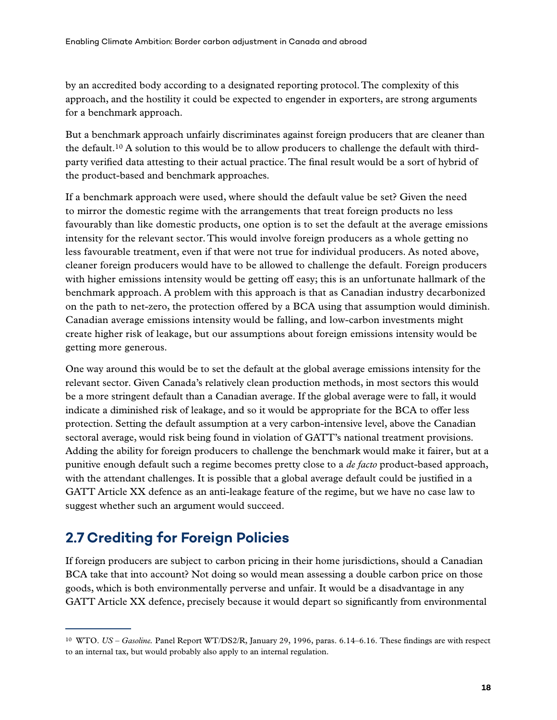<span id="page-28-0"></span>by an accredited body according to a designated reporting protocol. The complexity of this approach, and the hostility it could be expected to engender in exporters, are strong arguments for a benchmark approach.

But a benchmark approach unfairly discriminates against foreign producers that are cleaner than the default.<sup>10</sup> A solution to this would be to allow producers to challenge the default with thirdparty verified data attesting to their actual practice. The final result would be a sort of hybrid of the product-based and benchmark approaches.

If a benchmark approach were used, where should the default value be set? Given the need to mirror the domestic regime with the arrangements that treat foreign products no less favourably than like domestic products, one option is to set the default at the average emissions intensity for the relevant sector. This would involve foreign producers as a whole getting no less favourable treatment, even if that were not true for individual producers. As noted above, cleaner foreign producers would have to be allowed to challenge the default. Foreign producers with higher emissions intensity would be getting off easy; this is an unfortunate hallmark of the benchmark approach. A problem with this approach is that as Canadian industry decarbonized on the path to net-zero, the protection offered by a BCA using that assumption would diminish. Canadian average emissions intensity would be falling, and low-carbon investments might create higher risk of leakage, but our assumptions about foreign emissions intensity would be getting more generous.

One way around this would be to set the default at the global average emissions intensity for the relevant sector. Given Canada's relatively clean production methods, in most sectors this would be a more stringent default than a Canadian average. If the global average were to fall, it would indicate a diminished risk of leakage, and so it would be appropriate for the BCA to offer less protection. Setting the default assumption at a very carbon-intensive level, above the Canadian sectoral average, would risk being found in violation of GATT's national treatment provisions. Adding the ability for foreign producers to challenge the benchmark would make it fairer, but at a punitive enough default such a regime becomes pretty close to a *de facto* product-based approach, with the attendant challenges. It is possible that a global average default could be justified in a GATT Article XX defence as an anti-leakage feature of the regime, but we have no case law to suggest whether such an argument would succeed.

## **2.7 Crediting for Foreign Policies**

If foreign producers are subject to carbon pricing in their home jurisdictions, should a Canadian BCA take that into account? Not doing so would mean assessing a double carbon price on those goods, which is both environmentally perverse and unfair. It would be a disadvantage in any GATT Article XX defence, precisely because it would depart so significantly from environmental

<sup>10</sup> WTO. *US – Gasoline.* Panel Report WT/DS2/R, January 29, 1996, paras. 6.14–6.16. These findings are with respect to an internal tax, but would probably also apply to an internal regulation.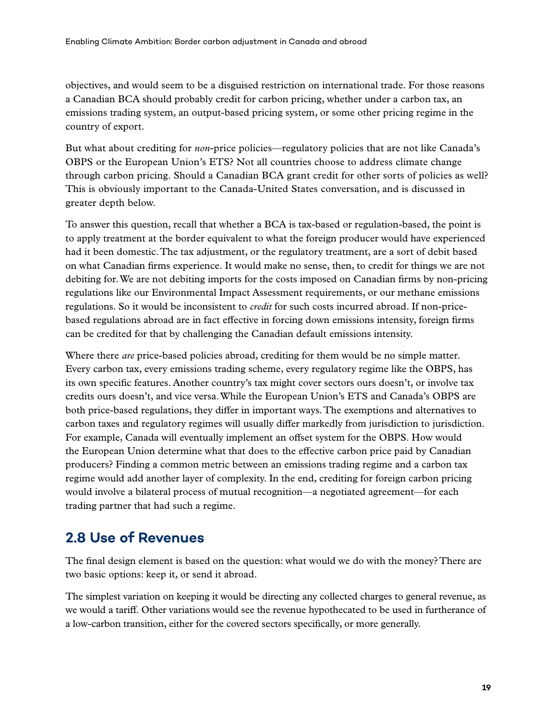<span id="page-29-0"></span>objectives, and would seem to be a disguised restriction on international trade. For those reasons a Canadian BCA should probably credit for carbon pricing, whether under a carbon tax, an emissions trading system, an output-based pricing system, or some other pricing regime in the country of export.

But what about crediting for *non*-price policies—regulatory policies that are not like Canada's OBPS or the European Union's ETS? Not all countries choose to address climate change through carbon pricing. Should a Canadian BCA grant credit for other sorts of policies as well? This is obviously important to the Canada-United States conversation, and is discussed in greater depth below.

To answer this question, recall that whether a BCA is tax-based or regulation-based, the point is to apply treatment at the border equivalent to what the foreign producer would have experienced had it been domestic. The tax adjustment, or the regulatory treatment, are a sort of debit based on what Canadian firms experience. It would make no sense, then, to credit for things we are not debiting for. We are not debiting imports for the costs imposed on Canadian firms by non-pricing regulations like our Environmental Impact Assessment requirements, or our methane emissions regulations. So it would be inconsistent to *credit* for such costs incurred abroad. If non-pricebased regulations abroad are in fact effective in forcing down emissions intensity, foreign firms can be credited for that by challenging the Canadian default emissions intensity.

Where there *are* price-based policies abroad, crediting for them would be no simple matter. Every carbon tax, every emissions trading scheme, every regulatory regime like the OBPS, has its own specific features. Another country's tax might cover sectors ours doesn't, or involve tax credits ours doesn't, and vice versa. While the European Union's ETS and Canada's OBPS are both price-based regulations, they differ in important ways. The exemptions and alternatives to carbon taxes and regulatory regimes will usually differ markedly from jurisdiction to jurisdiction. For example, Canada will eventually implement an offset system for the OBPS. How would the European Union determine what that does to the effective carbon price paid by Canadian producers? Finding a common metric between an emissions trading regime and a carbon tax regime would add another layer of complexity. In the end, crediting for foreign carbon pricing would involve a bilateral process of mutual recognition—a negotiated agreement—for each trading partner that had such a regime.

#### **2.8 Use of Revenues**

The final design element is based on the question: what would we do with the money? There are two basic options: keep it, or send it abroad.

The simplest variation on keeping it would be directing any collected charges to general revenue, as we would a tariff. Other variations would see the revenue hypothecated to be used in furtherance of a low-carbon transition, either for the covered sectors specifically, or more generally.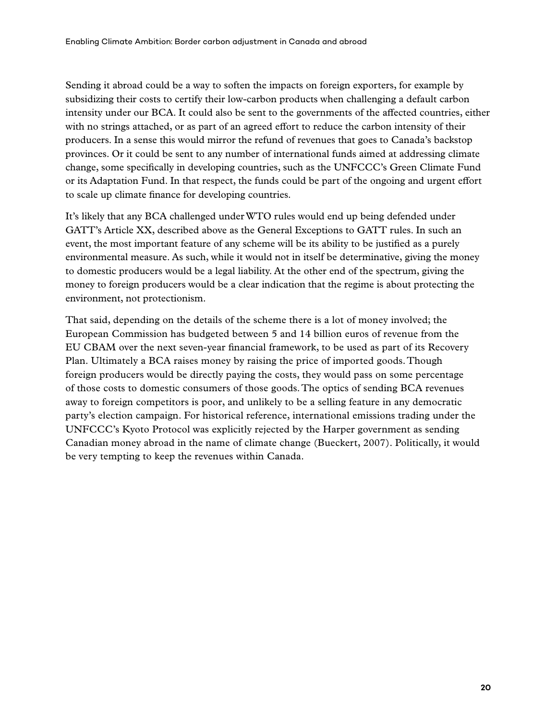Sending it abroad could be a way to soften the impacts on foreign exporters, for example by subsidizing their costs to certify their low-carbon products when challenging a default carbon intensity under our BCA. It could also be sent to the governments of the affected countries, either with no strings attached, or as part of an agreed effort to reduce the carbon intensity of their producers. In a sense this would mirror the refund of revenues that goes to Canada's backstop provinces. Or it could be sent to any number of international funds aimed at addressing climate change, some specifically in developing countries, such as the UNFCCC's Green Climate Fund or its Adaptation Fund. In that respect, the funds could be part of the ongoing and urgent effort to scale up climate finance for developing countries.

It's likely that any BCA challenged under WTO rules would end up being defended under GATT's Article XX, described above as the General Exceptions to GATT rules. In such an event, the most important feature of any scheme will be its ability to be justified as a purely environmental measure. As such, while it would not in itself be determinative, giving the money to domestic producers would be a legal liability. At the other end of the spectrum, giving the money to foreign producers would be a clear indication that the regime is about protecting the environment, not protectionism.

That said, depending on the details of the scheme there is a lot of money involved; the European Commission has budgeted between 5 and 14 billion euros of revenue from the EU CBAM over the next seven-year financial framework, to be used as part of its Recovery Plan. Ultimately a BCA raises money by raising the price of imported goods. Though foreign producers would be directly paying the costs, they would pass on some percentage of those costs to domestic consumers of those goods. The optics of sending BCA revenues away to foreign competitors is poor, and unlikely to be a selling feature in any democratic party's election campaign. For historical reference, international emissions trading under the UNFCCC's Kyoto Protocol was explicitly rejected by the Harper government as sending Canadian money abroad in the name of climate change (Bueckert, 2007). Politically, it would be very tempting to keep the revenues within Canada.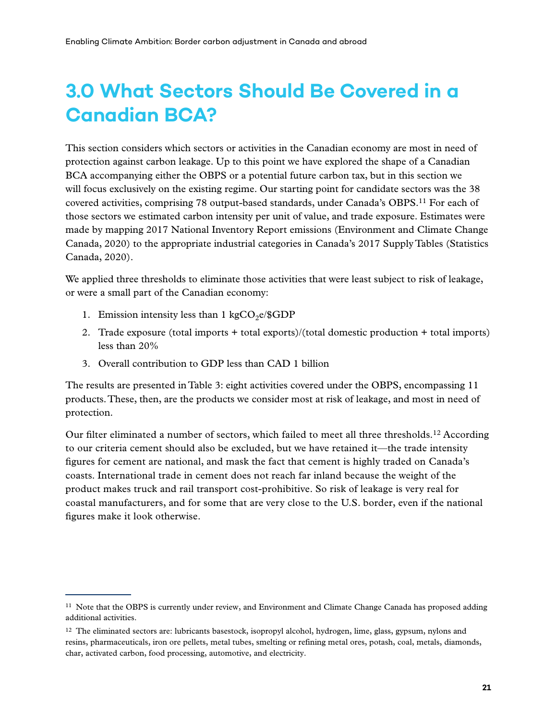# <span id="page-31-0"></span>**3.0 What Sectors Should Be Covered in a Canadian BCA?**

This section considers which sectors or activities in the Canadian economy are most in need of protection against carbon leakage. Up to this point we have explored the shape of a Canadian BCA accompanying either the OBPS or a potential future carbon tax, but in this section we will focus exclusively on the existing regime. Our starting point for candidate sectors was the 38 covered activities, comprising 78 output-based standards, under Canada's OBPS.11 For each of those sectors we estimated carbon intensity per unit of value, and trade exposure. Estimates were made by mapping 2017 National Inventory Report emissions (Environment and Climate Change Canada, 2020) to the appropriate industrial categories in Canada's 2017 Supply Tables (Statistics Canada, 2020).

We applied three thresholds to eliminate those activities that were least subject to risk of leakage, or were a small part of the Canadian economy:

- 1. Emission intensity less than 1 kgCO<sub>2</sub>e/\$GDP
- 2. Trade exposure (total imports + total exports)/(total domestic production + total imports) less than 20%
- 3. Overall contribution to GDP less than CAD 1 billion

The results are presented in Table 3: eight activities covered under the OBPS, encompassing 11 products. These, then, are the products we consider most at risk of leakage, and most in need of protection.

Our filter eliminated a number of sectors, which failed to meet all three thresholds.12 According to our criteria cement should also be excluded, but we have retained it—the trade intensity figures for cement are national, and mask the fact that cement is highly traded on Canada's coasts. International trade in cement does not reach far inland because the weight of the product makes truck and rail transport cost-prohibitive. So risk of leakage is very real for coastal manufacturers, and for some that are very close to the U.S. border, even if the national figures make it look otherwise.

<sup>11</sup> Note that the OBPS is currently under review, and Environment and Climate Change Canada has proposed adding additional activities.

 $12$  The eliminated sectors are: lubricants basestock, isopropyl alcohol, hydrogen, lime, glass, gypsum, nylons and resins, pharmaceuticals, iron ore pellets, metal tubes, smelting or refining metal ores, potash, coal, metals, diamonds, char, activated carbon, food processing, automotive, and electricity.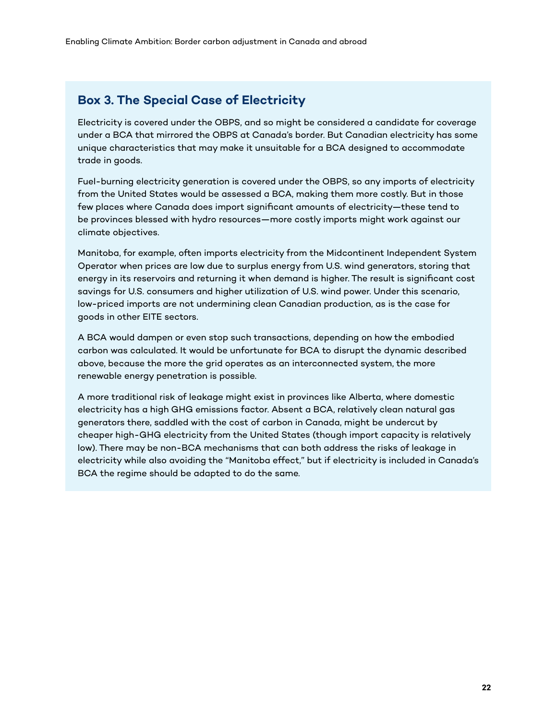#### **Box 3. The Special Case of Electricity**

Electricity is covered under the OBPS, and so might be considered a candidate for coverage under a BCA that mirrored the OBPS at Canada's border. But Canadian electricity has some unique characteristics that may make it unsuitable for a BCA designed to accommodate trade in goods.

Fuel-burning electricity generation is covered under the OBPS, so any imports of electricity from the United States would be assessed a BCA, making them more costly. But in those few places where Canada does import significant amounts of electricity—these tend to be provinces blessed with hydro resources—more costly imports might work against our climate objectives.

Manitoba, for example, often imports electricity from the Midcontinent Independent System Operator when prices are low due to surplus energy from U.S. wind generators, storing that energy in its reservoirs and returning it when demand is higher. The result is significant cost savings for U.S. consumers and higher utilization of U.S. wind power. Under this scenario, low-priced imports are not undermining clean Canadian production, as is the case for goods in other EITE sectors.

A BCA would dampen or even stop such transactions, depending on how the embodied carbon was calculated. It would be unfortunate for BCA to disrupt the dynamic described above, because the more the grid operates as an interconnected system, the more renewable energy penetration is possible.

A more traditional risk of leakage might exist in provinces like Alberta, where domestic electricity has a high GHG emissions factor. Absent a BCA, relatively clean natural gas generators there, saddled with the cost of carbon in Canada, might be undercut by cheaper high-GHG electricity from the United States (though import capacity is relatively low). There may be non-BCA mechanisms that can both address the risks of leakage in electricity while also avoiding the "Manitoba effect," but if electricity is included in Canada's BCA the regime should be adapted to do the same.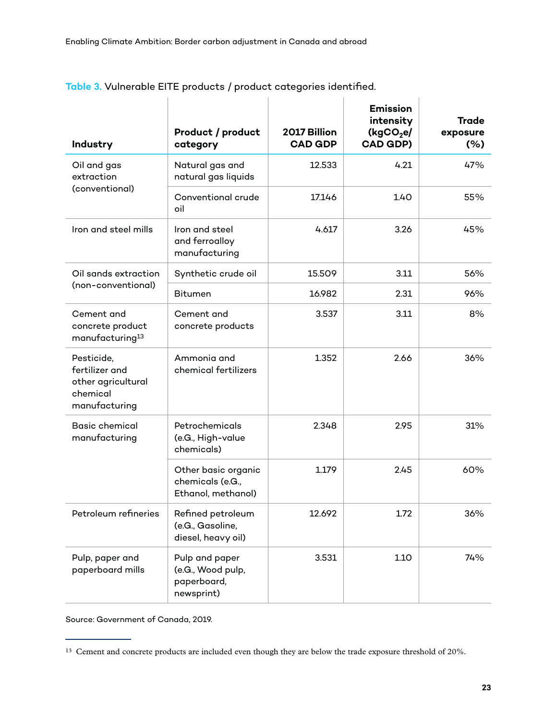| Industry                                                                        | Product / product<br>category                                    | 2017 Billion<br><b>CAD GDP</b> | <b>Emission</b><br>intensity<br>(kgCO <sub>2</sub> e)<br><b>CAD GDP)</b> | <b>Trade</b><br>exposure<br>(% ) |
|---------------------------------------------------------------------------------|------------------------------------------------------------------|--------------------------------|--------------------------------------------------------------------------|----------------------------------|
| Oil and gas<br>extraction                                                       | Natural gas and<br>natural gas liquids                           | 12.533                         | 4.21                                                                     | 47%                              |
| (conventional)                                                                  | Conventional crude<br>oil                                        | 17.146                         | 1.40                                                                     | 55%                              |
| Iron and steel mills                                                            | Iron and steel<br>and ferroalloy<br>manufacturing                | 4.617                          | 3.26                                                                     | 45%                              |
| Oil sands extraction                                                            | Synthetic crude oil                                              | 15.509                         | 3.11                                                                     | 56%                              |
| (non-conventional)                                                              | <b>Bitumen</b>                                                   | 16.982                         | 2.31                                                                     | 96%                              |
| Cement and<br>concrete product<br>manufacturing <sup>13</sup>                   | Cement and<br>concrete products                                  | 3.537                          | 3.11                                                                     | 8%                               |
| Pesticide,<br>fertilizer and<br>other agricultural<br>chemical<br>manufacturing | Ammonia and<br>chemical fertilizers                              | 1.352                          | 2.66                                                                     | 36%                              |
| <b>Basic chemical</b><br>manufacturing                                          | Petrochemicals<br>(e.G., High-value<br>chemicals)                | 2.348                          | 2.95                                                                     | 31%                              |
|                                                                                 | Other basic organic<br>chemicals (e.G.,<br>Ethanol, methanol)    | 1.179                          | 2.45                                                                     | 60%                              |
| Petroleum refineries                                                            | Refined petroleum<br>(e.G., Gasoline,<br>diesel, heavy oil)      | 12.692                         | 1.72                                                                     | 36%                              |
| Pulp, paper and<br>paperboard mills                                             | Pulp and paper<br>(e.G., Wood pulp,<br>paperboard,<br>newsprint) | 3.531                          | 1.10                                                                     | 74%                              |

**Table 3.** Vulnerable EITE products / product categories identified.

 $\mathbf{r}$ 

 $\overline{1}$ 

 $\mathbf{r}$ 

Source: Government of Canada, 2019.

<sup>&</sup>lt;sup>13</sup> Cement and concrete products are included even though they are below the trade exposure threshold of 20%.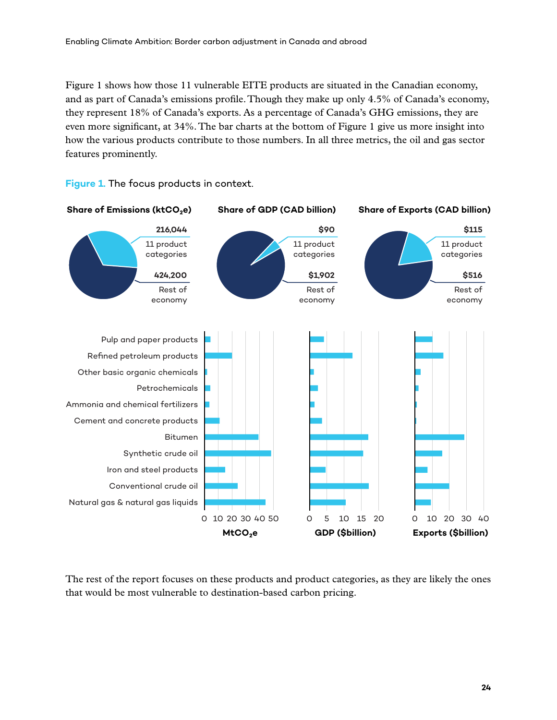Figure 1 shows how those 11 vulnerable EITE products are situated in the Canadian economy, and as part of Canada's emissions profile. Though they make up only 4.5% of Canada's economy, they represent 18% of Canada's exports. As a percentage of Canada's GHG emissions, they are even more significant, at 34%. The bar charts at the bottom of Figure 1 give us more insight into how the various products contribute to those numbers. In all three metrics, the oil and gas sector features prominently.



#### **Figure 1.** The focus products in context.

The rest of the report focuses on these products and product categories, as they are likely the ones that would be most vulnerable to destination-based carbon pricing.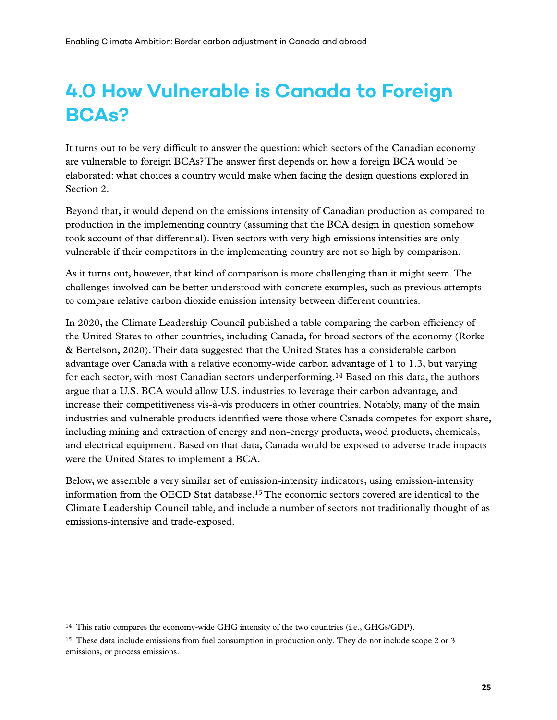# <span id="page-35-0"></span>**4.0 How Vulnerable is Canada to Foreign BCAs?**

It turns out to be very difficult to answer the question: which sectors of the Canadian economy are vulnerable to foreign BCAs? The answer first depends on how a foreign BCA would be elaborated: what choices a country would make when facing the design questions explored in Section 2.

Beyond that, it would depend on the emissions intensity of Canadian production as compared to production in the implementing country (assuming that the BCA design in question somehow took account of that differential). Even sectors with very high emissions intensities are only vulnerable if their competitors in the implementing country are not so high by comparison.

As it turns out, however, that kind of comparison is more challenging than it might seem. The challenges involved can be better understood with concrete examples, such as previous attempts to compare relative carbon dioxide emission intensity between different countries.

In 2020, the Climate Leadership Council published a table comparing the carbon efficiency of the United States to other countries, including Canada, for broad sectors of the economy (Rorke & Bertelson, 2020). Their data suggested that the United States has a considerable carbon advantage over Canada with a relative economy-wide carbon advantage of 1 to 1.3, but varying for each sector, with most Canadian sectors underperforming.14 Based on this data, the authors argue that a U.S. BCA would allow U.S. industries to leverage their carbon advantage, and increase their competitiveness vis-à-vis producers in other countries. Notably, many of the main industries and vulnerable products identified were those where Canada competes for export share, including mining and extraction of energy and non-energy products, wood products, chemicals, and electrical equipment. Based on that data, Canada would be exposed to adverse trade impacts were the United States to implement a BCA.

Below, we assemble a very similar set of emission-intensity indicators, using emission-intensity information from the OECD Stat database.15 The economic sectors covered are identical to the Climate Leadership Council table, and include a number of sectors not traditionally thought of as emissions-intensive and trade-exposed.

<sup>&</sup>lt;sup>14</sup> This ratio compares the economy-wide GHG intensity of the two countries (i.e., GHGs/GDP).

<sup>&</sup>lt;sup>15</sup> These data include emissions from fuel consumption in production only. They do not include scope 2 or 3 emissions, or process emissions.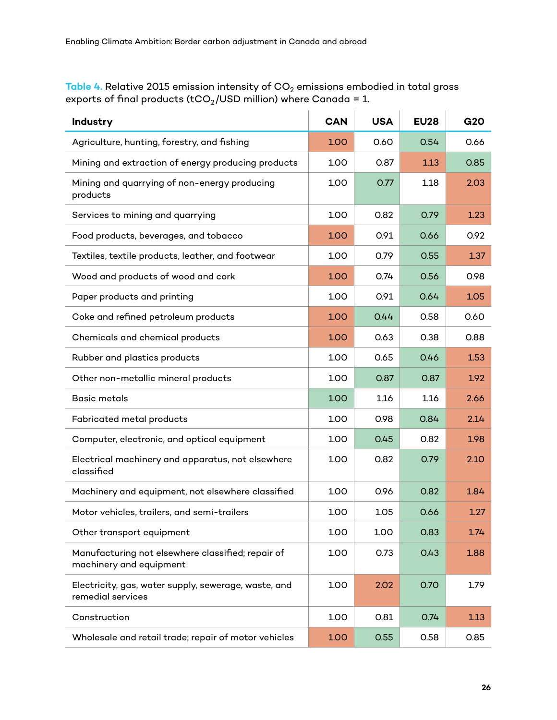**Table 4.** Relative 2015 emission intensity of CO $_2$  emissions embodied in total gross exports of final products (tCO $_2$ /USD million) where Canada = 1.

| Industry                                                                     | <b>CAN</b> | <b>USA</b> | <b>EU28</b> | G20  |
|------------------------------------------------------------------------------|------------|------------|-------------|------|
| Agriculture, hunting, forestry, and fishing                                  | 1.00       | 0.60       | 0.54        | 0.66 |
| Mining and extraction of energy producing products                           | 1.00       | 0.87       | 1.13        | 0.85 |
| Mining and quarrying of non-energy producing<br>products                     | 1.00       | 0.77       | 1.18        | 2.03 |
| Services to mining and quarrying                                             | 1.00       | 0.82       | 0.79        | 1.23 |
| Food products, beverages, and tobacco                                        | 1.00       | 0.91       | 0.66        | 0.92 |
| Textiles, textile products, leather, and footwear                            | 1.00       | 0.79       | 0.55        | 1.37 |
| Wood and products of wood and cork                                           | 1.00       | 0.74       | 0.56        | 0.98 |
| Paper products and printing                                                  | 1.00       | 0.91       | 0.64        | 1.05 |
| Coke and refined petroleum products                                          | 1.00       | 0.44       | 0.58        | 0.60 |
| Chemicals and chemical products                                              | 1.00       | 0.63       | 0.38        | 0.88 |
| Rubber and plastics products                                                 | 1.00       | 0.65       | 0.46        | 1.53 |
| Other non-metallic mineral products                                          | 1.00       | 0.87       | 0.87        | 1.92 |
| <b>Basic metals</b>                                                          | 1.00       | 1.16       | 1.16        | 2.66 |
| Fabricated metal products                                                    | 1.00       | 0.98       | 0.84        | 2.14 |
| Computer, electronic, and optical equipment                                  | 1.00       | 0.45       | 0.82        | 1.98 |
| Electrical machinery and apparatus, not elsewhere<br>classified              | 1.00       | 0.82       | 0.79        | 2.10 |
| Machinery and equipment, not elsewhere classified                            | 1.00       | 0.96       | 0.82        | 1.84 |
| Motor vehicles, trailers, and semi-trailers                                  | 1.00       | 1.05       | 0.66        | 1.27 |
| Other transport equipment                                                    | 1.00       | 1.00       | 0.83        | 1.74 |
| Manufacturing not elsewhere classified; repair of<br>machinery and equipment | 1.00       | 0.73       | 0.43        | 1.88 |
| Electricity, gas, water supply, sewerage, waste, and<br>remedial services    | 1.00       | 2.02       | 0.70        | 1.79 |
| Construction                                                                 | 1.00       | 0.81       | 0.74        | 1.13 |
| Wholesale and retail trade; repair of motor vehicles                         | 1.00       | 0.55       | 0.58        | 0.85 |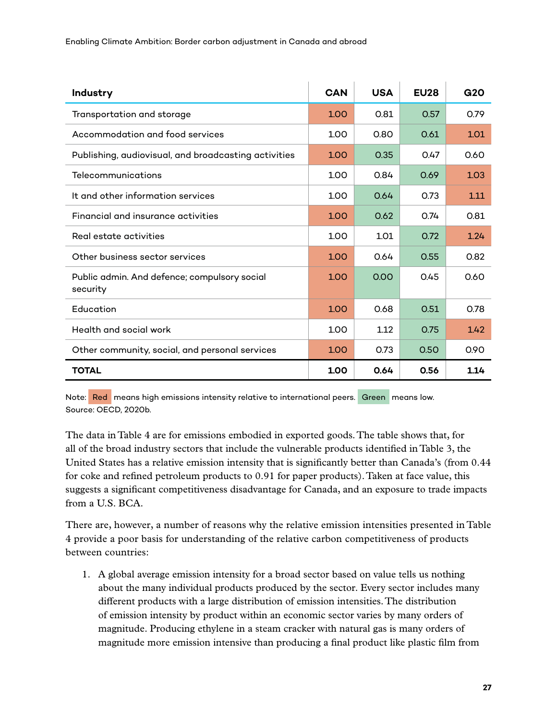| Industry                                                 | CAN  | <b>USA</b> | <b>EU28</b> | G2O  |
|----------------------------------------------------------|------|------------|-------------|------|
| Transportation and storage                               | 1.00 | 0.81       | 0.57        | 0.79 |
| Accommodation and food services                          | 1.00 | 0.80       | 0.61        | 1.01 |
| Publishing, audiovisual, and broadcasting activities     | 1.00 | 0.35       | 0.47        | 0.60 |
| Telecommunications                                       | 1.00 | 0.84       | 0.69        | 1.03 |
| It and other information services                        | 1.00 | 0.64       | 0.73        | 1.11 |
| Financial and insurance activities                       | 1.00 | 0.62       | 0.74        | 0.81 |
| Real estate activities                                   | 1.00 | 1.01       | 0.72        | 1.24 |
| Other business sector services                           | 1.00 | 0.64       | 0.55        | 0.82 |
| Public admin. And defence; compulsory social<br>security | 1.00 | 0.00       | 0.45        | 0.60 |
| Education                                                | 1.00 | 0.68       | 0.51        | 0.78 |
| Health and social work                                   | 1.00 | 1.12       | 0.75        | 1.42 |
| Other community, social, and personal services           | 1.00 | 0.73       | 0.50        | 0.90 |
| <b>TOTAL</b>                                             | 1.00 | 0.64       | 0.56        | 1.14 |

Note: Red means high emissions intensity relative to international peers. Green means low. Source: OECD, 2020b.

The data in Table 4 are for emissions embodied in exported goods. The table shows that, for all of the broad industry sectors that include the vulnerable products identified in Table 3, the United States has a relative emission intensity that is significantly better than Canada's (from 0.44 for coke and refined petroleum products to 0.91 for paper products). Taken at face value, this suggests a significant competitiveness disadvantage for Canada, and an exposure to trade impacts from a U.S. BCA.

There are, however, a number of reasons why the relative emission intensities presented in Table 4 provide a poor basis for understanding of the relative carbon competitiveness of products between countries:

1. A global average emission intensity for a broad sector based on value tells us nothing about the many individual products produced by the sector. Every sector includes many different products with a large distribution of emission intensities. The distribution of emission intensity by product within an economic sector varies by many orders of magnitude. Producing ethylene in a steam cracker with natural gas is many orders of magnitude more emission intensive than producing a final product like plastic film from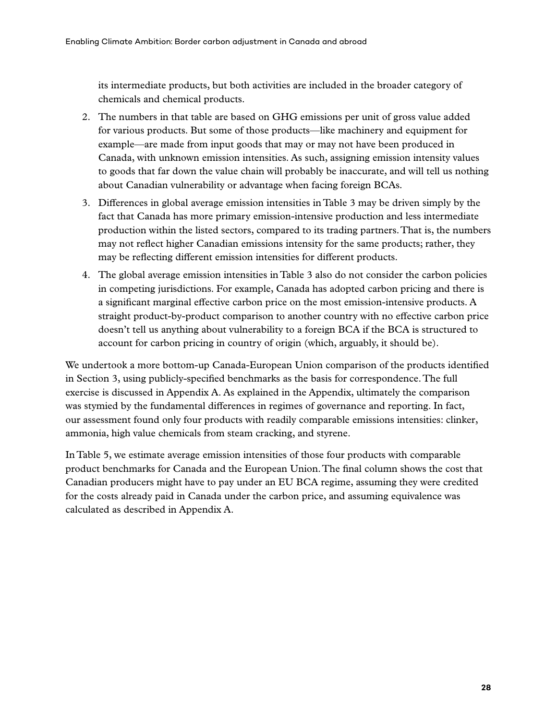its intermediate products, but both activities are included in the broader category of chemicals and chemical products.

- 2. The numbers in that table are based on GHG emissions per unit of gross value added for various products. But some of those products—like machinery and equipment for example—are made from input goods that may or may not have been produced in Canada, with unknown emission intensities. As such, assigning emission intensity values to goods that far down the value chain will probably be inaccurate, and will tell us nothing about Canadian vulnerability or advantage when facing foreign BCAs.
- 3. Differences in global average emission intensities in Table 3 may be driven simply by the fact that Canada has more primary emission-intensive production and less intermediate production within the listed sectors, compared to its trading partners. That is, the numbers may not reflect higher Canadian emissions intensity for the same products; rather, they may be reflecting different emission intensities for different products.
- 4. The global average emission intensities in Table 3 also do not consider the carbon policies in competing jurisdictions. For example, Canada has adopted carbon pricing and there is a significant marginal effective carbon price on the most emission-intensive products. A straight product-by-product comparison to another country with no effective carbon price doesn't tell us anything about vulnerability to a foreign BCA if the BCA is structured to account for carbon pricing in country of origin (which, arguably, it should be).

We undertook a more bottom-up Canada-European Union comparison of the products identified in Section 3, using publicly-specified benchmarks as the basis for correspondence. The full exercise is discussed in Appendix A. As explained in the Appendix, ultimately the comparison was stymied by the fundamental differences in regimes of governance and reporting. In fact, our assessment found only four products with readily comparable emissions intensities: clinker, ammonia, high value chemicals from steam cracking, and styrene.

In Table 5, we estimate average emission intensities of those four products with comparable product benchmarks for Canada and the European Union. The final column shows the cost that Canadian producers might have to pay under an EU BCA regime, assuming they were credited for the costs already paid in Canada under the carbon price, and assuming equivalence was calculated as described in Appendix A.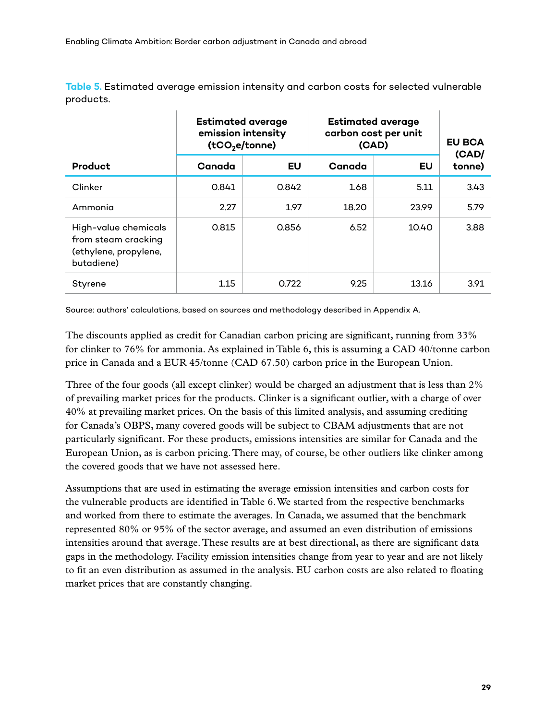**Table 5.** Estimated average emission intensity and carbon costs for selected vulnerable products.

|                                                                                    | <b>Estimated average</b><br>emission intensity<br>(tCO <sub>2</sub> e/tonne) |       | <b>Estimated average</b><br>carbon cost per unit<br>(CAD) |       |        |  | <b>EU BCA</b><br>(CAD/ |
|------------------------------------------------------------------------------------|------------------------------------------------------------------------------|-------|-----------------------------------------------------------|-------|--------|--|------------------------|
| <b>Product</b>                                                                     | Canada                                                                       | EU    | Canada                                                    | EU    | tonne) |  |                        |
| Clinker                                                                            | 0.841                                                                        | 0.842 | 1.68                                                      | 5.11  | 3.43   |  |                        |
| Ammonia                                                                            | 2.27                                                                         | 1.97  | 18.20                                                     | 23.99 | 5.79   |  |                        |
| High-value chemicals<br>from steam cracking<br>(ethylene, propylene,<br>butadiene) | 0.815                                                                        | 0.856 | 6.52                                                      | 10.40 | 3.88   |  |                        |
| Styrene                                                                            | 1.15                                                                         | 0.722 | 9.25                                                      | 13.16 | 3.91   |  |                        |

Source: authors' calculations, based on sources and methodology described in Appendix A.

The discounts applied as credit for Canadian carbon pricing are significant, running from 33% for clinker to 76% for ammonia. As explained in Table 6, this is assuming a CAD 40/tonne carbon price in Canada and a EUR 45/tonne (CAD 67.50) carbon price in the European Union.

Three of the four goods (all except clinker) would be charged an adjustment that is less than 2% of prevailing market prices for the products. Clinker is a significant outlier, with a charge of over 40% at prevailing market prices. On the basis of this limited analysis, and assuming crediting for Canada's OBPS, many covered goods will be subject to CBAM adjustments that are not particularly significant. For these products, emissions intensities are similar for Canada and the European Union, as is carbon pricing. There may, of course, be other outliers like clinker among the covered goods that we have not assessed here.

Assumptions that are used in estimating the average emission intensities and carbon costs for the vulnerable products are identified in Table 6. We started from the respective benchmarks and worked from there to estimate the averages. In Canada, we assumed that the benchmark represented 80% or 95% of the sector average, and assumed an even distribution of emissions intensities around that average. These results are at best directional, as there are significant data gaps in the methodology. Facility emission intensities change from year to year and are not likely to fit an even distribution as assumed in the analysis. EU carbon costs are also related to floating market prices that are constantly changing.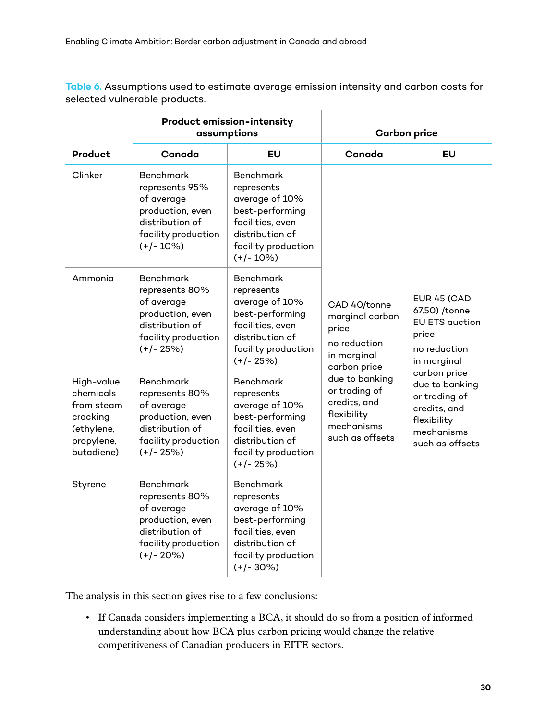**Table 6.** Assumptions used to estimate average emission intensity and carbon costs for selected vulnerable products.

|                                                                                             |                                                                                                                                | <b>Product emission-intensity</b><br>assumptions                                                                                                 | <b>Carbon price</b>                                                                             |                                                                                                                                                                                                                         |  |
|---------------------------------------------------------------------------------------------|--------------------------------------------------------------------------------------------------------------------------------|--------------------------------------------------------------------------------------------------------------------------------------------------|-------------------------------------------------------------------------------------------------|-------------------------------------------------------------------------------------------------------------------------------------------------------------------------------------------------------------------------|--|
| <b>Product</b>                                                                              | Canada                                                                                                                         | EU                                                                                                                                               | Canada                                                                                          | EU                                                                                                                                                                                                                      |  |
| Clinker                                                                                     | <b>Benchmark</b><br>represents 95%<br>of average<br>production, even<br>distribution of<br>facility production<br>$(+/- 10\%)$ | <b>Benchmark</b><br>represents<br>average of 10%<br>best-performing<br>facilities, even<br>distribution of<br>facility production<br>$(+/- 10%)$ |                                                                                                 |                                                                                                                                                                                                                         |  |
| Ammonia                                                                                     | <b>Benchmark</b><br>represents 80%<br>of average<br>production, even<br>distribution of<br>facility production<br>$(+/- 25%)$  | <b>Benchmark</b><br>represents<br>average of 10%<br>best-performing<br>facilities, even<br>distribution of<br>facility production<br>$(+/- 25%)$ | CAD 40/tonne<br>marginal carbon<br>price<br>no reduction<br>in marginal<br>carbon price         | <b>EUR 45 (CAD</b><br>67.50) /tonne<br><b>EU ETS auction</b><br>price<br>no reduction<br>in marginal<br>carbon price<br>due to banking<br>or trading of<br>credits, and<br>flexibility<br>mechanisms<br>such as offsets |  |
| High-value<br>chemicals<br>from steam<br>cracking<br>(ethylene,<br>propylene,<br>butadiene) | <b>Benchmark</b><br>represents 80%<br>of average<br>production, even<br>distribution of<br>facility production<br>$(+/- 25%)$  | <b>Benchmark</b><br>represents<br>average of 10%<br>best-performing<br>facilities, even<br>distribution of<br>facility production<br>$(+/- 25%)$ | due to banking<br>or trading of<br>credits, and<br>flexibility<br>mechanisms<br>such as offsets |                                                                                                                                                                                                                         |  |
| Styrene                                                                                     | <b>Benchmark</b><br>represents 80%<br>of average<br>production, even<br>distribution of<br>facility production<br>$(+/- 20%)$  | <b>Benchmark</b><br>represents<br>average of 10%<br>best-performing<br>facilities, even<br>distribution of<br>facility production<br>$(+/- 30%)$ |                                                                                                 |                                                                                                                                                                                                                         |  |

The analysis in this section gives rise to a few conclusions:

• If Canada considers implementing a BCA, it should do so from a position of informed understanding about how BCA plus carbon pricing would change the relative competitiveness of Canadian producers in EITE sectors.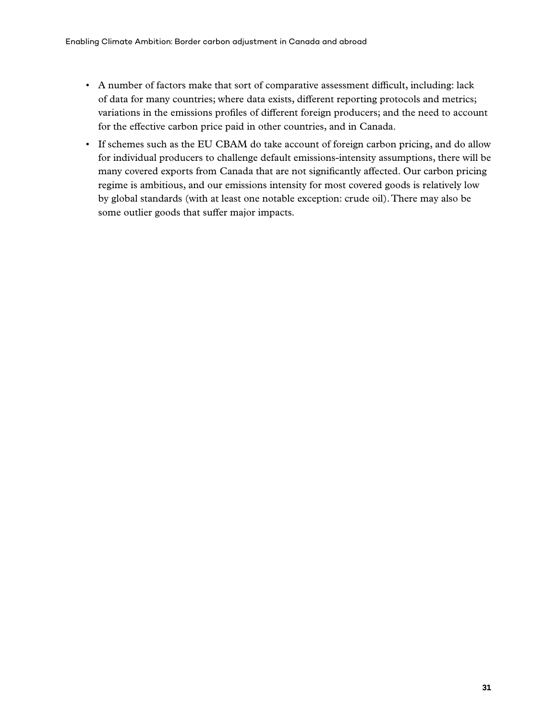- A number of factors make that sort of comparative assessment difficult, including: lack of data for many countries; where data exists, different reporting protocols and metrics; variations in the emissions profiles of different foreign producers; and the need to account for the effective carbon price paid in other countries, and in Canada.
- If schemes such as the EU CBAM do take account of foreign carbon pricing, and do allow for individual producers to challenge default emissions-intensity assumptions, there will be many covered exports from Canada that are not significantly affected. Our carbon pricing regime is ambitious, and our emissions intensity for most covered goods is relatively low by global standards (with at least one notable exception: crude oil). There may also be some outlier goods that suffer major impacts.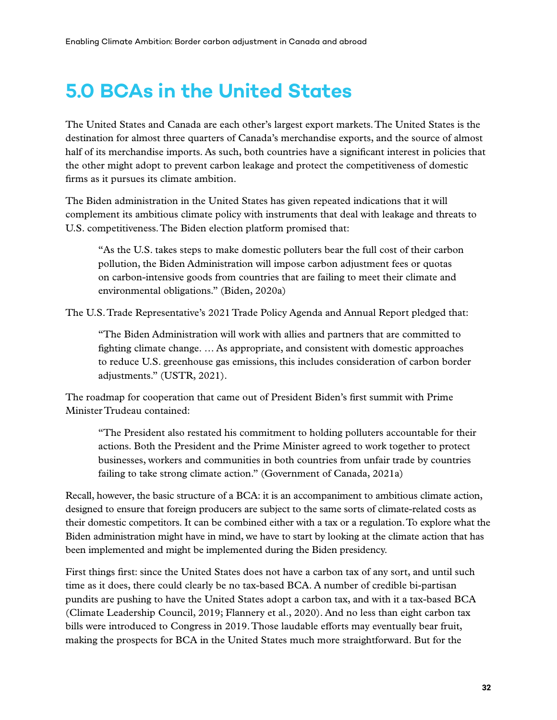# <span id="page-42-0"></span>**5.0 BCAs in the United States**

The United States and Canada are each other's largest export markets. The United States is the destination for almost three quarters of Canada's merchandise exports, and the source of almost half of its merchandise imports. As such, both countries have a significant interest in policies that the other might adopt to prevent carbon leakage and protect the competitiveness of domestic firms as it pursues its climate ambition.

The Biden administration in the United States has given repeated indications that it will complement its ambitious climate policy with instruments that deal with leakage and threats to U.S. competitiveness. The Biden election platform promised that:

"As the U.S. takes steps to make domestic polluters bear the full cost of their carbon pollution, the Biden Administration will impose carbon adjustment fees or quotas on carbon-intensive goods from countries that are failing to meet their climate and environmental obligations." (Biden, 2020a)

The U.S. Trade Representative's 2021 Trade Policy Agenda and Annual Report pledged that:

"The Biden Administration will work with allies and partners that are committed to fighting climate change. … As appropriate, and consistent with domestic approaches to reduce U.S. greenhouse gas emissions, this includes consideration of carbon border adjustments." (USTR, 2021).

The roadmap for cooperation that came out of President Biden's first summit with Prime Minister Trudeau contained:

"The President also restated his commitment to holding polluters accountable for their actions. Both the President and the Prime Minister agreed to work together to protect businesses, workers and communities in both countries from unfair trade by countries failing to take strong climate action." (Government of Canada, 2021a)

Recall, however, the basic structure of a BCA: it is an accompaniment to ambitious climate action, designed to ensure that foreign producers are subject to the same sorts of climate-related costs as their domestic competitors. It can be combined either with a tax or a regulation. To explore what the Biden administration might have in mind, we have to start by looking at the climate action that has been implemented and might be implemented during the Biden presidency.

First things first: since the United States does not have a carbon tax of any sort, and until such time as it does, there could clearly be no tax-based BCA. A number of credible bi-partisan pundits are pushing to have the United States adopt a carbon tax, and with it a tax-based BCA (Climate Leadership Council, 2019; Flannery et al., 2020). And no less than eight carbon tax bills were introduced to Congress in 2019. Those laudable efforts may eventually bear fruit, making the prospects for BCA in the United States much more straightforward. But for the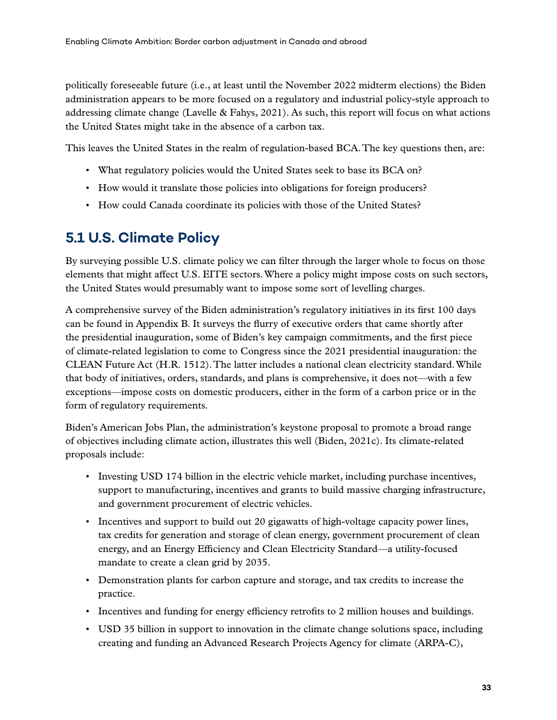<span id="page-43-0"></span>politically foreseeable future (i.e., at least until the November 2022 midterm elections) the Biden administration appears to be more focused on a regulatory and industrial policy-style approach to addressing climate change (Lavelle & Fahys, 2021). As such, this report will focus on what actions the United States might take in the absence of a carbon tax.

This leaves the United States in the realm of regulation-based BCA. The key questions then, are:

- What regulatory policies would the United States seek to base its BCA on?
- How would it translate those policies into obligations for foreign producers?
- How could Canada coordinate its policies with those of the United States?

### **5.1 U.S. Climate Policy**

By surveying possible U.S. climate policy we can filter through the larger whole to focus on those elements that might affect U.S. EITE sectors. Where a policy might impose costs on such sectors, the United States would presumably want to impose some sort of levelling charges.

A comprehensive survey of the Biden administration's regulatory initiatives in its first 100 days can be found in Appendix B. It surveys the flurry of executive orders that came shortly after the presidential inauguration, some of Biden's key campaign commitments, and the first piece of climate-related legislation to come to Congress since the 2021 presidential inauguration: the CLEAN Future Act (H.R. 1512). The latter includes a national clean electricity standard. While that body of initiatives, orders, standards, and plans is comprehensive, it does not—with a few exceptions—impose costs on domestic producers, either in the form of a carbon price or in the form of regulatory requirements.

Biden's American Jobs Plan, the administration's keystone proposal to promote a broad range of objectives including climate action, illustrates this well (Biden, 2021c). Its climate-related proposals include:

- Investing USD 174 billion in the electric vehicle market, including purchase incentives, support to manufacturing, incentives and grants to build massive charging infrastructure, and government procurement of electric vehicles.
- Incentives and support to build out 20 gigawatts of high-voltage capacity power lines, tax credits for generation and storage of clean energy, government procurement of clean energy, and an Energy Efficiency and Clean Electricity Standard—a utility-focused mandate to create a clean grid by 2035.
- Demonstration plants for carbon capture and storage, and tax credits to increase the practice.
- Incentives and funding for energy efficiency retrofits to 2 million houses and buildings.
- USD 35 billion in support to innovation in the climate change solutions space, including creating and funding an Advanced Research Projects Agency for climate (ARPA-C),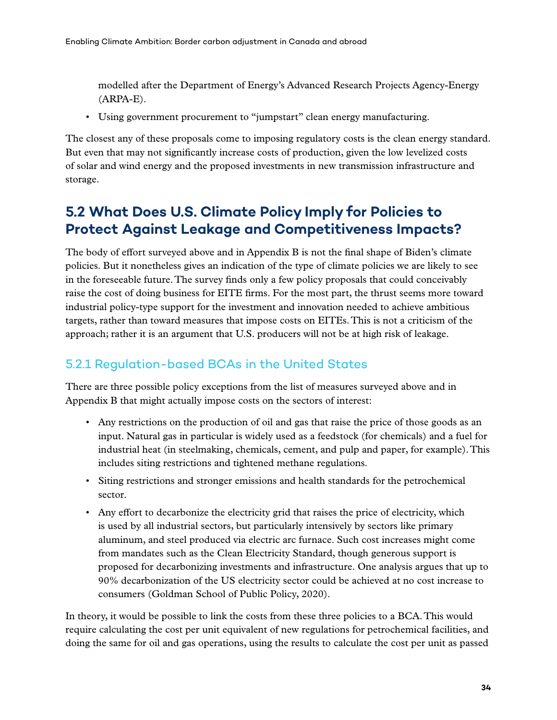<span id="page-44-0"></span>modelled after the Department of Energy's Advanced Research Projects Agency-Energy (ARPA-E).

• Using government procurement to "jumpstart" clean energy manufacturing.

The closest any of these proposals come to imposing regulatory costs is the clean energy standard. But even that may not significantly increase costs of production, given the low levelized costs of solar and wind energy and the proposed investments in new transmission infrastructure and storage.

### **5.2 What Does U.S. Climate Policy Imply for Policies to Protect Against Leakage and Competitiveness Impacts?**

The body of effort surveyed above and in Appendix B is not the final shape of Biden's climate policies. But it nonetheless gives an indication of the type of climate policies we are likely to see in the foreseeable future. The survey finds only a few policy proposals that could conceivably raise the cost of doing business for EITE firms. For the most part, the thrust seems more toward industrial policy-type support for the investment and innovation needed to achieve ambitious targets, rather than toward measures that impose costs on EITEs. This is not a criticism of the approach; rather it is an argument that U.S. producers will not be at high risk of leakage.

#### 5.2.1 Regulation-based BCAs in the United States

There are three possible policy exceptions from the list of measures surveyed above and in Appendix B that might actually impose costs on the sectors of interest:

- Any restrictions on the production of oil and gas that raise the price of those goods as an input. Natural gas in particular is widely used as a feedstock (for chemicals) and a fuel for industrial heat (in steelmaking, chemicals, cement, and pulp and paper, for example). This includes siting restrictions and tightened methane regulations.
- Siting restrictions and stronger emissions and health standards for the petrochemical sector.
- Any effort to decarbonize the electricity grid that raises the price of electricity, which is used by all industrial sectors, but particularly intensively by sectors like primary aluminum, and steel produced via electric arc furnace. Such cost increases might come from mandates such as the Clean Electricity Standard, though generous support is proposed for decarbonizing investments and infrastructure. One analysis argues that up to 90% decarbonization of the US electricity sector could be achieved at no cost increase to consumers (Goldman School of Public Policy, 2020).

In theory, it would be possible to link the costs from these three policies to a BCA. This would require calculating the cost per unit equivalent of new regulations for petrochemical facilities, and doing the same for oil and gas operations, using the results to calculate the cost per unit as passed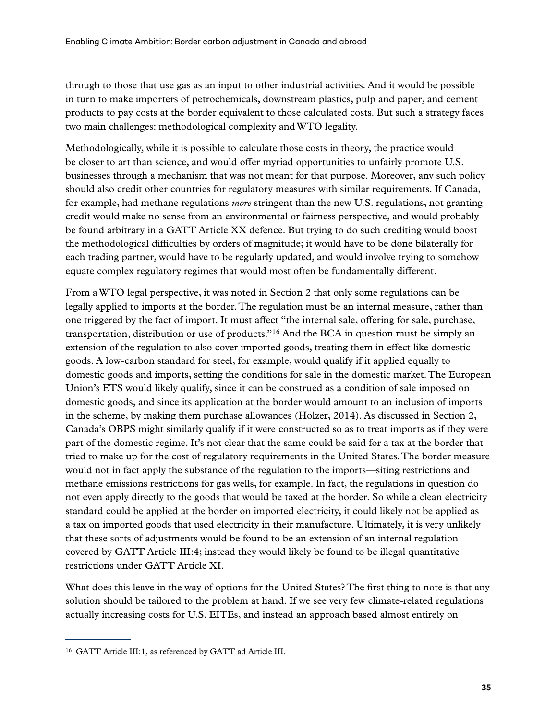through to those that use gas as an input to other industrial activities. And it would be possible in turn to make importers of petrochemicals, downstream plastics, pulp and paper, and cement products to pay costs at the border equivalent to those calculated costs. But such a strategy faces two main challenges: methodological complexity and WTO legality.

Methodologically, while it is possible to calculate those costs in theory, the practice would be closer to art than science, and would offer myriad opportunities to unfairly promote U.S. businesses through a mechanism that was not meant for that purpose. Moreover, any such policy should also credit other countries for regulatory measures with similar requirements. If Canada, for example, had methane regulations *more* stringent than the new U.S. regulations, not granting credit would make no sense from an environmental or fairness perspective, and would probably be found arbitrary in a GATT Article XX defence. But trying to do such crediting would boost the methodological difficulties by orders of magnitude; it would have to be done bilaterally for each trading partner, would have to be regularly updated, and would involve trying to somehow equate complex regulatory regimes that would most often be fundamentally different.

From a WTO legal perspective, it was noted in Section 2 that only some regulations can be legally applied to imports at the border. The regulation must be an internal measure, rather than one triggered by the fact of import. It must affect "the internal sale, offering for sale, purchase, transportation, distribution or use of products."16 And the BCA in question must be simply an extension of the regulation to also cover imported goods, treating them in effect like domestic goods. A low-carbon standard for steel, for example, would qualify if it applied equally to domestic goods and imports, setting the conditions for sale in the domestic market. The European Union's ETS would likely qualify, since it can be construed as a condition of sale imposed on domestic goods, and since its application at the border would amount to an inclusion of imports in the scheme, by making them purchase allowances (Holzer, 2014). As discussed in Section 2, Canada's OBPS might similarly qualify if it were constructed so as to treat imports as if they were part of the domestic regime. It's not clear that the same could be said for a tax at the border that tried to make up for the cost of regulatory requirements in the United States. The border measure would not in fact apply the substance of the regulation to the imports—siting restrictions and methane emissions restrictions for gas wells, for example. In fact, the regulations in question do not even apply directly to the goods that would be taxed at the border. So while a clean electricity standard could be applied at the border on imported electricity, it could likely not be applied as a tax on imported goods that used electricity in their manufacture. Ultimately, it is very unlikely that these sorts of adjustments would be found to be an extension of an internal regulation covered by GATT Article III:4; instead they would likely be found to be illegal quantitative restrictions under GATT Article XI.

What does this leave in the way of options for the United States? The first thing to note is that any solution should be tailored to the problem at hand. If we see very few climate-related regulations actually increasing costs for U.S. EITEs, and instead an approach based almost entirely on

<sup>16</sup> GATT Article III:1, as referenced by GATT ad Article III.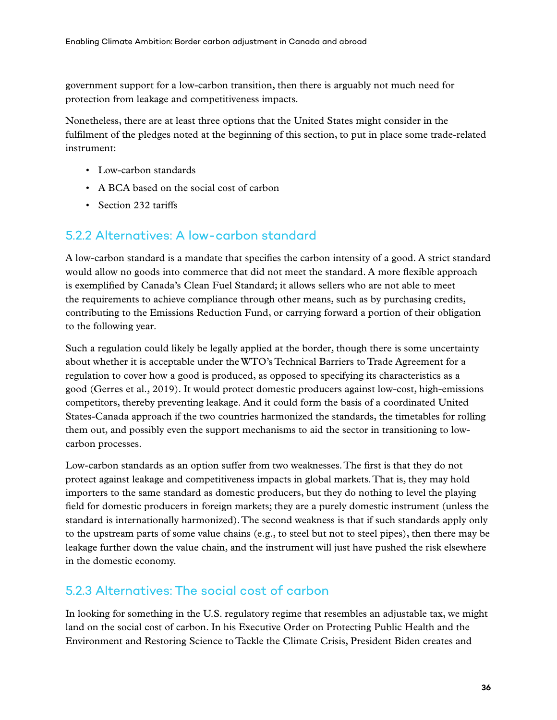<span id="page-46-0"></span>government support for a low-carbon transition, then there is arguably not much need for protection from leakage and competitiveness impacts.

Nonetheless, there are at least three options that the United States might consider in the fulfilment of the pledges noted at the beginning of this section, to put in place some trade-related instrument:

- Low-carbon standards
- A BCA based on the social cost of carbon
- Section 232 tariffs

#### 5.2.2 Alternatives: A low-carbon standard

A low-carbon standard is a mandate that specifies the carbon intensity of a good. A strict standard would allow no goods into commerce that did not meet the standard. A more flexible approach is exemplified by Canada's Clean Fuel Standard; it allows sellers who are not able to meet the requirements to achieve compliance through other means, such as by purchasing credits, contributing to the Emissions Reduction Fund, or carrying forward a portion of their obligation to the following year.

Such a regulation could likely be legally applied at the border, though there is some uncertainty about whether it is acceptable under the WTO's Technical Barriers to Trade Agreement for a regulation to cover how a good is produced, as opposed to specifying its characteristics as a good (Gerres et al., 2019). It would protect domestic producers against low-cost, high-emissions competitors, thereby preventing leakage. And it could form the basis of a coordinated United States-Canada approach if the two countries harmonized the standards, the timetables for rolling them out, and possibly even the support mechanisms to aid the sector in transitioning to lowcarbon processes.

Low-carbon standards as an option suffer from two weaknesses. The first is that they do not protect against leakage and competitiveness impacts in global markets. That is, they may hold importers to the same standard as domestic producers, but they do nothing to level the playing field for domestic producers in foreign markets; they are a purely domestic instrument (unless the standard is internationally harmonized). The second weakness is that if such standards apply only to the upstream parts of some value chains (e.g., to steel but not to steel pipes), then there may be leakage further down the value chain, and the instrument will just have pushed the risk elsewhere in the domestic economy.

#### 5.2.3 Alternatives: The social cost of carbon

In looking for something in the U.S. regulatory regime that resembles an adjustable tax, we might land on the social cost of carbon. In his Executive Order on Protecting Public Health and the Environment and Restoring Science to Tackle the Climate Crisis, President Biden creates and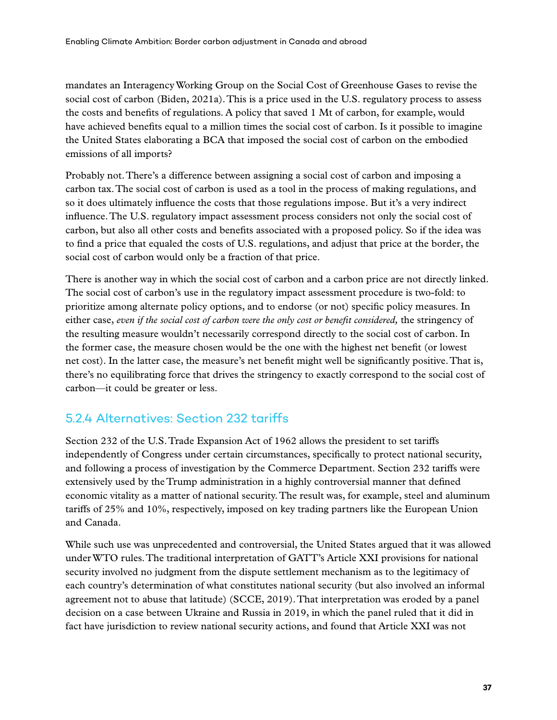<span id="page-47-0"></span>mandates an Interagency Working Group on the Social Cost of Greenhouse Gases to revise the social cost of carbon (Biden, 2021a). This is a price used in the U.S. regulatory process to assess the costs and benefits of regulations. A policy that saved 1 Mt of carbon, for example, would have achieved benefits equal to a million times the social cost of carbon. Is it possible to imagine the United States elaborating a BCA that imposed the social cost of carbon on the embodied emissions of all imports?

Probably not. There's a difference between assigning a social cost of carbon and imposing a carbon tax. The social cost of carbon is used as a tool in the process of making regulations, and so it does ultimately influence the costs that those regulations impose. But it's a very indirect influence. The U.S. regulatory impact assessment process considers not only the social cost of carbon, but also all other costs and benefits associated with a proposed policy. So if the idea was to find a price that equaled the costs of U.S. regulations, and adjust that price at the border, the social cost of carbon would only be a fraction of that price.

There is another way in which the social cost of carbon and a carbon price are not directly linked. The social cost of carbon's use in the regulatory impact assessment procedure is two-fold: to prioritize among alternate policy options, and to endorse (or not) specific policy measures. In either case, *even if the social cost of carbon were the only cost or benefit considered,* the stringency of the resulting measure wouldn't necessarily correspond directly to the social cost of carbon. In the former case, the measure chosen would be the one with the highest net benefit (or lowest net cost). In the latter case, the measure's net benefit might well be significantly positive. That is, there's no equilibrating force that drives the stringency to exactly correspond to the social cost of carbon—it could be greater or less.

#### 5.2.4 Alternatives: Section 232 tariffs

Section 232 of the U.S. Trade Expansion Act of 1962 allows the president to set tariffs independently of Congress under certain circumstances, specifically to protect national security, and following a process of investigation by the Commerce Department. Section 232 tariffs were extensively used by the Trump administration in a highly controversial manner that defined economic vitality as a matter of national security. The result was, for example, steel and aluminum tariffs of 25% and 10%, respectively, imposed on key trading partners like the European Union and Canada.

While such use was unprecedented and controversial, the United States argued that it was allowed under WTO rules. The traditional interpretation of GATT's Article XXI provisions for national security involved no judgment from the dispute settlement mechanism as to the legitimacy of each country's determination of what constitutes national security (but also involved an informal agreement not to abuse that latitude) (SCCE, 2019). That interpretation was eroded by a panel decision on a case between Ukraine and Russia in 2019, in which the panel ruled that it did in fact have jurisdiction to review national security actions, and found that Article XXI was not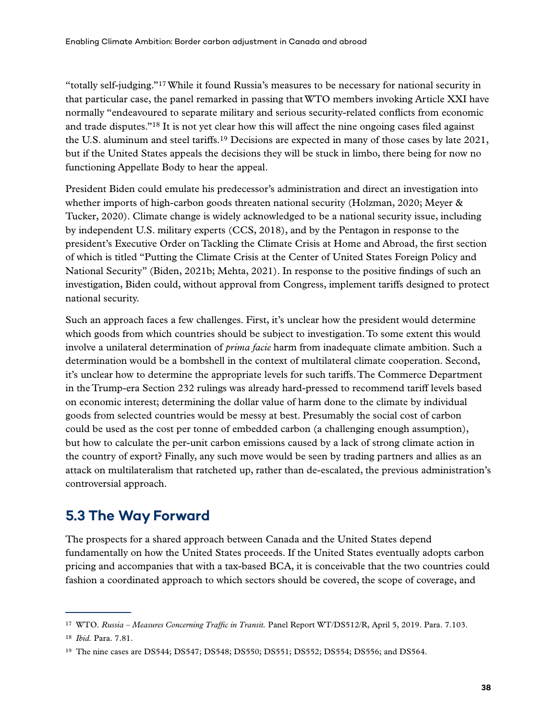<span id="page-48-0"></span>"totally self-judging."17 While it found Russia's measures to be necessary for national security in that particular case, the panel remarked in passing that WTO members invoking Article XXI have normally "endeavoured to separate military and serious security-related conflicts from economic and trade disputes."18 It is not yet clear how this will affect the nine ongoing cases filed against the U.S. aluminum and steel tariffs.19 Decisions are expected in many of those cases by late 2021, but if the United States appeals the decisions they will be stuck in limbo, there being for now no functioning Appellate Body to hear the appeal.

President Biden could emulate his predecessor's administration and direct an investigation into whether imports of high-carbon goods threaten national security (Holzman, 2020; Meyer & Tucker, 2020). Climate change is widely acknowledged to be a national security issue, including by independent U.S. military experts (CCS, 2018), and by the Pentagon in response to the president's Executive Order on Tackling the Climate Crisis at Home and Abroad, the first section of which is titled "Putting the Climate Crisis at the Center of United States Foreign Policy and National Security" (Biden, 2021b; Mehta, 2021). In response to the positive findings of such an investigation, Biden could, without approval from Congress, implement tariffs designed to protect national security.

Such an approach faces a few challenges. First, it's unclear how the president would determine which goods from which countries should be subject to investigation. To some extent this would involve a unilateral determination of *prima facie* harm from inadequate climate ambition. Such a determination would be a bombshell in the context of multilateral climate cooperation. Second, it's unclear how to determine the appropriate levels for such tariffs. The Commerce Department in the Trump-era Section 232 rulings was already hard-pressed to recommend tariff levels based on economic interest; determining the dollar value of harm done to the climate by individual goods from selected countries would be messy at best. Presumably the social cost of carbon could be used as the cost per tonne of embedded carbon (a challenging enough assumption), but how to calculate the per-unit carbon emissions caused by a lack of strong climate action in the country of export? Finally, any such move would be seen by trading partners and allies as an attack on multilateralism that ratcheted up, rather than de-escalated, the previous administration's controversial approach.

### **5.3 The Way Forward**

The prospects for a shared approach between Canada and the United States depend fundamentally on how the United States proceeds. If the United States eventually adopts carbon pricing and accompanies that with a tax-based BCA, it is conceivable that the two countries could fashion a coordinated approach to which sectors should be covered, the scope of coverage, and

<sup>17</sup> WTO. *Russia – Measures Concerning Traffic in Transit.* Panel Report WT/DS512/R, April 5, 2019. Para. 7.103.

<sup>18</sup> *Ibid.* Para. 7.81.

<sup>19</sup> The nine cases are DS544; DS547; DS548; DS550; DS551; DS552; DS554; DS556; and DS564.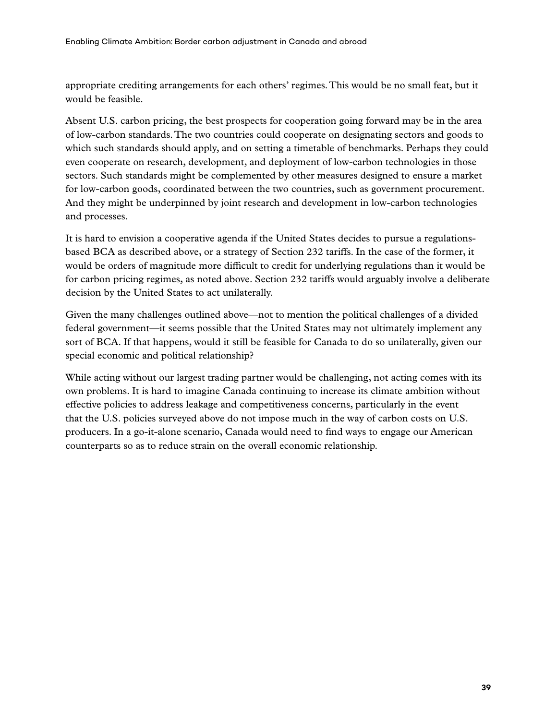appropriate crediting arrangements for each others' regimes. This would be no small feat, but it would be feasible.

Absent U.S. carbon pricing, the best prospects for cooperation going forward may be in the area of low-carbon standards. The two countries could cooperate on designating sectors and goods to which such standards should apply, and on setting a timetable of benchmarks. Perhaps they could even cooperate on research, development, and deployment of low-carbon technologies in those sectors. Such standards might be complemented by other measures designed to ensure a market for low-carbon goods, coordinated between the two countries, such as government procurement. And they might be underpinned by joint research and development in low-carbon technologies and processes.

It is hard to envision a cooperative agenda if the United States decides to pursue a regulationsbased BCA as described above, or a strategy of Section 232 tariffs. In the case of the former, it would be orders of magnitude more difficult to credit for underlying regulations than it would be for carbon pricing regimes, as noted above. Section 232 tariffs would arguably involve a deliberate decision by the United States to act unilaterally.

Given the many challenges outlined above—not to mention the political challenges of a divided federal government—it seems possible that the United States may not ultimately implement any sort of BCA. If that happens, would it still be feasible for Canada to do so unilaterally, given our special economic and political relationship?

While acting without our largest trading partner would be challenging, not acting comes with its own problems. It is hard to imagine Canada continuing to increase its climate ambition without effective policies to address leakage and competitiveness concerns, particularly in the event that the U.S. policies surveyed above do not impose much in the way of carbon costs on U.S. producers. In a go-it-alone scenario, Canada would need to find ways to engage our American counterparts so as to reduce strain on the overall economic relationship.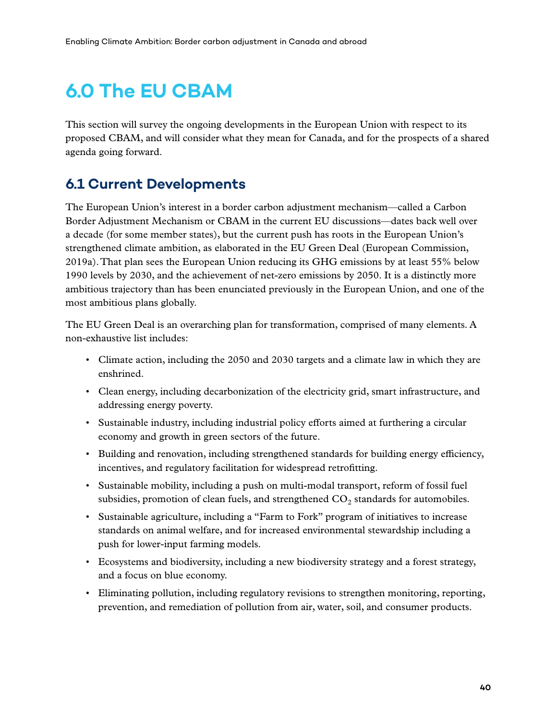# <span id="page-50-0"></span>**6.0 The EU CBAM**

This section will survey the ongoing developments in the European Union with respect to its proposed CBAM, and will consider what they mean for Canada, and for the prospects of a shared agenda going forward.

### **6.1 Current Developments**

The European Union's interest in a border carbon adjustment mechanism—called a Carbon Border Adjustment Mechanism or CBAM in the current EU discussions—dates back well over a decade (for some member states), but the current push has roots in the European Union's strengthened climate ambition, as elaborated in the EU Green Deal (European Commission, 2019a). That plan sees the European Union reducing its GHG emissions by at least 55% below 1990 levels by 2030, and the achievement of net-zero emissions by 2050. It is a distinctly more ambitious trajectory than has been enunciated previously in the European Union, and one of the most ambitious plans globally.

The EU Green Deal is an overarching plan for transformation, comprised of many elements. A non-exhaustive list includes:

- Climate action, including the 2050 and 2030 targets and a climate law in which they are enshrined.
- Clean energy, including decarbonization of the electricity grid, smart infrastructure, and addressing energy poverty.
- Sustainable industry, including industrial policy efforts aimed at furthering a circular economy and growth in green sectors of the future.
- Building and renovation, including strengthened standards for building energy efficiency, incentives, and regulatory facilitation for widespread retrofitting.
- Sustainable mobility, including a push on multi-modal transport, reform of fossil fuel subsidies, promotion of clean fuels, and strengthened  $CO<sub>2</sub>$  standards for automobiles.
- Sustainable agriculture, including a "Farm to Fork" program of initiatives to increase standards on animal welfare, and for increased environmental stewardship including a push for lower-input farming models.
- Ecosystems and biodiversity, including a new biodiversity strategy and a forest strategy, and a focus on blue economy.
- Eliminating pollution, including regulatory revisions to strengthen monitoring, reporting, prevention, and remediation of pollution from air, water, soil, and consumer products.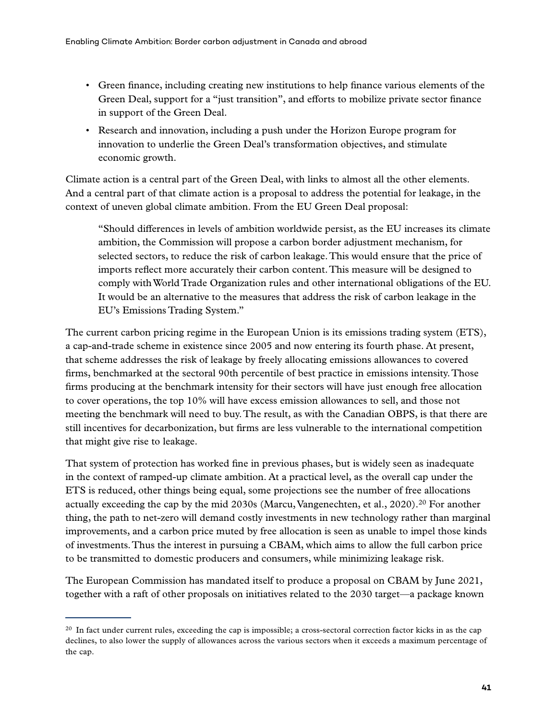- Green finance, including creating new institutions to help finance various elements of the Green Deal, support for a "just transition", and efforts to mobilize private sector finance in support of the Green Deal.
- Research and innovation, including a push under the Horizon Europe program for innovation to underlie the Green Deal's transformation objectives, and stimulate economic growth.

Climate action is a central part of the Green Deal, with links to almost all the other elements. And a central part of that climate action is a proposal to address the potential for leakage, in the context of uneven global climate ambition. From the EU Green Deal proposal:

"Should differences in levels of ambition worldwide persist, as the EU increases its climate ambition, the Commission will propose a carbon border adjustment mechanism, for selected sectors, to reduce the risk of carbon leakage. This would ensure that the price of imports reflect more accurately their carbon content. This measure will be designed to comply with World Trade Organization rules and other international obligations of the EU. It would be an alternative to the measures that address the risk of carbon leakage in the EU's Emissions Trading System."

The current carbon pricing regime in the European Union is its emissions trading system (ETS), a cap-and-trade scheme in existence since 2005 and now entering its fourth phase. At present, that scheme addresses the risk of leakage by freely allocating emissions allowances to covered firms, benchmarked at the sectoral 90th percentile of best practice in emissions intensity. Those firms producing at the benchmark intensity for their sectors will have just enough free allocation to cover operations, the top 10% will have excess emission allowances to sell, and those not meeting the benchmark will need to buy. The result, as with the Canadian OBPS, is that there are still incentives for decarbonization, but firms are less vulnerable to the international competition that might give rise to leakage.

That system of protection has worked fine in previous phases, but is widely seen as inadequate in the context of ramped-up climate ambition. At a practical level, as the overall cap under the ETS is reduced, other things being equal, some projections see the number of free allocations actually exceeding the cap by the mid 2030s (Marcu, Vangenechten, et al., 2020).<sup>20</sup> For another thing, the path to net-zero will demand costly investments in new technology rather than marginal improvements, and a carbon price muted by free allocation is seen as unable to impel those kinds of investments. Thus the interest in pursuing a CBAM, which aims to allow the full carbon price to be transmitted to domestic producers and consumers, while minimizing leakage risk.

The European Commission has mandated itself to produce a proposal on CBAM by June 2021, together with a raft of other proposals on initiatives related to the 2030 target—a package known

<sup>&</sup>lt;sup>20</sup> In fact under current rules, exceeding the cap is impossible; a cross-sectoral correction factor kicks in as the cap declines, to also lower the supply of allowances across the various sectors when it exceeds a maximum percentage of the cap.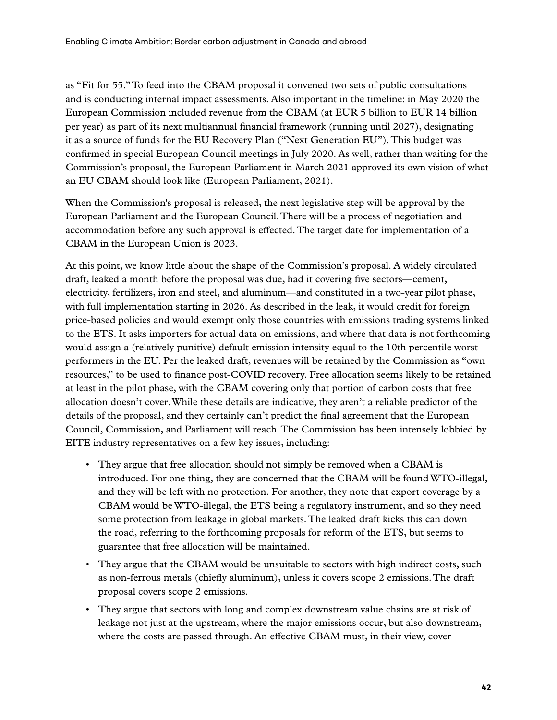as "Fit for 55." To feed into the CBAM proposal it convened two sets of public consultations and is conducting internal impact assessments. Also important in the timeline: in May 2020 the European Commission included revenue from the CBAM (at EUR 5 billion to EUR 14 billion per year) as part of its next multiannual financial framework (running until 2027), designating it as a source of funds for the EU Recovery Plan ("Next Generation EU"). This budget was confirmed in special European Council meetings in July 2020. As well, rather than waiting for the Commission's proposal, the European Parliament in March 2021 approved its own vision of what an EU CBAM should look like (European Parliament, 2021).

When the Commission's proposal is released, the next legislative step will be approval by the European Parliament and the European Council. There will be a process of negotiation and accommodation before any such approval is effected. The target date for implementation of a CBAM in the European Union is 2023.

At this point, we know little about the shape of the Commission's proposal. A widely circulated draft, leaked a month before the proposal was due, had it covering five sectors—cement, electricity, fertilizers, iron and steel, and aluminum—and constituted in a two-year pilot phase, with full implementation starting in 2026. As described in the leak, it would credit for foreign price-based policies and would exempt only those countries with emissions trading systems linked to the ETS. It asks importers for actual data on emissions, and where that data is not forthcoming would assign a (relatively punitive) default emission intensity equal to the 10th percentile worst performers in the EU. Per the leaked draft, revenues will be retained by the Commission as "own resources," to be used to finance post-COVID recovery. Free allocation seems likely to be retained at least in the pilot phase, with the CBAM covering only that portion of carbon costs that free allocation doesn't cover. While these details are indicative, they aren't a reliable predictor of the details of the proposal, and they certainly can't predict the final agreement that the European Council, Commission, and Parliament will reach. The Commission has been intensely lobbied by EITE industry representatives on a few key issues, including:

- They argue that free allocation should not simply be removed when a CBAM is introduced. For one thing, they are concerned that the CBAM will be found WTO-illegal, and they will be left with no protection. For another, they note that export coverage by a CBAM would be WTO-illegal, the ETS being a regulatory instrument, and so they need some protection from leakage in global markets. The leaked draft kicks this can down the road, referring to the forthcoming proposals for reform of the ETS, but seems to guarantee that free allocation will be maintained.
- They argue that the CBAM would be unsuitable to sectors with high indirect costs, such as non-ferrous metals (chiefly aluminum), unless it covers scope 2 emissions. The draft proposal covers scope 2 emissions.
- They argue that sectors with long and complex downstream value chains are at risk of leakage not just at the upstream, where the major emissions occur, but also downstream, where the costs are passed through. An effective CBAM must, in their view, cover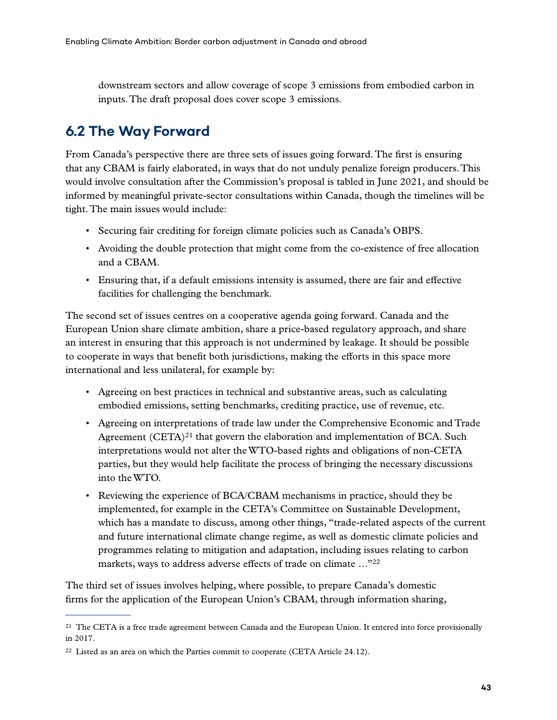<span id="page-53-0"></span>downstream sectors and allow coverage of scope 3 emissions from embodied carbon in inputs. The draft proposal does cover scope 3 emissions.

### **6.2 The Way Forward**

From Canada's perspective there are three sets of issues going forward. The first is ensuring that any CBAM is fairly elaborated, in ways that do not unduly penalize foreign producers. This would involve consultation after the Commission's proposal is tabled in June 2021, and should be informed by meaningful private-sector consultations within Canada, though the timelines will be tight. The main issues would include:

- Securing fair crediting for foreign climate policies such as Canada's OBPS.
- Avoiding the double protection that might come from the co-existence of free allocation and a CBAM.
- Ensuring that, if a default emissions intensity is assumed, there are fair and effective facilities for challenging the benchmark.

The second set of issues centres on a cooperative agenda going forward. Canada and the European Union share climate ambition, share a price-based regulatory approach, and share an interest in ensuring that this approach is not undermined by leakage. It should be possible to cooperate in ways that benefit both jurisdictions, making the efforts in this space more international and less unilateral, for example by:

- Agreeing on best practices in technical and substantive areas, such as calculating embodied emissions, setting benchmarks, crediting practice, use of revenue, etc.
- Agreeing on interpretations of trade law under the Comprehensive Economic and Trade Agreement  $(CETA)^{21}$  that govern the elaboration and implementation of BCA. Such interpretations would not alter the WTO-based rights and obligations of non-CETA parties, but they would help facilitate the process of bringing the necessary discussions into the WTO.
- Reviewing the experience of BCA/CBAM mechanisms in practice, should they be implemented, for example in the CETA's Committee on Sustainable Development, which has a mandate to discuss, among other things, "trade-related aspects of the current and future international climate change regime, as well as domestic climate policies and programmes relating to mitigation and adaptation, including issues relating to carbon markets, ways to address adverse effects of trade on climate …"22

The third set of issues involves helping, where possible, to prepare Canada's domestic firms for the application of the European Union's CBAM, through information sharing,

<sup>&</sup>lt;sup>21</sup> The CETA is a free trade agreement between Canada and the European Union. It entered into force provisionally in 2017.

 $22$  Listed as an area on which the Parties commit to cooperate (CETA Article 24.12).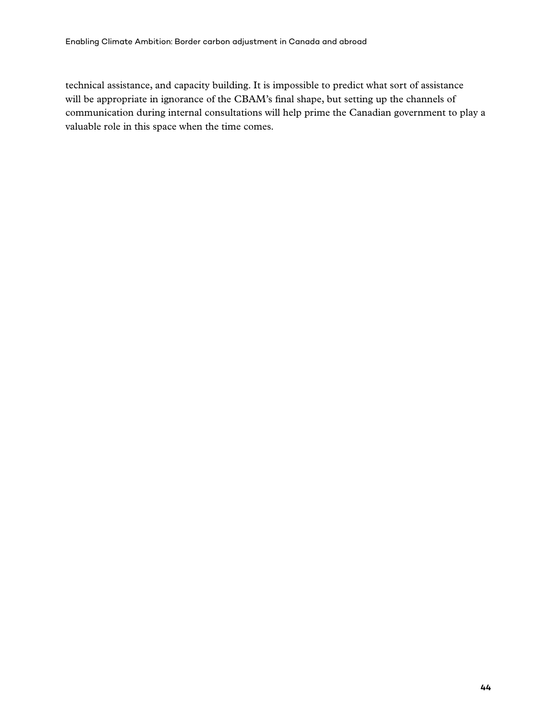technical assistance, and capacity building. It is impossible to predict what sort of assistance will be appropriate in ignorance of the CBAM's final shape, but setting up the channels of communication during internal consultations will help prime the Canadian government to play a valuable role in this space when the time comes.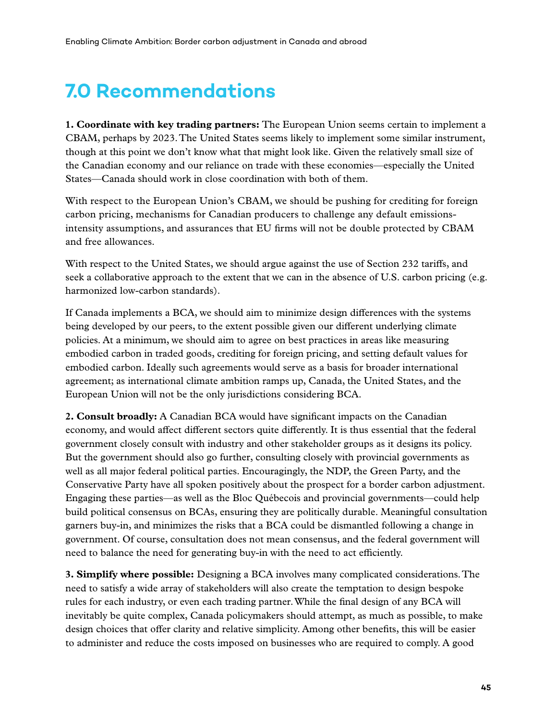# <span id="page-55-0"></span>**7.0 Recommendations**

**1. Coordinate with key trading partners:** The European Union seems certain to implement a CBAM, perhaps by 2023. The United States seems likely to implement some similar instrument, though at this point we don't know what that might look like. Given the relatively small size of the Canadian economy and our reliance on trade with these economies—especially the United States—Canada should work in close coordination with both of them.

With respect to the European Union's CBAM, we should be pushing for crediting for foreign carbon pricing, mechanisms for Canadian producers to challenge any default emissionsintensity assumptions, and assurances that EU firms will not be double protected by CBAM and free allowances.

With respect to the United States, we should argue against the use of Section 232 tariffs, and seek a collaborative approach to the extent that we can in the absence of U.S. carbon pricing (e.g. harmonized low-carbon standards).

If Canada implements a BCA, we should aim to minimize design differences with the systems being developed by our peers, to the extent possible given our different underlying climate policies. At a minimum, we should aim to agree on best practices in areas like measuring embodied carbon in traded goods, crediting for foreign pricing, and setting default values for embodied carbon. Ideally such agreements would serve as a basis for broader international agreement; as international climate ambition ramps up, Canada, the United States, and the European Union will not be the only jurisdictions considering BCA.

**2. Consult broadly:** A Canadian BCA would have significant impacts on the Canadian economy, and would affect different sectors quite differently. It is thus essential that the federal government closely consult with industry and other stakeholder groups as it designs its policy. But the government should also go further, consulting closely with provincial governments as well as all major federal political parties. Encouragingly, the NDP, the Green Party, and the Conservative Party have all spoken positively about the prospect for a border carbon adjustment. Engaging these parties—as well as the Bloc Québecois and provincial governments—could help build political consensus on BCAs, ensuring they are politically durable. Meaningful consultation garners buy-in, and minimizes the risks that a BCA could be dismantled following a change in government. Of course, consultation does not mean consensus, and the federal government will need to balance the need for generating buy-in with the need to act efficiently.

**3. Simplify where possible:** Designing a BCA involves many complicated considerations. The need to satisfy a wide array of stakeholders will also create the temptation to design bespoke rules for each industry, or even each trading partner. While the final design of any BCA will inevitably be quite complex, Canada policymakers should attempt, as much as possible, to make design choices that offer clarity and relative simplicity. Among other benefits, this will be easier to administer and reduce the costs imposed on businesses who are required to comply. A good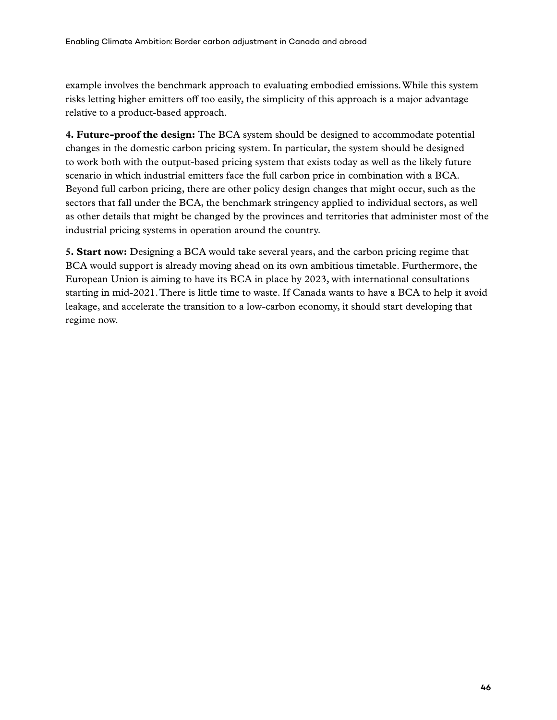example involves the benchmark approach to evaluating embodied emissions. While this system risks letting higher emitters off too easily, the simplicity of this approach is a major advantage relative to a product-based approach.

**4. Future-proof the design:** The BCA system should be designed to accommodate potential changes in the domestic carbon pricing system. In particular, the system should be designed to work both with the output-based pricing system that exists today as well as the likely future scenario in which industrial emitters face the full carbon price in combination with a BCA. Beyond full carbon pricing, there are other policy design changes that might occur, such as the sectors that fall under the BCA, the benchmark stringency applied to individual sectors, as well as other details that might be changed by the provinces and territories that administer most of the industrial pricing systems in operation around the country.

**5. Start now:** Designing a BCA would take several years, and the carbon pricing regime that BCA would support is already moving ahead on its own ambitious timetable. Furthermore, the European Union is aiming to have its BCA in place by 2023, with international consultations starting in mid-2021. There is little time to waste. If Canada wants to have a BCA to help it avoid leakage, and accelerate the transition to a low-carbon economy, it should start developing that regime now.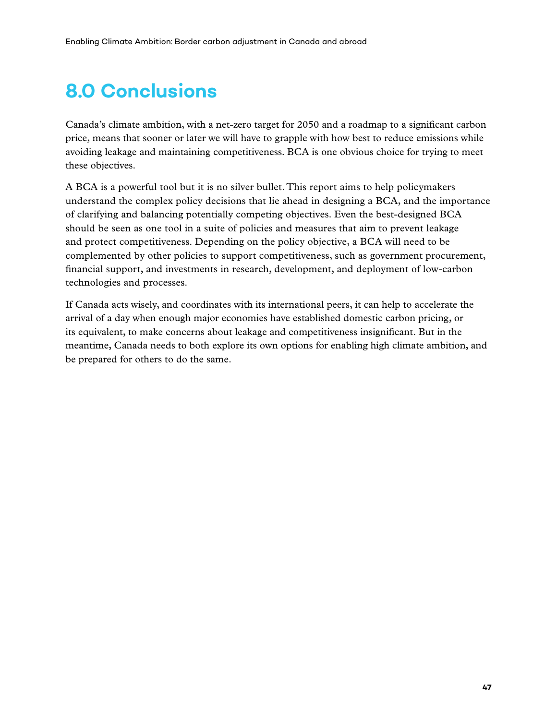# <span id="page-57-0"></span>**8.0 Conclusions**

Canada's climate ambition, with a net-zero target for 2050 and a roadmap to a significant carbon price, means that sooner or later we will have to grapple with how best to reduce emissions while avoiding leakage and maintaining competitiveness. BCA is one obvious choice for trying to meet these objectives.

A BCA is a powerful tool but it is no silver bullet. This report aims to help policymakers understand the complex policy decisions that lie ahead in designing a BCA, and the importance of clarifying and balancing potentially competing objectives. Even the best-designed BCA should be seen as one tool in a suite of policies and measures that aim to prevent leakage and protect competitiveness. Depending on the policy objective, a BCA will need to be complemented by other policies to support competitiveness, such as government procurement, financial support, and investments in research, development, and deployment of low-carbon technologies and processes.

If Canada acts wisely, and coordinates with its international peers, it can help to accelerate the arrival of a day when enough major economies have established domestic carbon pricing, or its equivalent, to make concerns about leakage and competitiveness insignificant. But in the meantime, Canada needs to both explore its own options for enabling high climate ambition, and be prepared for others to do the same.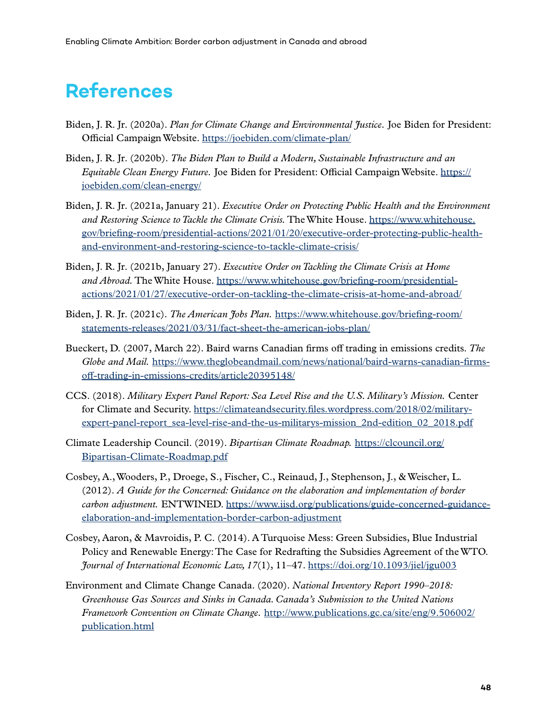# <span id="page-58-0"></span>**References**

- Biden, J. R. Jr. (2020a). *Plan for Climate Change and Environmental Justice.* Joe Biden for President: Official Campaign Website.<https://joebiden.com/climate-plan/>
- Biden, J. R. Jr. (2020b). *The Biden Plan to Build a Modern, Sustainable Infrastructure and an Equitable Clean Energy Future.* Joe Biden for President: Official Campaign Website. [https://](https://joebiden.com/clean-energy/) [joebiden.com/clean-energy/](https://joebiden.com/clean-energy/)
- Biden, J. R. Jr. (2021a, January 21). *Executive Order on Protecting Public Health and the Environment and Restoring Science to Tackle the Climate Crisis.* The White House. [https://www.whitehouse.](https://www.whitehouse.gov/briefing-room/presidential-actions/2021/01/20/executive-order-protecting-public-health-and-environment-and-restoring-science-to-tackle-climate-crisis/) [gov/briefing-room/presidential-actions/2021/01/20/executive-order-protecting-public-health](https://www.whitehouse.gov/briefing-room/presidential-actions/2021/01/20/executive-order-protecting-public-health-and-environment-and-restoring-science-to-tackle-climate-crisis/)[and-environment-and-restoring-science-to-tackle-climate-crisis/](https://www.whitehouse.gov/briefing-room/presidential-actions/2021/01/20/executive-order-protecting-public-health-and-environment-and-restoring-science-to-tackle-climate-crisis/)
- Biden, J. R. Jr. (2021b, January 27). *Executive Order on Tackling the Climate Crisis at Home and Abroad.* The White House. [https://www.whitehouse.gov/briefing-room/presidential](https://www.whitehouse.gov/briefing-room/presidential-actions/2021/01/27/executive-order-on-tackling-the-climate-crisis-at-home-and-abroad/)[actions/2021/01/27/executive-order-on-tackling-the-climate-crisis-at-home-and-abroad/](https://www.whitehouse.gov/briefing-room/presidential-actions/2021/01/27/executive-order-on-tackling-the-climate-crisis-at-home-and-abroad/)
- Biden, J. R. Jr. (2021c). *The American Jobs Plan.* [https://www.whitehouse.gov/briefing-room/](https://www.whitehouse.gov/briefing-room/statements-releases/2021/03/31/fact-sheet-the-american-jobs-plan/) [statements-releases/2021/03/31/fact-sheet-the-american-jobs-plan/](https://www.whitehouse.gov/briefing-room/statements-releases/2021/03/31/fact-sheet-the-american-jobs-plan/)
- Bueckert, D. (2007, March 22). Baird warns Canadian firms off trading in emissions credits. *The Globe and Mail.* [https://www.theglobeandmail.com/news/national/baird-warns-canadian-firms](https://www.theglobeandmail.com/news/national/baird-warns-canadian-firms-off-trading-in-emissions-credits/article20395148/)[off-trading-in-emissions-credits/article20395148/](https://www.theglobeandmail.com/news/national/baird-warns-canadian-firms-off-trading-in-emissions-credits/article20395148/)
- CCS. (2018). *Military Expert Panel Report: Sea Level Rise and the U.S. Military's Mission.* Center for Climate and Security. [https://climateandsecurity.files.wordpress.com/2018/02/military](https://climateandsecurity.files.wordpress.com/2018/02/military-expert-panel-report_sea-level-rise-and-the-us-militarys-mission_2nd-edition_02_2018.pdf)[expert-panel-report\\_sea-level-rise-and-the-us-militarys-mission\\_2nd-edition\\_02\\_2018.pdf](https://climateandsecurity.files.wordpress.com/2018/02/military-expert-panel-report_sea-level-rise-and-the-us-militarys-mission_2nd-edition_02_2018.pdf)
- Climate Leadership Council. (2019). *Bipartisan Climate Roadmap.* [https://clcouncil.org/](https://clcouncil.org/Bipartisan-Climate-Roadmap.pdf) [Bipartisan-Climate-Roadmap.pdf](https://clcouncil.org/Bipartisan-Climate-Roadmap.pdf)
- Cosbey, A., Wooders, P., Droege, S., Fischer, C., Reinaud, J., Stephenson, J., & Weischer, L. (2012). *A Guide for the Concerned: Guidance on the elaboration and implementation of border carbon adjustment.* ENTWINED. [https://www.iisd.org/publications/guide-concerned-guidance](https://www.iisd.org/publications/guide-concerned-guidance-elaboration-and-implementation-border-carbon-adjustment)[elaboration-and-implementation-border-carbon-adjustment](https://www.iisd.org/publications/guide-concerned-guidance-elaboration-and-implementation-border-carbon-adjustment)
- Cosbey, Aaron, & Mavroidis, P. C. (2014). A Turquoise Mess: Green Subsidies, Blue Industrial Policy and Renewable Energy: The Case for Redrafting the Subsidies Agreement of the WTO. *Journal of International Economic Law, 17*(1), 11–47. <https://doi.org/10.1093/jiel/jgu003>
- Environment and Climate Change Canada. (2020). *National Inventory Report 1990–2018: Greenhouse Gas Sources and Sinks in Canada. Canada's Submission to the United Nations Framework Convention on Climate Change.* [http://www.publications.gc.ca/site/eng/9.506002/](http://www.publications.gc.ca/site/eng/9.506002/publication.html) [publication.html](http://www.publications.gc.ca/site/eng/9.506002/publication.html)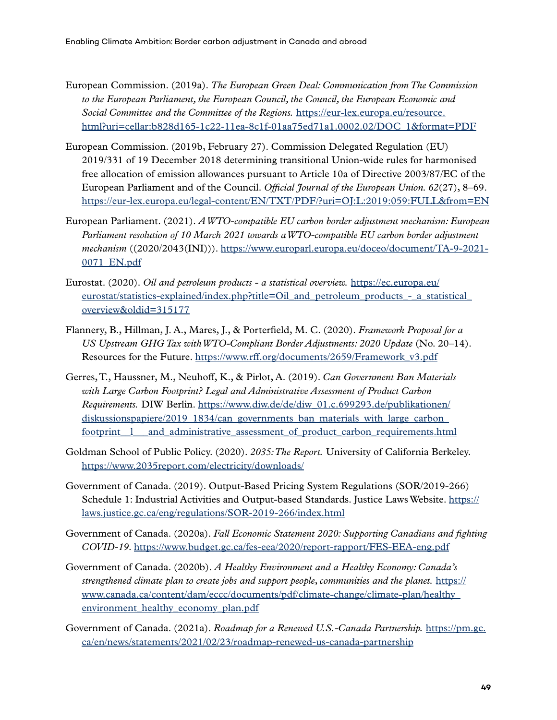- European Commission. (2019a). *The European Green Deal: Communication from The Commission to the European Parliament, the European Council, the Council, the European Economic and Social Committee and the Committee of the Regions.* [https://eur-lex.europa.eu/resource.](https://eur-lex.europa.eu/resource.html?uri=cellar:b828d165-1c22-11ea-8c1f-01aa75ed71a1.0002.02/DOC_1&format=PDF) [html?uri=cellar:b828d165-1c22-11ea-8c1f-01aa75ed71a1.0002.02/DOC\\_1&format=PDF](https://eur-lex.europa.eu/resource.html?uri=cellar:b828d165-1c22-11ea-8c1f-01aa75ed71a1.0002.02/DOC_1&format=PDF)
- European Commission. (2019b, February 27). Commission Delegated Regulation (EU) 2019/331 of 19 December 2018 determining transitional Union-wide rules for harmonised free allocation of emission allowances pursuant to Article 10a of Directive 2003/87/EC of the European Parliament and of the Council. *Official Journal of the European Union. 62*(27), 8–69. <https://eur-lex.europa.eu/legal-content/EN/TXT/PDF/?uri=OJ:L:2019:059:FULL&from=EN>
- European Parliament. (2021). *A WTO-compatible EU carbon border adjustment mechanism: European Parliament resolution of 10 March 2021 towards a WTO-compatible EU carbon border adjustment mechanism* ((2020/2043(INI))). [https://www.europarl.europa.eu/doceo/document/TA-9-2021-](https://www.europarl.europa.eu/doceo/document/TA-9-2021-0071_EN.pdf) [0071\\_EN.pdf](https://www.europarl.europa.eu/doceo/document/TA-9-2021-0071_EN.pdf)
- Eurostat. (2020). *Oil and petroleum products a statistical overview.* [https://ec.europa.eu/](https://ec.europa.eu/eurostat/statistics-explained/index.php?title=Oil_and_petroleum_products_-_a_statistical_overview&oldid=315177) eurostat/statistics-explained/index.php?title=Oil and petroleum products - a statistical [overview&oldid=315177](https://ec.europa.eu/eurostat/statistics-explained/index.php?title=Oil_and_petroleum_products_-_a_statistical_overview&oldid=315177)
- Flannery, B., Hillman, J. A., Mares, J., & Porterfield, M. C. (2020). *Framework Proposal for a US Upstream GHG Tax with WTO-Compliant Border Adjustments: 2020 Update* (No. 20–14). Resources for the Future. [https://www.rff.org/documents/2659/Framework\\_v3.pdf](https://www.rff.org/documents/2659/Framework_v3.pdf)
- Gerres, T., Haussner, M., Neuhoff, K., & Pirlot, A. (2019). *Can Government Ban Materials with Large Carbon Footprint? Legal and Administrative Assessment of Product Carbon Requirements.* DIW Berlin. [https://www.diw.de/de/diw\\_01.c.699293.de/publikationen/](https://www.diw.de/de/diw_01.c.699293.de/publikationen/diskussionspapiere/2019_1834/can_governments_ban_materials_with_large_carbon_footprint__l___and_administrative_assessment_of_product_carbon_requirements.html) diskussionspapiere/2019\_1834/can\_governments\_ban\_materials\_with\_large\_carbon footprint 1 and administrative assessment of product carbon requirements.html
- Goldman School of Public Policy. (2020). *2035: The Report.* University of California Berkeley. <https://www.2035report.com/electricity/downloads/>
- Government of Canada. (2019). Output-Based Pricing System Regulations (SOR/2019-266) Schedule 1: Industrial Activities and Output-based Standards. Justice Laws Website. [https://](https://laws.justice.gc.ca/eng/regulations/SOR-2019-266/index.html) [laws.justice.gc.ca/eng/regulations/SOR-2019-266/index.html](https://laws.justice.gc.ca/eng/regulations/SOR-2019-266/index.html)
- Government of Canada. (2020a). *Fall Economic Statement 2020: Supporting Canadians and fighting COVID-19*.<https://www.budget.gc.ca/fes-eea/2020/report-rapport/FES-EEA-eng.pdf>
- Government of Canada. (2020b). *A Healthy Environment and a Healthy Economy: Canada's strengthened climate plan to create jobs and support people, communities and the planet.* [https://](https://www.canada.ca/content/dam/eccc/documents/pdf/climate-change/climate-plan/healthy_environment_healthy_economy_plan.pdf) [www.canada.ca/content/dam/eccc/documents/pdf/climate-change/climate-plan/healthy\\_](https://www.canada.ca/content/dam/eccc/documents/pdf/climate-change/climate-plan/healthy_environment_healthy_economy_plan.pdf) environment healthy economy plan.pdf
- Government of Canada. (2021a). *Roadmap for a Renewed U.S.-Canada Partnership.* [https://pm.gc.](https://pm.gc.ca/en/news/statements/2021/02/23/roadmap-renewed-us-canada-partnership) [ca/en/news/statements/2021/02/23/roadmap-renewed-us-canada-partnership](https://pm.gc.ca/en/news/statements/2021/02/23/roadmap-renewed-us-canada-partnership)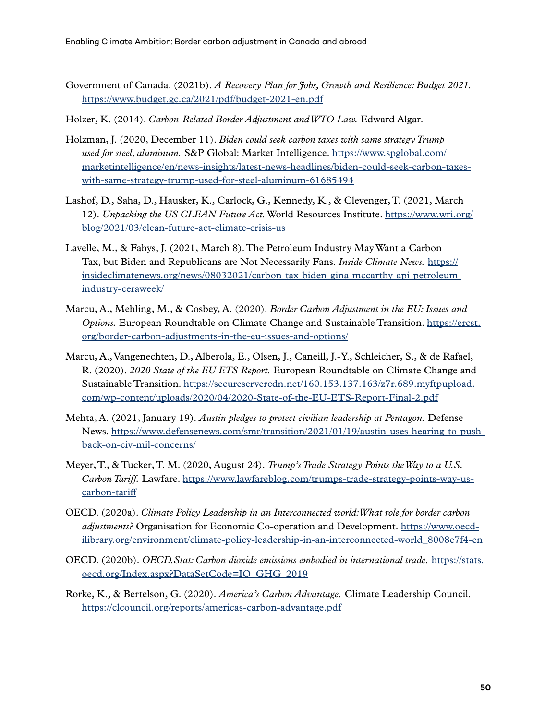- Government of Canada. (2021b). *A Recovery Plan for Jobs, Growth and Resilience: Budget 2021.*  <https://www.budget.gc.ca/2021/pdf/budget-2021-en.pdf>
- Holzer, K. (2014). *Carbon-Related Border Adjustment and WTO Law.* Edward Algar.
- Holzman, J. (2020, December 11). *Biden could seek carbon taxes with same strategy Trump used for steel, aluminum.* S&P Global: Market Intelligence. [https://www.spglobal.com/](https://www.spglobal.com/marketintelligence/en/news-insights/latest-news-headlines/biden-could-seek-carbon-taxes-with-same-strategy-trump-used-for-steel-aluminum-61685494) [marketintelligence/en/news-insights/latest-news-headlines/biden-could-seek-carbon-taxes](https://www.spglobal.com/marketintelligence/en/news-insights/latest-news-headlines/biden-could-seek-carbon-taxes-with-same-strategy-trump-used-for-steel-aluminum-61685494)[with-same-strategy-trump-used-for-steel-aluminum-61685494](https://www.spglobal.com/marketintelligence/en/news-insights/latest-news-headlines/biden-could-seek-carbon-taxes-with-same-strategy-trump-used-for-steel-aluminum-61685494)
- Lashof, D., Saha, D., Hausker, K., Carlock, G., Kennedy, K., & Clevenger, T. (2021, March 12). *Unpacking the US CLEAN Future Act.* World Resources Institute. [https://www.wri.org/](https://www.wri.org/blog/2021/03/clean-future-act-climate-crisis-us) [blog/2021/03/clean-future-act-climate-crisis-us](https://www.wri.org/blog/2021/03/clean-future-act-climate-crisis-us)
- Lavelle, M., & Fahys, J. (2021, March 8). The Petroleum Industry May Want a Carbon Tax, but Biden and Republicans are Not Necessarily Fans. *Inside Climate News.* [https://](https://insideclimatenews.org/news/08032021/carbon-tax-biden-gina-mccarthy-api-petroleum-industry-ceraweek/) [insideclimatenews.org/news/08032021/carbon-tax-biden-gina-mccarthy-api-petroleum](https://insideclimatenews.org/news/08032021/carbon-tax-biden-gina-mccarthy-api-petroleum-industry-ceraweek/)[industry-ceraweek/](https://insideclimatenews.org/news/08032021/carbon-tax-biden-gina-mccarthy-api-petroleum-industry-ceraweek/)
- Marcu, A., Mehling, M., & Cosbey, A. (2020). *Border Carbon Adjustment in the EU: Issues and Options.* European Roundtable on Climate Change and Sustainable Transition. [https://ercst.](https://ercst.org/border-carbon-adjustments-in-the-eu-issues-and-options/) [org/border-carbon-adjustments-in-the-eu-issues-and-options/](https://ercst.org/border-carbon-adjustments-in-the-eu-issues-and-options/)
- Marcu, A., Vangenechten, D., Alberola, E., Olsen, J., Caneill, J.-Y., Schleicher, S., & de Rafael, R. (2020). *2020 State of the EU ETS Report.* European Roundtable on Climate Change and Sustainable Transition. [https://secureservercdn.net/160.153.137.163/z7r.689.myftpupload.](https://secureservercdn.net/160.153.137.163/z7r.689.myftpupload.com/wp-content/uploads/2020/04/2020-State-of-the-EU-ETS-Report-Final-2.pdf) [com/wp-content/uploads/2020/04/2020-State-of-the-EU-ETS-Report-Final-2.pdf](https://secureservercdn.net/160.153.137.163/z7r.689.myftpupload.com/wp-content/uploads/2020/04/2020-State-of-the-EU-ETS-Report-Final-2.pdf)
- Mehta, A. (2021, January 19). *Austin pledges to protect civilian leadership at Pentagon.* Defense News. [https://www.defensenews.com/smr/transition/2021/01/19/austin-uses-hearing-to-push](https://www.defensenews.com/smr/transition/2021/01/19/austin-uses-hearing-to-push-back-on-civ-mil-concerns/)[back-on-civ-mil-concerns/](https://www.defensenews.com/smr/transition/2021/01/19/austin-uses-hearing-to-push-back-on-civ-mil-concerns/)
- Meyer, T., & Tucker, T. M. (2020, August 24). *Trump's Trade Strategy Points the Way to a U.S. Carbon Tariff.* Lawfare. [https://www.lawfareblog.com/trumps-trade-strategy-points-way-us](https://www.lawfareblog.com/trumps-trade-strategy-points-way-us-carbon-tariff)[carbon-tariff](https://www.lawfareblog.com/trumps-trade-strategy-points-way-us-carbon-tariff)
- OECD. (2020a). *Climate Policy Leadership in an Interconnected world: What role for border carbon adjustments?* Organisation for Economic Co-operation and Development. [https://www.oecd](https://www.oecd-ilibrary.org/environment/climate-policy-leadership-in-an-interconnected-world_8008e7f4-en)[ilibrary.org/environment/climate-policy-leadership-in-an-interconnected-world\\_8008e7f4-en](https://www.oecd-ilibrary.org/environment/climate-policy-leadership-in-an-interconnected-world_8008e7f4-en)
- OECD. (2020b). *OECD.Stat: Carbon dioxide emissions embodied in international trade.* [https://stats.](https://stats.oecd.org/Index.aspx?DataSetCode=IO_GHG_2019) [oecd.org/Index.aspx?DataSetCode=IO\\_GHG\\_2019](https://stats.oecd.org/Index.aspx?DataSetCode=IO_GHG_2019)
- Rorke, K., & Bertelson, G. (2020). *America's Carbon Advantage.* Climate Leadership Council. <https://clcouncil.org/reports/americas-carbon-advantage.pdf>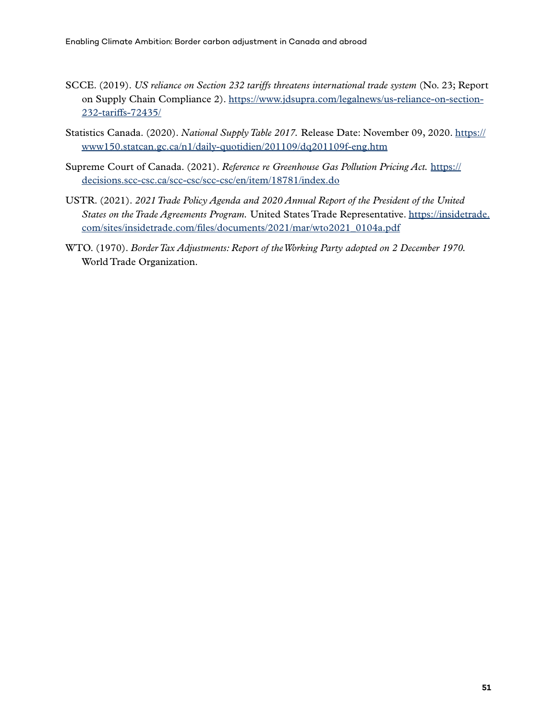- SCCE. (2019). *US reliance on Section 232 tariffs threatens international trade system* (No. 23; Report on Supply Chain Compliance 2). [https://www.jdsupra.com/legalnews/us-reliance-on-section-](https://www.jdsupra.com/legalnews/us-reliance-on-section-232-tariffs-72435/)[232-tariffs-72435/](https://www.jdsupra.com/legalnews/us-reliance-on-section-232-tariffs-72435/)
- Statistics Canada. (2020). *National Supply Table 2017.* Release Date: November 09, 2020. [https://](https://www150.statcan.gc.ca/n1/daily-quotidien/201109/dq201109f-eng.htm) [www150.statcan.gc.ca/n1/daily-quotidien/201109/dq201109f-eng.htm](https://www150.statcan.gc.ca/n1/daily-quotidien/201109/dq201109f-eng.htm)
- Supreme Court of Canada. (2021). *Reference re Greenhouse Gas Pollution Pricing Act.* [https://](https://decisions.scc-csc.ca/scc-csc/scc-csc/en/item/18781/index.do) [decisions.scc-csc.ca/scc-csc/scc-csc/en/item/18781/index.do](https://decisions.scc-csc.ca/scc-csc/scc-csc/en/item/18781/index.do)
- USTR. (2021). *2021 Trade Policy Agenda and 2020 Annual Report of the President of the United States on the Trade Agreements Program.* United States Trade Representative. [https://insidetrade.](https://insidetrade.com/sites/insidetrade.com/files/documents/2021/mar/wto2021_0104a.pdf) [com/sites/insidetrade.com/files/documents/2021/mar/wto2021\\_0104a.pdf](https://insidetrade.com/sites/insidetrade.com/files/documents/2021/mar/wto2021_0104a.pdf)
- WTO. (1970). *Border Tax Adjustments: Report of the Working Party adopted on 2 December 1970.*  World Trade Organization.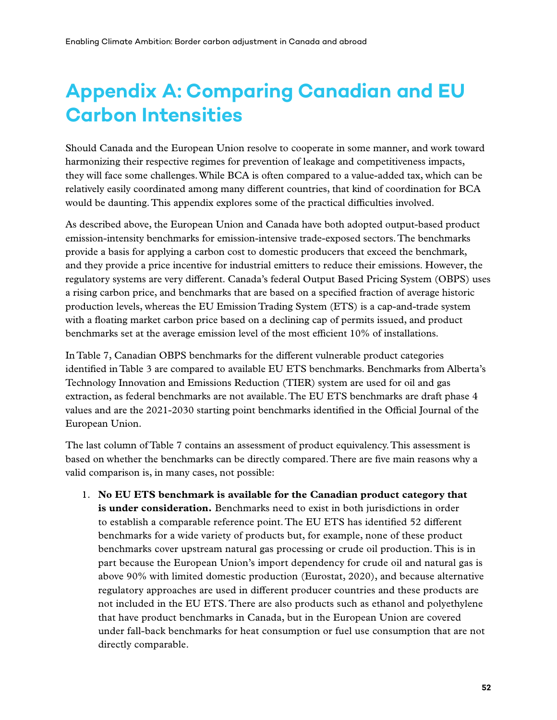# <span id="page-62-0"></span>**Appendix A: Comparing Canadian and EU Carbon Intensities**

Should Canada and the European Union resolve to cooperate in some manner, and work toward harmonizing their respective regimes for prevention of leakage and competitiveness impacts, they will face some challenges. While BCA is often compared to a value-added tax, which can be relatively easily coordinated among many different countries, that kind of coordination for BCA would be daunting. This appendix explores some of the practical difficulties involved.

As described above, the European Union and Canada have both adopted output-based product emission-intensity benchmarks for emission-intensive trade-exposed sectors. The benchmarks provide a basis for applying a carbon cost to domestic producers that exceed the benchmark, and they provide a price incentive for industrial emitters to reduce their emissions. However, the regulatory systems are very different. Canada's federal Output Based Pricing System (OBPS) uses a rising carbon price, and benchmarks that are based on a specified fraction of average historic production levels, whereas the EU Emission Trading System (ETS) is a cap-and-trade system with a floating market carbon price based on a declining cap of permits issued, and product benchmarks set at the average emission level of the most efficient 10% of installations.

In Table 7, Canadian OBPS benchmarks for the different vulnerable product categories identified in Table 3 are compared to available EU ETS benchmarks. Benchmarks from Alberta's Technology Innovation and Emissions Reduction (TIER) system are used for oil and gas extraction, as federal benchmarks are not available. The EU ETS benchmarks are draft phase 4 values and are the 2021-2030 starting point benchmarks identified in the Official Journal of the European Union.

The last column of Table 7 contains an assessment of product equivalency. This assessment is based on whether the benchmarks can be directly compared. There are five main reasons why a valid comparison is, in many cases, not possible:

1. **No EU ETS benchmark is available for the Canadian product category that is under consideration.** Benchmarks need to exist in both jurisdictions in order to establish a comparable reference point. The EU ETS has identified 52 different benchmarks for a wide variety of products but, for example, none of these product benchmarks cover upstream natural gas processing or crude oil production. This is in part because the European Union's import dependency for crude oil and natural gas is above 90% with limited domestic production (Eurostat, 2020), and because alternative regulatory approaches are used in different producer countries and these products are not included in the EU ETS. There are also products such as ethanol and polyethylene that have product benchmarks in Canada, but in the European Union are covered under fall-back benchmarks for heat consumption or fuel use consumption that are not directly comparable.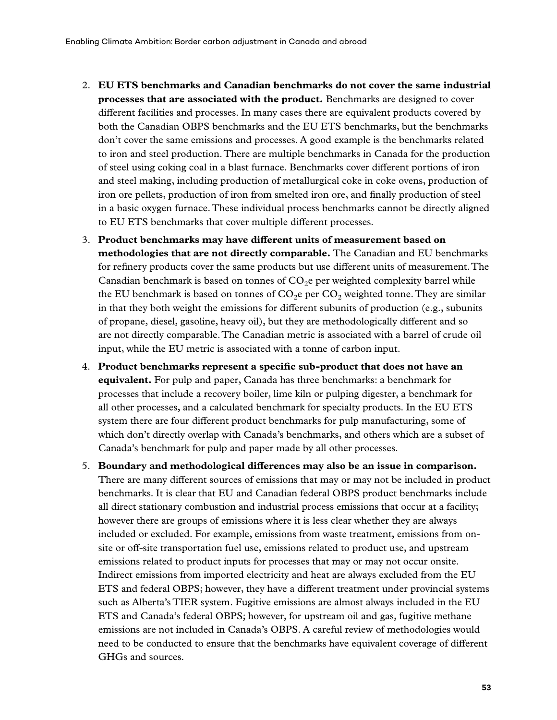- 2. **EU ETS benchmarks and Canadian benchmarks do not cover the same industrial processes that are associated with the product.** Benchmarks are designed to cover different facilities and processes. In many cases there are equivalent products covered by both the Canadian OBPS benchmarks and the EU ETS benchmarks, but the benchmarks don't cover the same emissions and processes. A good example is the benchmarks related to iron and steel production. There are multiple benchmarks in Canada for the production of steel using coking coal in a blast furnace. Benchmarks cover different portions of iron and steel making, including production of metallurgical coke in coke ovens, production of iron ore pellets, production of iron from smelted iron ore, and finally production of steel in a basic oxygen furnace. These individual process benchmarks cannot be directly aligned to EU ETS benchmarks that cover multiple different processes.
- 3. **Product benchmarks may have different units of measurement based on methodologies that are not directly comparable.** The Canadian and EU benchmarks for refinery products cover the same products but use different units of measurement. The Canadian benchmark is based on tonnes of  $CO<sub>2</sub>e$  per weighted complexity barrel while the EU benchmark is based on tonnes of  $CO<sub>2</sub>e$  per  $CO<sub>2</sub>$  weighted tonne. They are similar in that they both weight the emissions for different subunits of production (e.g., subunits of propane, diesel, gasoline, heavy oil), but they are methodologically different and so are not directly comparable. The Canadian metric is associated with a barrel of crude oil input, while the EU metric is associated with a tonne of carbon input.
- 4. **Product benchmarks represent a specific sub-product that does not have an equivalent.** For pulp and paper, Canada has three benchmarks: a benchmark for processes that include a recovery boiler, lime kiln or pulping digester, a benchmark for all other processes, and a calculated benchmark for specialty products. In the EU ETS system there are four different product benchmarks for pulp manufacturing, some of which don't directly overlap with Canada's benchmarks, and others which are a subset of Canada's benchmark for pulp and paper made by all other processes.
- 5. **Boundary and methodological differences may also be an issue in comparison.**  There are many different sources of emissions that may or may not be included in product benchmarks. It is clear that EU and Canadian federal OBPS product benchmarks include all direct stationary combustion and industrial process emissions that occur at a facility; however there are groups of emissions where it is less clear whether they are always included or excluded. For example, emissions from waste treatment, emissions from onsite or off-site transportation fuel use, emissions related to product use, and upstream emissions related to product inputs for processes that may or may not occur onsite. Indirect emissions from imported electricity and heat are always excluded from the EU ETS and federal OBPS; however, they have a different treatment under provincial systems such as Alberta's TIER system. Fugitive emissions are almost always included in the EU ETS and Canada's federal OBPS; however, for upstream oil and gas, fugitive methane emissions are not included in Canada's OBPS. A careful review of methodologies would need to be conducted to ensure that the benchmarks have equivalent coverage of different GHGs and sources.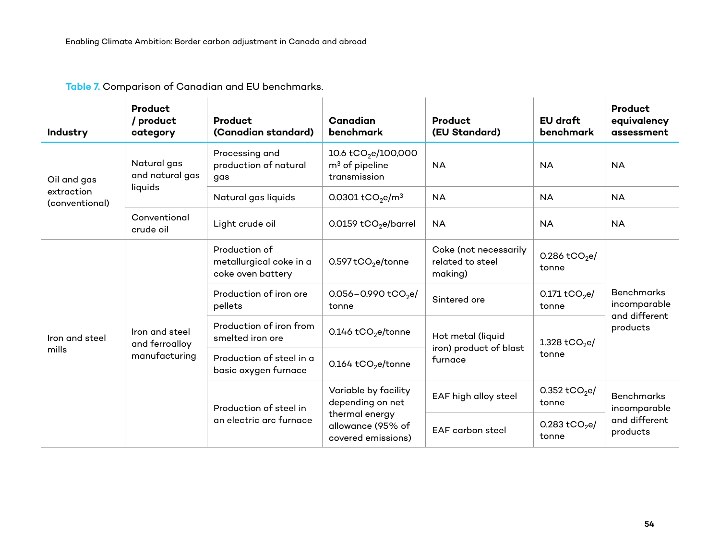| Industry                     | Product<br>/ product<br>category                  | <b>Product</b><br>(Canadian standard)                         | <b>Canadian</b><br>benchmark                                        | <b>Product</b><br>(EU Standard)                        | EU draft<br><b>benchmark</b>       | Product<br>equivalency<br>assessment                           |
|------------------------------|---------------------------------------------------|---------------------------------------------------------------|---------------------------------------------------------------------|--------------------------------------------------------|------------------------------------|----------------------------------------------------------------|
| Oil and gas                  | Natural gas<br>and natural gas                    | Processing and<br>production of natural<br>gas                | 10.6 tCO <sub>2</sub> e/100,000<br>$m3$ of pipeline<br>transmission | <b>NA</b>                                              | <b>NA</b>                          | <b>NA</b>                                                      |
| extraction<br>(conventional) | liquids                                           | Natural gas liquids                                           | 0.0301 tCO <sub>2</sub> e/m <sup>3</sup>                            | <b>NA</b>                                              | <b>NA</b>                          | <b>NA</b>                                                      |
|                              | Conventional<br>crude oil                         | Light crude oil                                               | 0.0159 $tCO2e/barrel$                                               | <b>NA</b>                                              | <b>NA</b>                          | <b>NA</b>                                                      |
|                              | Iron and steel<br>and ferroalloy<br>manufacturing | Production of<br>metallurgical coke in a<br>coke oven battery | $0.597$ tCO <sub>2</sub> e/tonne                                    | Coke (not necessarily<br>related to steel<br>making)   | 0.286 tCO <sub>2</sub> e/<br>tonne | <b>Benchmarks</b><br>incomparable<br>and different<br>products |
|                              |                                                   | Production of iron ore<br>pellets                             | $0.056 - 0.990$ tCO <sub>2</sub> e/<br>tonne                        | Sintered ore                                           | 0.171 $tCO2e/$<br>tonne            |                                                                |
| Iron and steel<br>mills      |                                                   | Production of iron from<br>smelted iron ore                   | 0.146 tCO <sub>2</sub> e/tonne                                      | Hot metal (liquid<br>iron) product of blast<br>furnace | 1.328 tCO <sub>2</sub> e/          |                                                                |
|                              |                                                   | Production of steel in a<br>basic oxygen furnace              | 0.164 tCO <sub>2</sub> e/tonne                                      |                                                        | tonne                              |                                                                |
|                              |                                                   | Production of steel in                                        | Variable by facility<br>depending on net                            | EAF high alloy steel                                   | 0.352 tCO <sub>2</sub> e/<br>tonne | <b>Benchmarks</b><br>incomparable<br>and different<br>products |
|                              |                                                   | an electric arc furnace                                       | thermal energy<br>allowance (95% of<br>covered emissions)           | <b>EAF</b> carbon steel                                | 0.283 tCO <sub>2</sub> e/<br>tonne |                                                                |

**Table 7.** Comparison of Canadian and EU benchmarks.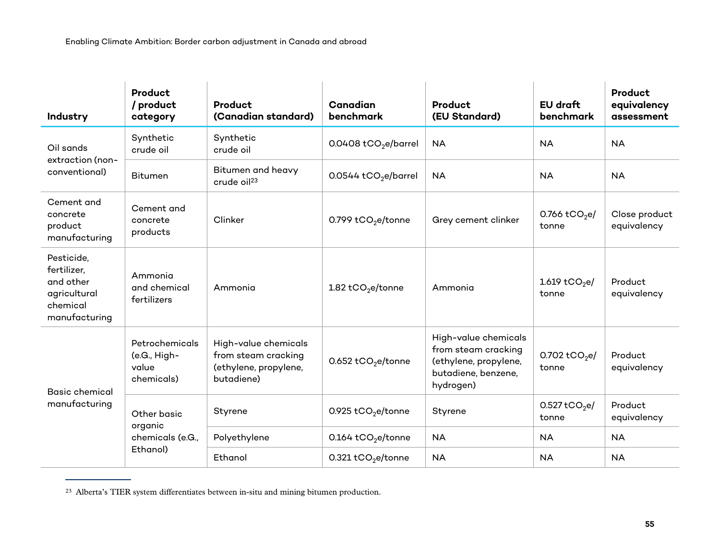| Industry                                                                            | Product<br>/ product<br>category                      | Product<br>(Canadian standard)                                                     | Canadian<br>benchmark              | Product<br>(EU Standard)                                                                                 | EU draft<br>benchmark                | Product<br>equivalency<br>assessment |
|-------------------------------------------------------------------------------------|-------------------------------------------------------|------------------------------------------------------------------------------------|------------------------------------|----------------------------------------------------------------------------------------------------------|--------------------------------------|--------------------------------------|
| Oil sands<br>extraction (non-<br>conventional)                                      | Synthetic<br>crude oil                                | Synthetic<br>crude oil                                                             | 0.0408 tCO <sub>2</sub> e/barrel   | <b>NA</b>                                                                                                | <b>NA</b>                            | <b>NA</b>                            |
|                                                                                     | <b>Bitumen</b>                                        | Bitumen and heavy<br>crude oil <sup>23</sup>                                       | $0.0544$ tCO <sub>2</sub> e/barrel | <b>NA</b>                                                                                                | <b>NA</b>                            | <b>NA</b>                            |
| Cement and<br>concrete<br>product<br>manufacturing                                  | Cement and<br>concrete<br>products                    | Clinker                                                                            | 0.799 tCO <sub>2</sub> e/tonne     | Grey cement clinker                                                                                      | 0.766 $tCO2e/$<br>tonne              | Close product<br>equivalency         |
| Pesticide,<br>fertilizer,<br>and other<br>agricultural<br>chemical<br>manufacturing | Ammonia<br>and chemical<br>fertilizers                | Ammonia                                                                            | 1.82 $tCO2e/tonne$                 | Ammonia                                                                                                  | 1.619 tCO <sub>2</sub> e/<br>tonne   | Product<br>equivalency               |
| <b>Basic chemical</b><br>manufacturing                                              | Petrochemicals<br>(e.G., High-<br>value<br>chemicals) | High-value chemicals<br>from steam cracking<br>(ethylene, propylene,<br>butadiene) | 0.652 tCO <sub>2</sub> e/tonne     | High-value chemicals<br>from steam cracking<br>(ethylene, propylene,<br>butadiene, benzene,<br>hydrogen) | 0.702 tCO <sub>2</sub> e/<br>tonne   | Product<br>equivalency               |
|                                                                                     | Other basic<br>organic                                | Styrene                                                                            | 0.925 $tCO2e/tonne$                | Styrene                                                                                                  | $0.527$ tCO <sub>2</sub> e/<br>tonne | Product<br>equivalency               |
|                                                                                     | chemicals (e.G.,                                      | Polyethylene                                                                       | $0.164$ tCO <sub>2</sub> e/tonne   | <b>NA</b>                                                                                                | <b>NA</b>                            | <b>NA</b>                            |
|                                                                                     | Ethanol)                                              | Ethanol                                                                            | 0.321 tCO <sub>2</sub> e/tonne     | <b>NA</b>                                                                                                | <b>NA</b>                            | <b>NA</b>                            |

<sup>23</sup> Alberta's TIER system differentiates between in-situ and mining bitumen production.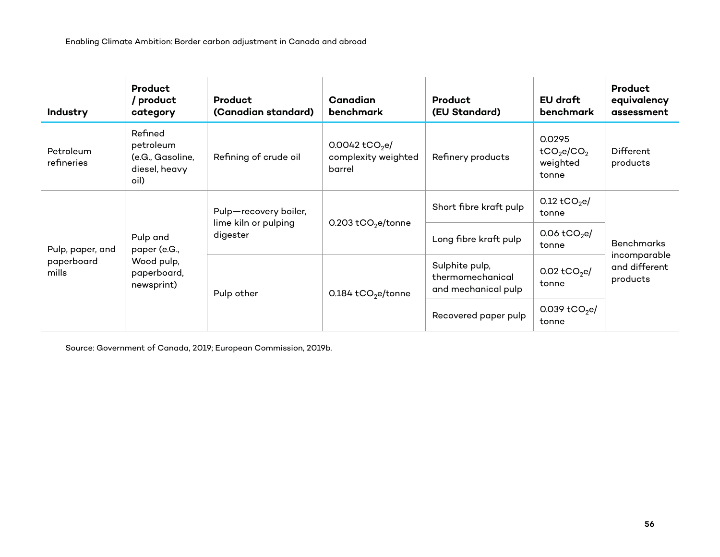| Industry                                | Product<br>/ product<br>category                                    | <b>Product</b><br>(Canadian standard)                     | Canadian<br><b>benchmark</b>                                | Product<br>(EU Standard)                                  | EU draft<br>benchmark                                             | <b>Product</b><br>equivalency<br>assessment |
|-----------------------------------------|---------------------------------------------------------------------|-----------------------------------------------------------|-------------------------------------------------------------|-----------------------------------------------------------|-------------------------------------------------------------------|---------------------------------------------|
| Petroleum<br>refineries                 | Refined<br>petroleum<br>(e.G., Gasoline,<br>diesel, heavy<br>oil)   | Refining of crude oil                                     | 0.0042 tCO <sub>2</sub> e/<br>complexity weighted<br>barrel | Refinery products                                         | 0.0295<br>tCO <sub>2</sub> e/CO <sub>2</sub><br>weighted<br>tonne | Different<br>products                       |
| Pulp, paper, and<br>paperboard<br>mills | Pulp and<br>paper (e.G.,<br>Wood pulp,<br>paperboard,<br>newsprint) | Pulp-recovery boiler,<br>lime kiln or pulping<br>digester | 0.203 tCO <sub>2</sub> e/tonne                              | Short fibre kraft pulp                                    | 0.12 tCO <sub>2</sub> e/<br>tonne                                 |                                             |
|                                         |                                                                     |                                                           |                                                             | Long fibre kraft pulp                                     | 0.06 $tCO2e/$<br>tonne                                            | <b>Benchmarks</b>                           |
|                                         |                                                                     | Pulp other                                                | $0.184$ tCO <sub>2</sub> e/tonne                            | Sulphite pulp,<br>thermomechanical<br>and mechanical pulp | $0.02$ tCO <sub>2</sub> e/<br>tonne                               | incomparable<br>and different<br>products   |
|                                         |                                                                     |                                                           |                                                             | Recovered paper pulp                                      | 0.039 tCO <sub>2</sub> e/<br>tonne                                |                                             |

Source: Government of Canada, 2019; European Commission, 2019b.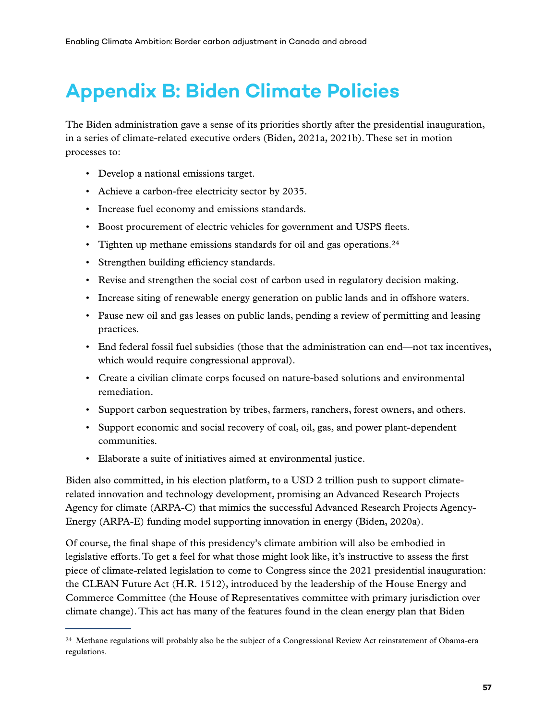# <span id="page-67-0"></span>**Appendix B: Biden Climate Policies**

The Biden administration gave a sense of its priorities shortly after the presidential inauguration, in a series of climate-related executive orders (Biden, 2021a, 2021b). These set in motion processes to:

- Develop a national emissions target.
- Achieve a carbon-free electricity sector by 2035.
- Increase fuel economy and emissions standards.
- Boost procurement of electric vehicles for government and USPS fleets.
- Tighten up methane emissions standards for oil and gas operations.<sup>24</sup>
- Strengthen building efficiency standards.
- Revise and strengthen the social cost of carbon used in regulatory decision making.
- Increase siting of renewable energy generation on public lands and in offshore waters.
- Pause new oil and gas leases on public lands, pending a review of permitting and leasing practices.
- End federal fossil fuel subsidies (those that the administration can end—not tax incentives, which would require congressional approval).
- Create a civilian climate corps focused on nature-based solutions and environmental remediation.
- Support carbon sequestration by tribes, farmers, ranchers, forest owners, and others.
- Support economic and social recovery of coal, oil, gas, and power plant-dependent communities.
- Elaborate a suite of initiatives aimed at environmental justice.

Biden also committed, in his election platform, to a USD 2 trillion push to support climaterelated innovation and technology development, promising an Advanced Research Projects Agency for climate (ARPA-C) that mimics the successful Advanced Research Projects Agency-Energy (ARPA-E) funding model supporting innovation in energy (Biden, 2020a).

Of course, the final shape of this presidency's climate ambition will also be embodied in legislative efforts. To get a feel for what those might look like, it's instructive to assess the first piece of climate-related legislation to come to Congress since the 2021 presidential inauguration: the CLEAN Future Act (H.R. 1512), introduced by the leadership of the House Energy and Commerce Committee (the House of Representatives committee with primary jurisdiction over climate change). This act has many of the features found in the clean energy plan that Biden

<sup>&</sup>lt;sup>24</sup> Methane regulations will probably also be the subject of a Congressional Review Act reinstatement of Obama-era regulations.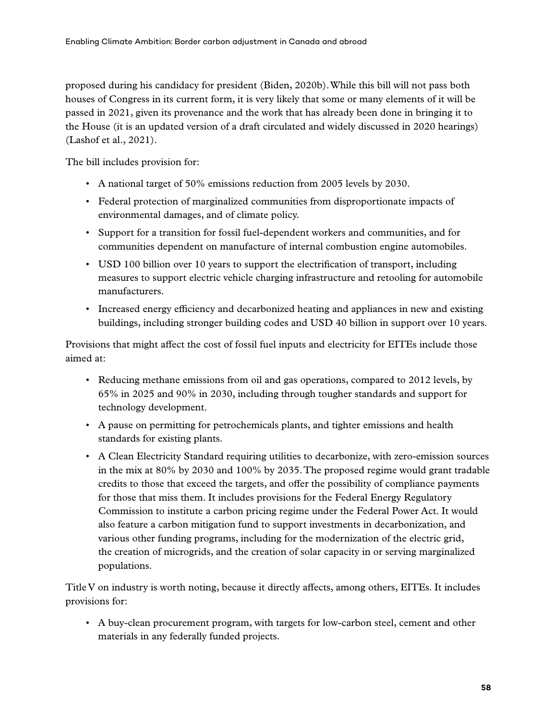proposed during his candidacy for president (Biden, 2020b). While this bill will not pass both houses of Congress in its current form, it is very likely that some or many elements of it will be passed in 2021, given its provenance and the work that has already been done in bringing it to the House (it is an updated version of a draft circulated and widely discussed in 2020 hearings) (Lashof et al., 2021).

The bill includes provision for:

- A national target of 50% emissions reduction from 2005 levels by 2030.
- Federal protection of marginalized communities from disproportionate impacts of environmental damages, and of climate policy.
- Support for a transition for fossil fuel-dependent workers and communities, and for communities dependent on manufacture of internal combustion engine automobiles.
- USD 100 billion over 10 years to support the electrification of transport, including measures to support electric vehicle charging infrastructure and retooling for automobile manufacturers.
- Increased energy efficiency and decarbonized heating and appliances in new and existing buildings, including stronger building codes and USD 40 billion in support over 10 years.

Provisions that might affect the cost of fossil fuel inputs and electricity for EITEs include those aimed at:

- Reducing methane emissions from oil and gas operations, compared to 2012 levels, by 65% in 2025 and 90% in 2030, including through tougher standards and support for technology development.
- A pause on permitting for petrochemicals plants, and tighter emissions and health standards for existing plants.
- A Clean Electricity Standard requiring utilities to decarbonize, with zero-emission sources in the mix at 80% by 2030 and 100% by 2035. The proposed regime would grant tradable credits to those that exceed the targets, and offer the possibility of compliance payments for those that miss them. It includes provisions for the Federal Energy Regulatory Commission to institute a carbon pricing regime under the Federal Power Act. It would also feature a carbon mitigation fund to support investments in decarbonization, and various other funding programs, including for the modernization of the electric grid, the creation of microgrids, and the creation of solar capacity in or serving marginalized populations.

Title V on industry is worth noting, because it directly affects, among others, EITEs. It includes provisions for:

• A buy-clean procurement program, with targets for low-carbon steel, cement and other materials in any federally funded projects.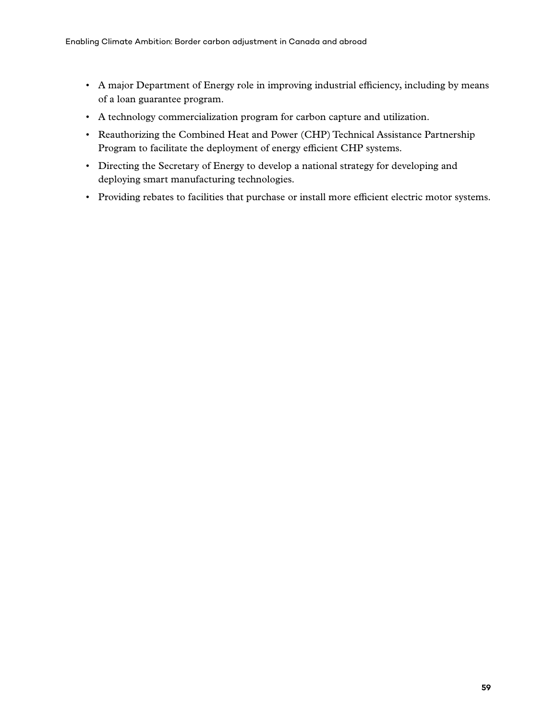- A major Department of Energy role in improving industrial efficiency, including by means of a loan guarantee program.
- A technology commercialization program for carbon capture and utilization.
- Reauthorizing the Combined Heat and Power (CHP) Technical Assistance Partnership Program to facilitate the deployment of energy efficient CHP systems.
- Directing the Secretary of Energy to develop a national strategy for developing and deploying smart manufacturing technologies.
- Providing rebates to facilities that purchase or install more efficient electric motor systems.